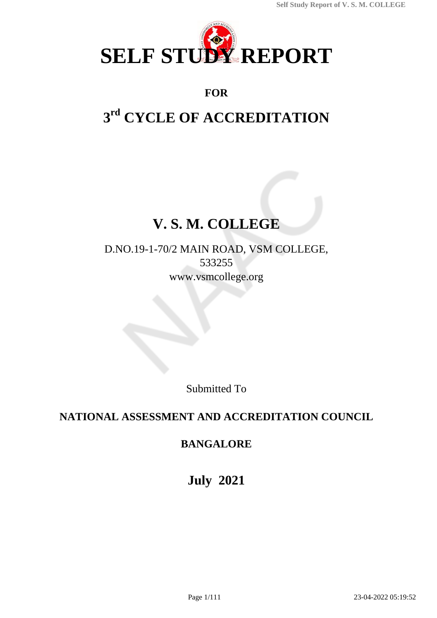

# **FOR**

# **3 rd CYCLE OF ACCREDITATION**

# **V. S. M. COLLEGE**

D.NO.19-1-70/2 MAIN ROAD, VSM COLLEGE, 533255 www.vsmcollege.org

Submitted To

# **NATIONAL ASSESSMENT AND ACCREDITATION COUNCIL**

# **BANGALORE**

**July 2021**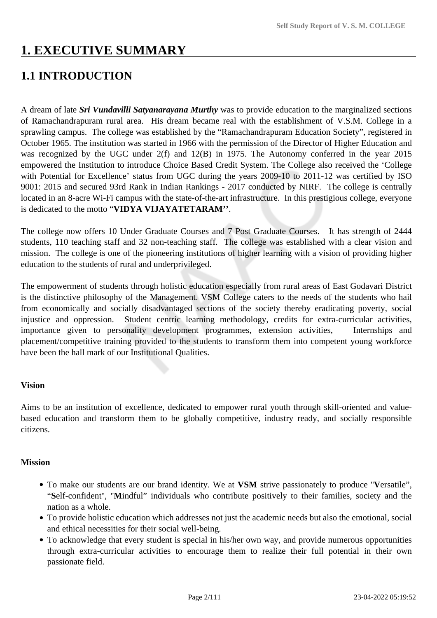# **1. EXECUTIVE SUMMARY**

# **1.1 INTRODUCTION**

A dream of late *Sri Vundavilli Satyanarayana Murthy* was to provide education to the marginalized sections of Ramachandrapuram rural area. His dream became real with the establishment of V.S.M. College in a sprawling campus. The college was established by the "Ramachandrapuram Education Society", registered in October 1965. The institution was started in 1966 with the permission of the Director of Higher Education and was recognized by the UGC under 2(f) and 12(B) in 1975. The Autonomy conferred in the year 2015 empowered the Institution to introduce Choice Based Credit System. The College also received the 'College with Potential for Excellence' status from UGC during the years 2009-10 to 2011-12 was certified by ISO 9001: 2015 and secured 93rd Rank in Indian Rankings - 2017 conducted by NIRF. The college is centrally located in an 8-acre Wi-Fi campus with the state-of-the-art infrastructure. In this prestigious college, everyone is dedicated to the motto "**VIDYA VIJAYATETARAM''**.

The college now offers 10 Under Graduate Courses and 7 Post Graduate Courses. It has strength of 2444 students, 110 teaching staff and 32 non-teaching staff. The college was established with a clear vision and mission. The college is one of the pioneering institutions of higher learning with a vision of providing higher education to the students of rural and underprivileged.

The empowerment of students through holistic education especially from rural areas of East Godavari District is the distinctive philosophy of the Management. VSM College caters to the needs of the students who hail from economically and socially disadvantaged sections of the society thereby eradicating poverty, social injustice and oppression. Student centric learning methodology, credits for extra-curricular activities, importance given to personality development programmes, extension activities, Internships and placement/competitive training provided to the students to transform them into competent young workforce have been the hall mark of our Institutional Qualities.

### **Vision**

Aims to be an institution of excellence, dedicated to empower rural youth through skill-oriented and valuebased education and transform them to be globally competitive, industry ready, and socially responsible citizens.

### **Mission**

- To make our students are our brand identity. We at **VSM** strive passionately to produce ''**V**ersatile", "**S**elf-confident'', ''**M**indful" individuals who contribute positively to their families, society and the nation as a whole.
- To provide holistic education which addresses not just the academic needs but also the emotional, social and ethical necessities for their social well-being.
- To acknowledge that every student is special in his/her own way, and provide numerous opportunities through extra-curricular activities to encourage them to realize their full potential in their own passionate field.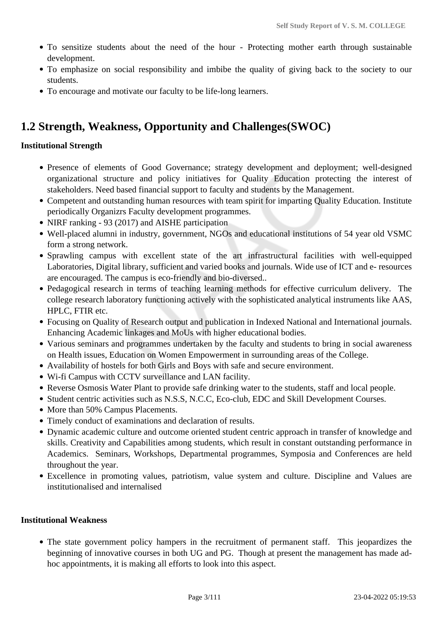- To sensitize students about the need of the hour Protecting mother earth through sustainable development.
- To emphasize on social responsibility and imbibe the quality of giving back to the society to our students.
- To encourage and motivate our faculty to be life-long learners.

# **1.2 Strength, Weakness, Opportunity and Challenges(SWOC)**

### **Institutional Strength**

- Presence of elements of Good Governance; strategy development and deployment; well-designed organizational structure and policy initiatives for Quality Education protecting the interest of stakeholders. Need based financial support to faculty and students by the Management.
- Competent and outstanding human resources with team spirit for imparting Quality Education. Institute periodically Organizrs Faculty development programmes.
- NIRF ranking 93 (2017) and AISHE participation
- Well-placed alumni in industry, government, NGOs and educational institutions of 54 year old VSMC form a strong network.
- Sprawling campus with excellent state of the art infrastructural facilities with well-equipped Laboratories, Digital library, sufficient and varied books and journals. Wide use of ICT and e- resources are encouraged. The campus is eco-friendly and bio-diversed..
- Pedagogical research in terms of teaching learning methods for effective curriculum delivery. The college research laboratory functioning actively with the sophisticated analytical instruments like AAS, HPLC, FTIR etc.
- Focusing on Quality of Research output and publication in Indexed National and International journals. Enhancing Academic linkages and MoUs with higher educational bodies.
- Various seminars and programmes undertaken by the faculty and students to bring in social awareness on Health issues, Education on Women Empowerment in surrounding areas of the College.
- Availability of hostels for both Girls and Boys with safe and secure environment.
- Wi-fi Campus with CCTV surveillance and LAN facility.
- Reverse Osmosis Water Plant to provide safe drinking water to the students, staff and local people.
- Student centric activities such as N.S.S, N.C.C, Eco-club, EDC and Skill Development Courses.
- More than 50% Campus Placements.
- Timely conduct of examinations and declaration of results.
- Dynamic academic culture and outcome oriented student centric approach in transfer of knowledge and skills. Creativity and Capabilities among students, which result in constant outstanding performance in Academics. Seminars, Workshops, Departmental programmes, Symposia and Conferences are held throughout the year.
- Excellence in promoting values, patriotism, value system and culture. Discipline and Values are institutionalised and internalised

### **Institutional Weakness**

The state government policy hampers in the recruitment of permanent staff. This jeopardizes the beginning of innovative courses in both UG and PG. Though at present the management has made adhoc appointments, it is making all efforts to look into this aspect.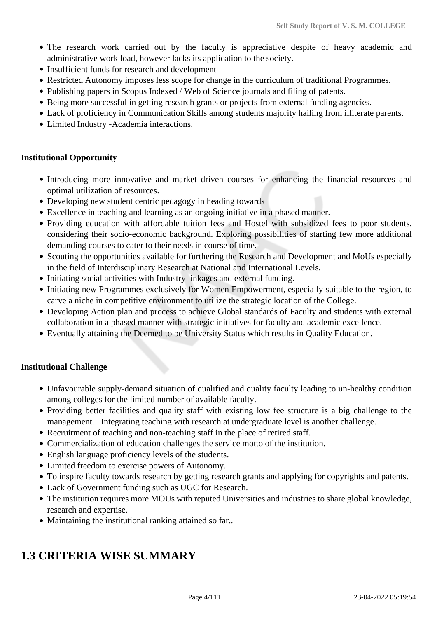- The research work carried out by the faculty is appreciative despite of heavy academic and administrative work load, however lacks its application to the society.
- Insufficient funds for research and development
- Restricted Autonomy imposes less scope for change in the curriculum of traditional Programmes.
- Publishing papers in Scopus Indexed / Web of Science journals and filing of patents.
- Being more successful in getting research grants or projects from external funding agencies.
- Lack of proficiency in Communication Skills among students majority hailing from illiterate parents.
- Limited Industry -Academia interactions.

### **Institutional Opportunity**

- Introducing more innovative and market driven courses for enhancing the financial resources and optimal utilization of resources.
- Developing new student centric pedagogy in heading towards
- Excellence in teaching and learning as an ongoing initiative in a phased manner.
- Providing education with affordable tuition fees and Hostel with subsidized fees to poor students, considering their socio-economic background. Exploring possibilities of starting few more additional demanding courses to cater to their needs in course of time.
- Scouting the opportunities available for furthering the Research and Development and MoUs especially in the field of Interdisciplinary Research at National and International Levels.
- Initiating social activities with Industry linkages and external funding.
- Initiating new Programmes exclusively for Women Empowerment, especially suitable to the region, to carve a niche in competitive environment to utilize the strategic location of the College.
- Developing Action plan and process to achieve Global standards of Faculty and students with external collaboration in a phased manner with strategic initiatives for faculty and academic excellence.
- Eventually attaining the Deemed to be University Status which results in Quality Education.

### **Institutional Challenge**

- Unfavourable supply-demand situation of qualified and quality faculty leading to un-healthy condition among colleges for the limited number of available faculty.
- Providing better facilities and quality staff with existing low fee structure is a big challenge to the management. Integrating teaching with research at undergraduate level is another challenge.
- Recruitment of teaching and non-teaching staff in the place of retired staff.
- Commercialization of education challenges the service motto of the institution.
- English language proficiency levels of the students.
- Limited freedom to exercise powers of Autonomy.
- To inspire faculty towards research by getting research grants and applying for copyrights and patents.
- Lack of Government funding such as UGC for Research.
- The institution requires more MOUs with reputed Universities and industries to share global knowledge, research and expertise.
- Maintaining the institutional ranking attained so far..

# **1.3 CRITERIA WISE SUMMARY**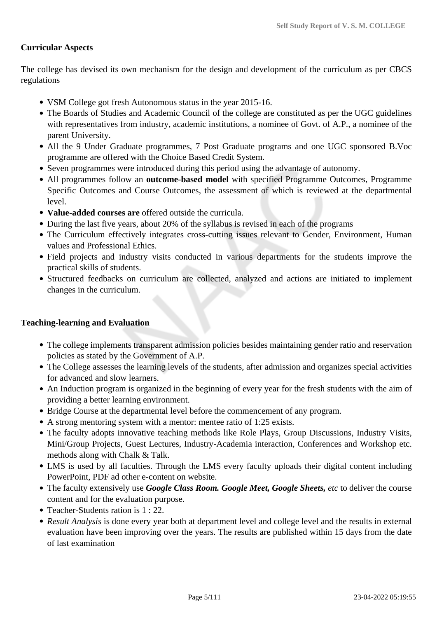### **Curricular Aspects**

The college has devised its own mechanism for the design and development of the curriculum as per CBCS regulations

- VSM College got fresh Autonomous status in the year 2015-16.
- The Boards of Studies and Academic Council of the college are constituted as per the UGC guidelines with representatives from industry, academic institutions, a nominee of Govt. of A.P., a nominee of the parent University.
- All the 9 Under Graduate programmes, 7 Post Graduate programs and one UGC sponsored B.Voc programme are offered with the Choice Based Credit System.
- Seven programmes were introduced during this period using the advantage of autonomy.
- All programmes follow an **outcome-based model** with specified Programme Outcomes, Programme Specific Outcomes and Course Outcomes, the assessment of which is reviewed at the departmental level.
- **Value-added courses are** offered outside the curricula.
- During the last five years, about 20% of the syllabus is revised in each of the programs
- The Curriculum effectively integrates cross-cutting issues relevant to Gender, Environment, Human values and Professional Ethics.
- Field projects and industry visits conducted in various departments for the students improve the practical skills of students.
- Structured feedbacks on curriculum are collected, analyzed and actions are initiated to implement changes in the curriculum.

### **Teaching-learning and Evaluation**

- The college implements transparent admission policies besides maintaining gender ratio and reservation policies as stated by the Government of A.P.
- The College assesses the learning levels of the students, after admission and organizes special activities for advanced and slow learners.
- An Induction program is organized in the beginning of every year for the fresh students with the aim of providing a better learning environment.
- Bridge Course at the departmental level before the commencement of any program.
- A strong mentoring system with a mentor: mentee ratio of 1:25 exists.
- The faculty adopts innovative teaching methods like Role Plays, Group Discussions, Industry Visits, Mini/Group Projects, Guest Lectures, Industry-Academia interaction, Conferences and Workshop etc. methods along with Chalk & Talk.
- LMS is used by all faculties. Through the LMS every faculty uploads their digital content including PowerPoint, PDF ad other e-content on website.
- The faculty extensively use *Google Class Room. Google Meet, Google Sheets, etc* to deliver the course content and for the evaluation purpose.
- Teacher-Students ration is 1 : 22.
- *Result Analysis* is done every year both at department level and college level and the results in external evaluation have been improving over the years. The results are published within 15 days from the date of last examination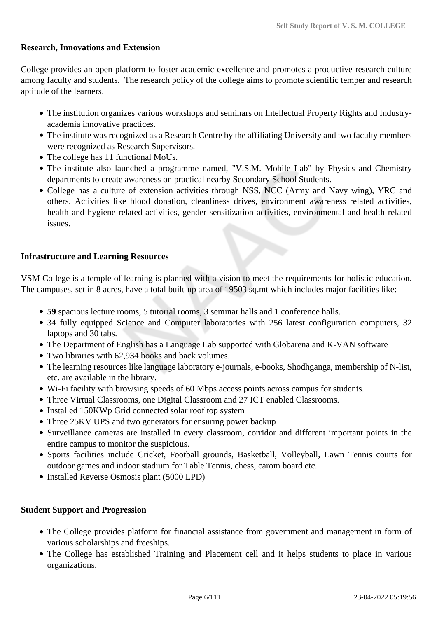### **Research, Innovations and Extension**

College provides an open platform to foster academic excellence and promotes a productive research culture among faculty and students. The research policy of the college aims to promote scientific temper and research aptitude of the learners.

- The institution organizes various workshops and seminars on Intellectual Property Rights and Industryacademia innovative practices.
- The institute was recognized as a Research Centre by the affiliating University and two faculty members were recognized as Research Supervisors.
- The college has 11 functional MoUs.
- The institute also launched a programme named, "V.S.M. Mobile Lab" by Physics and Chemistry departments to create awareness on practical nearby Secondary School Students.
- College has a culture of extension activities through NSS, NCC (Army and Navy wing), YRC and others. Activities like blood donation, cleanliness drives, environment awareness related activities, health and hygiene related activities, gender sensitization activities, environmental and health related issues.

### **Infrastructure and Learning Resources**

VSM College is a temple of learning is planned with a vision to meet the requirements for holistic education. The campuses, set in 8 acres, have a total built-up area of 19503 sq.mt which includes major facilities like:

- **59** spacious lecture rooms, 5 tutorial rooms, 3 seminar halls and 1 conference halls.
- 34 fully equipped Science and Computer laboratories with 256 latest configuration computers, 32 laptops and 30 tabs.
- The Department of English has a Language Lab supported with Globarena and K-VAN software
- Two libraries with 62,934 books and back volumes.
- The learning resources like language laboratory e-journals, e-books, Shodhganga, membership of N-list, etc. are available in the library.
- Wi-Fi facility with browsing speeds of 60 Mbps access points across campus for students.
- Three Virtual Classrooms, one Digital Classroom and 27 ICT enabled Classrooms.
- Installed 150KWp Grid connected solar roof top system
- Three 25KV UPS and two generators for ensuring power backup
- Surveillance cameras are installed in every classroom, corridor and different important points in the entire campus to monitor the suspicious.
- Sports facilities include Cricket, Football grounds, Basketball, Volleyball, Lawn Tennis courts for outdoor games and indoor stadium for Table Tennis, chess, carom board etc.
- Installed Reverse Osmosis plant (5000 LPD)

### **Student Support and Progression**

- The College provides platform for financial assistance from government and management in form of various scholarships and freeships.
- The College has established Training and Placement cell and it helps students to place in various organizations.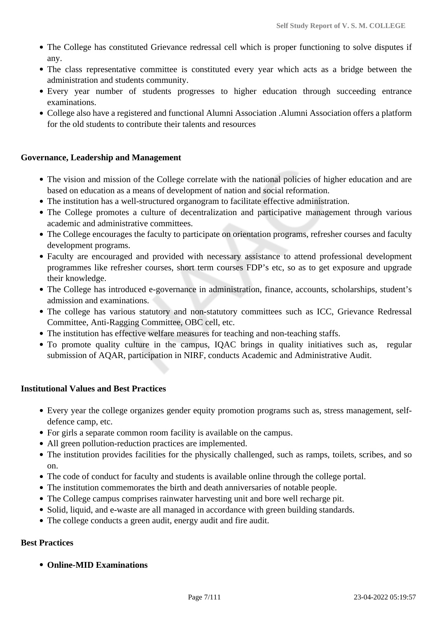- The College has constituted Grievance redressal cell which is proper functioning to solve disputes if any.
- The class representative committee is constituted every year which acts as a bridge between the administration and students community.
- Every year number of students progresses to higher education through succeeding entrance examinations.
- College also have a registered and functional Alumni Association .Alumni Association offers a platform for the old students to contribute their talents and resources

### **Governance, Leadership and Management**

- The vision and mission of the College correlate with the national policies of higher education and are based on education as a means of development of nation and social reformation.
- The institution has a well-structured organogram to facilitate effective administration.
- The College promotes a culture of decentralization and participative management through various academic and administrative committees.
- The College encourages the faculty to participate on orientation programs, refresher courses and faculty development programs.
- Faculty are encouraged and provided with necessary assistance to attend professional development programmes like refresher courses, short term courses FDP's etc, so as to get exposure and upgrade their knowledge.
- The College has introduced e-governance in administration, finance, accounts, scholarships, student's admission and examinations.
- The college has various statutory and non-statutory committees such as ICC, Grievance Redressal Committee, Anti-Ragging Committee, OBC cell, etc.
- The institution has effective welfare measures for teaching and non-teaching staffs.
- To promote quality culture in the campus, IQAC brings in quality initiatives such as, regular submission of AQAR, participation in NIRF, conducts Academic and Administrative Audit.

### **Institutional Values and Best Practices**

- Every year the college organizes gender equity promotion programs such as, stress management, selfdefence camp, etc.
- For girls a separate common room facility is available on the campus.
- All green pollution-reduction practices are implemented.
- The institution provides facilities for the physically challenged, such as ramps, toilets, scribes, and so on.
- The code of conduct for faculty and students is available online through the college portal.
- The institution commemorates the birth and death anniversaries of notable people.
- The College campus comprises rainwater harvesting unit and bore well recharge pit.
- Solid, liquid, and e-waste are all managed in accordance with green building standards.
- The college conducts a green audit, energy audit and fire audit.

### **Best Practices**

**Online-MID Examinations**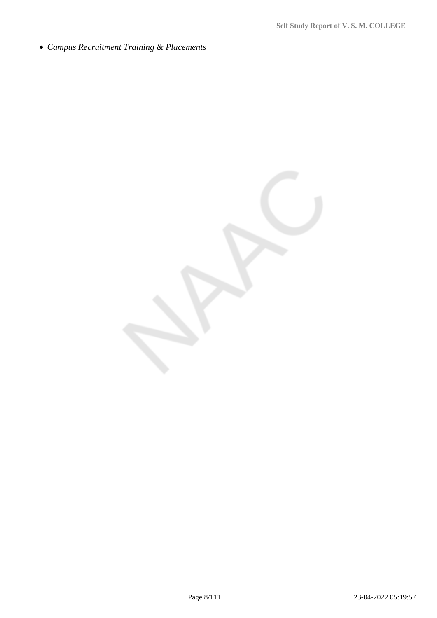*Campus Recruitment Training & Placements*

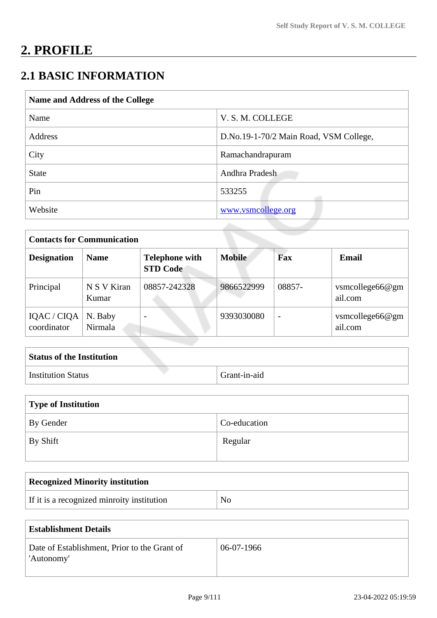# **2. PROFILE**

# **2.1 BASIC INFORMATION**

| Name and Address of the College |                                        |  |
|---------------------------------|----------------------------------------|--|
| Name                            | V. S. M. COLLEGE                       |  |
| Address                         | D.No.19-1-70/2 Main Road, VSM College, |  |
| City                            | Ramachandrapuram                       |  |
| <b>State</b>                    | Andhra Pradesh                         |  |
| Pin                             | 533255                                 |  |
| Website                         | www.vsmcollege.org                     |  |

| <b>Contacts for Communication</b> |                      |                                          |               |                          |                               |
|-----------------------------------|----------------------|------------------------------------------|---------------|--------------------------|-------------------------------|
| <b>Designation</b>                | <b>Name</b>          | <b>Telephone with</b><br><b>STD Code</b> | <b>Mobile</b> | Fax                      | Email                         |
| Principal                         | N S V Kiran<br>Kumar | 08857-242328                             | 9866522999    | 08857-                   | vsmcollege $66@gm$<br>ail.com |
| IQAC / CIQA<br>coordinator        | N. Baby<br>Nirmala   |                                          | 9393030080    | $\overline{\phantom{0}}$ | vsmcollege $66@gm$<br>ail.com |

| <b>Status of the Institution</b> |              |  |
|----------------------------------|--------------|--|
| <b>Institution Status</b>        | Grant-in-aid |  |

| Type of Institution |              |  |
|---------------------|--------------|--|
| By Gender           | Co-education |  |
| $\perp$ By Shift    | Regular      |  |

| Recognized Minority institution            |    |
|--------------------------------------------|----|
| If it is a recognized minroity institution | No |

| Establishment Details                                      |              |  |
|------------------------------------------------------------|--------------|--|
| Date of Establishment, Prior to the Grant of<br>'Autonomy' | $06-07-1966$ |  |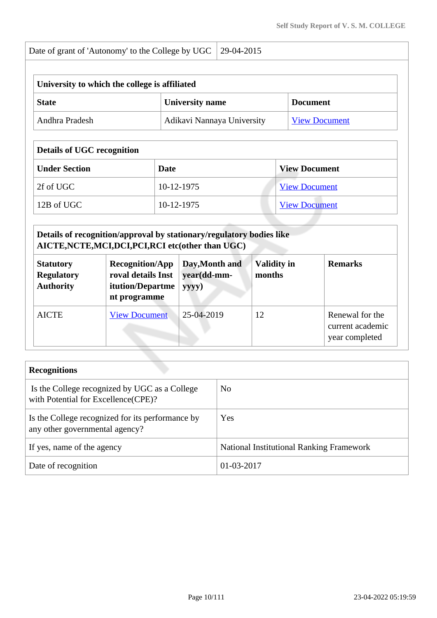| Date of grant of 'Autonomy' to the College by UGC 29-04-2015 |  |
|--------------------------------------------------------------|--|
| University to which the college is affiliated                |  |
|                                                              |  |

| <b>State</b>   | <b>University name</b>     | <b>Document</b>      |
|----------------|----------------------------|----------------------|
| Andhra Pradesh | Adikavi Nannaya University | <b>View Document</b> |

## **Details of UGC recognition**

| <b>Under Section</b>      | Date       | <b>View Document</b> |  |
|---------------------------|------------|----------------------|--|
| $\vert$ 2f of UGC $\vert$ | 10-12-1975 | <b>View Document</b> |  |
| 12B of UGC                | 10-12-1975 | <b>View Document</b> |  |

### **Details of recognition/approval by stationary/regulatory bodies like AICTE,NCTE,MCI,DCI,PCI,RCI etc(other than UGC)**

| <b>Statutory</b><br><b>Regulatory</b><br><b>Authority</b> | <b>Recognition/App</b><br>roval details Inst<br>itution/Departme<br>nt programme | Day, Month and<br>year(dd-mm-<br>yyyy) | Validity in<br>months | <b>Remarks</b>                                        |
|-----------------------------------------------------------|----------------------------------------------------------------------------------|----------------------------------------|-----------------------|-------------------------------------------------------|
| <b>AICTE</b>                                              | <b>View Document</b>                                                             | 25-04-2019                             | 12                    | Renewal for the<br>current academic<br>year completed |

| <b>Recognitions</b>                                                                  |                                                 |
|--------------------------------------------------------------------------------------|-------------------------------------------------|
| Is the College recognized by UGC as a College<br>with Potential for Excellence(CPE)? | N <sub>0</sub>                                  |
| Is the College recognized for its performance by<br>any other governmental agency?   | Yes                                             |
| If yes, name of the agency                                                           | <b>National Institutional Ranking Framework</b> |
| Date of recognition                                                                  | $01 - 03 - 2017$                                |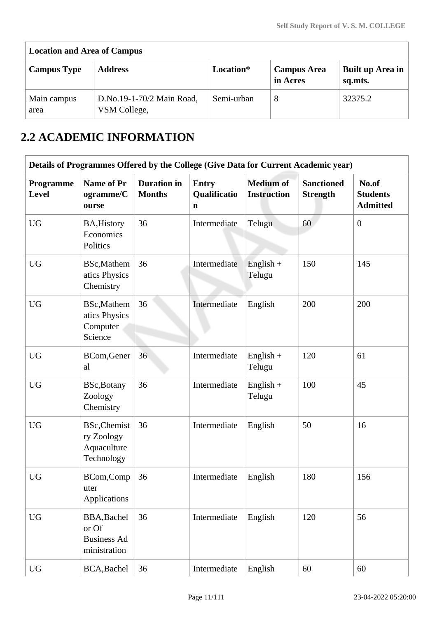| <b>Location and Area of Campus</b> |                                           |            |                                |                             |
|------------------------------------|-------------------------------------------|------------|--------------------------------|-----------------------------|
| <b>Campus Type</b>                 | <b>Address</b>                            | Location*  | <b>Campus Area</b><br>in Acres | Built up Area in<br>sq.mts. |
| Main campus<br>area                | D.No.19-1-70/2 Main Road,<br>VSM College, | Semi-urban | 8                              | 32375.2                     |

# **2.2 ACADEMIC INFORMATION**

| Details of Programmes Offered by the College (Give Data for Current Academic year) |                                                                |                                     |                                             |                                        |                                      |                                             |  |
|------------------------------------------------------------------------------------|----------------------------------------------------------------|-------------------------------------|---------------------------------------------|----------------------------------------|--------------------------------------|---------------------------------------------|--|
| Programme<br>Level                                                                 | <b>Name of Pr</b><br>ogramme/C<br>ourse                        | <b>Duration</b> in<br><b>Months</b> | <b>Entry</b><br>Qualificatio<br>$\mathbf n$ | <b>Medium of</b><br><b>Instruction</b> | <b>Sanctioned</b><br><b>Strength</b> | No.of<br><b>Students</b><br><b>Admitted</b> |  |
| <b>UG</b>                                                                          | <b>BA, History</b><br>Economics<br>Politics                    | 36                                  | Intermediate                                | Telugu                                 | 60                                   | $\overline{0}$                              |  |
| <b>UG</b>                                                                          | BSc, Mathem<br>atics Physics<br>Chemistry                      | 36                                  | Intermediate                                | $English +$<br>Telugu                  | 150                                  | 145                                         |  |
| <b>UG</b>                                                                          | BSc, Mathem<br>atics Physics<br>Computer<br>Science            | 36                                  | Intermediate                                | English                                | 200                                  | 200                                         |  |
| <b>UG</b>                                                                          | BCom, Gener<br>al                                              | 36                                  | Intermediate                                | $English +$<br>Telugu                  | 120                                  | 61                                          |  |
| <b>UG</b>                                                                          | BSc, Botany<br>Zoology<br>Chemistry                            | 36                                  | Intermediate                                | $English +$<br>Telugu                  | 100                                  | 45                                          |  |
| <b>UG</b>                                                                          | <b>BSc, Chemist</b><br>ry Zoology<br>Aquaculture<br>Technology | 36                                  | Intermediate                                | English                                | 50                                   | 16                                          |  |
| <b>UG</b>                                                                          | BCom,Comp<br>uter<br>Applications                              | 36                                  | Intermediate                                | English                                | 180                                  | 156                                         |  |
| <b>UG</b>                                                                          | BBA, Bachel<br>or Of<br><b>Business Ad</b><br>ministration     | 36                                  | Intermediate                                | English                                | 120                                  | 56                                          |  |
| <b>UG</b>                                                                          | BCA, Bachel                                                    | 36                                  | Intermediate                                | English                                | 60                                   | 60                                          |  |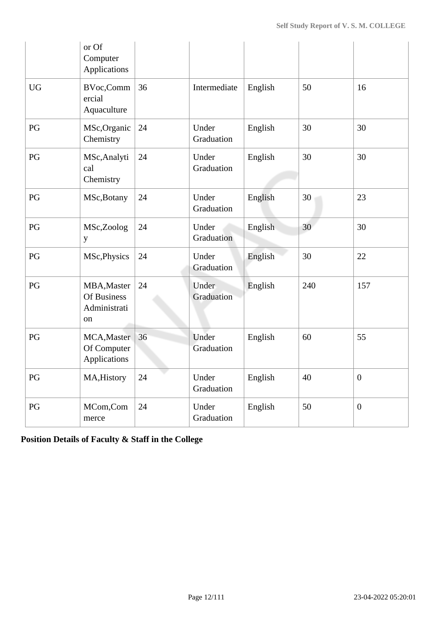|           | or Of<br>Computer<br>Applications                |    |                     |         |     |                  |
|-----------|--------------------------------------------------|----|---------------------|---------|-----|------------------|
| <b>UG</b> | BVoc,Comm<br>ercial<br>Aquaculture               | 36 | Intermediate        | English | 50  | 16               |
| PG        | MSc, Organic<br>Chemistry                        | 24 | Under<br>Graduation | English | 30  | 30               |
| PG        | MSc, Analyti<br>cal<br>Chemistry                 | 24 | Under<br>Graduation | English | 30  | 30               |
| PG        | MSc, Botany                                      | 24 | Under<br>Graduation | English | 30  | 23               |
| PG        | MSc,Zoolog<br>y                                  | 24 | Under<br>Graduation | English | 30  | 30               |
| PG        | MSc, Physics                                     | 24 | Under<br>Graduation | English | 30  | 22               |
| PG        | MBA, Master<br>Of Business<br>Administrati<br>on | 24 | Under<br>Graduation | English | 240 | 157              |
| PG        | MCA, Master<br>Of Computer<br>Applications       | 36 | Under<br>Graduation | English | 60  | 55               |
| PG        | MA, History                                      | 24 | Under<br>Graduation | English | 40  | $\boldsymbol{0}$ |
| PG        | MCom,Com<br>merce                                | 24 | Under<br>Graduation | English | 50  | $\boldsymbol{0}$ |

**Position Details of Faculty & Staff in the College**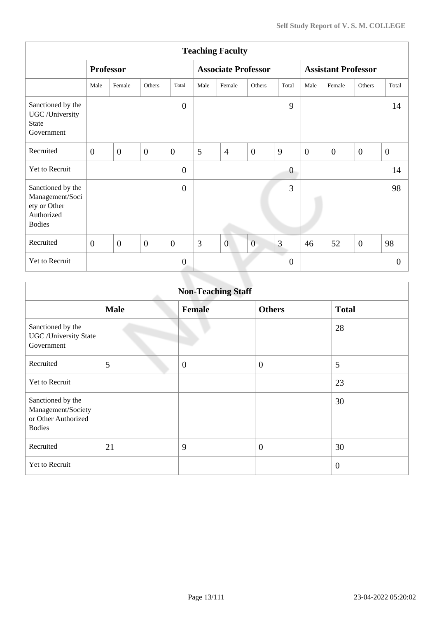| <b>Teaching Faculty</b>                                                             |                  |                  |                |                |      |                            |                |                  |                            |                |                |                  |
|-------------------------------------------------------------------------------------|------------------|------------------|----------------|----------------|------|----------------------------|----------------|------------------|----------------------------|----------------|----------------|------------------|
|                                                                                     |                  | <b>Professor</b> |                |                |      | <b>Associate Professor</b> |                |                  | <b>Assistant Professor</b> |                |                |                  |
|                                                                                     | Male             | Female           | Others         | Total          | Male | Female                     | Others         | Total            | Male                       | Female         | Others         | Total            |
| Sanctioned by the<br>UGC /University<br><b>State</b><br>Government                  |                  |                  |                | $\overline{0}$ |      |                            |                | 9                |                            |                |                | 14               |
| Recruited                                                                           | $\overline{0}$   | $\overline{0}$   | $\overline{0}$ | $\overline{0}$ | 5    | $\overline{4}$             | $\overline{0}$ | 9                | $\overline{0}$             | $\overline{0}$ | $\overline{0}$ | $\boldsymbol{0}$ |
| Yet to Recruit                                                                      |                  |                  |                | $\overline{0}$ |      |                            |                | $\boldsymbol{0}$ |                            |                |                | 14               |
| Sanctioned by the<br>Management/Soci<br>ety or Other<br>Authorized<br><b>Bodies</b> |                  |                  |                | $\overline{0}$ |      |                            |                | 3                |                            |                |                | 98               |
| Recruited                                                                           | $\boldsymbol{0}$ | $\overline{0}$   | $\overline{0}$ | $\overline{0}$ | 3    | $\overline{0}$             | $\overline{0}$ | 3                | 46                         | 52             | $\overline{0}$ | 98               |
| Yet to Recruit                                                                      |                  |                  |                | $\overline{0}$ |      |                            |                | $\overline{0}$   |                            |                |                | $\theta$         |
|                                                                                     |                  |                  |                |                |      |                            |                |                  |                            |                |                |                  |

| <b>Non-Teaching Staff</b>                                                       |             |               |                  |                |  |  |  |
|---------------------------------------------------------------------------------|-------------|---------------|------------------|----------------|--|--|--|
|                                                                                 | <b>Male</b> | <b>Female</b> | <b>Others</b>    | <b>Total</b>   |  |  |  |
| Sanctioned by the<br><b>UGC</b> / University State<br>Government                |             |               |                  | 28             |  |  |  |
| Recruited                                                                       | 5           | $\mathbf{0}$  | $\boldsymbol{0}$ | 5              |  |  |  |
| <b>Yet to Recruit</b>                                                           |             |               |                  | 23             |  |  |  |
| Sanctioned by the<br>Management/Society<br>or Other Authorized<br><b>Bodies</b> |             |               |                  | 30             |  |  |  |
| Recruited                                                                       | 21          | 9             | $\overline{0}$   | 30             |  |  |  |
| Yet to Recruit                                                                  |             |               |                  | $\overline{0}$ |  |  |  |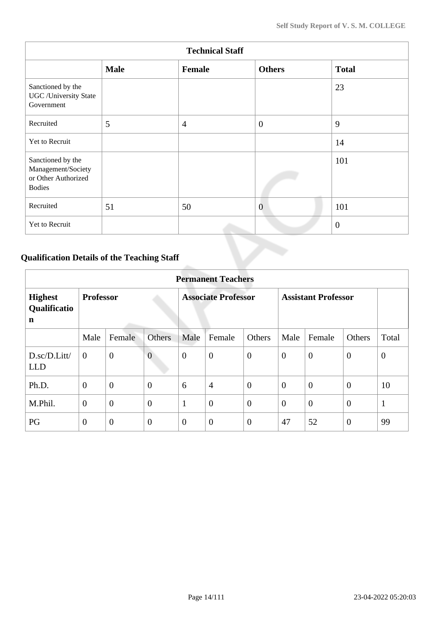| <b>Technical Staff</b>                                                          |             |                |                |                |  |  |
|---------------------------------------------------------------------------------|-------------|----------------|----------------|----------------|--|--|
|                                                                                 | <b>Male</b> | Female         | <b>Others</b>  | <b>Total</b>   |  |  |
| Sanctioned by the<br><b>UGC</b> / University State<br>Government                |             |                |                | 23             |  |  |
| Recruited                                                                       | 5           | $\overline{4}$ | $\overline{0}$ | 9              |  |  |
| Yet to Recruit                                                                  |             |                |                | 14             |  |  |
| Sanctioned by the<br>Management/Society<br>or Other Authorized<br><b>Bodies</b> |             |                |                | 101            |  |  |
| Recruited                                                                       | 51          | 50             | $\overline{0}$ | 101            |  |  |
| Yet to Recruit                                                                  |             |                |                | $\overline{0}$ |  |  |

# **Qualification Details of the Teaching Staff**

|                                     | <b>Permanent Teachers</b> |                  |                |                            |                  |                  |                            |                |                |              |
|-------------------------------------|---------------------------|------------------|----------------|----------------------------|------------------|------------------|----------------------------|----------------|----------------|--------------|
| <b>Highest</b><br>Qualificatio<br>n | <b>Professor</b>          |                  |                | <b>Associate Professor</b> |                  |                  | <b>Assistant Professor</b> |                |                |              |
|                                     | Male                      | Female           | Others         | Male                       | Female           | Others           | Male                       | Female         | <b>Others</b>  | Total        |
| D.sc/D.Litt/<br><b>LLD</b>          | $\overline{0}$            | $\boldsymbol{0}$ | $\overline{0}$ | $\mathbf{0}$               | $\boldsymbol{0}$ | $\overline{0}$   | $\theta$                   | $\overline{0}$ | $\overline{0}$ | $\mathbf{0}$ |
| Ph.D.                               | $\overline{0}$            | $\overline{0}$   | $\overline{0}$ | 6                          | $\overline{4}$   | $\overline{0}$   | $\theta$                   | $\overline{0}$ | $\overline{0}$ | 10           |
| M.Phil.                             | $\boldsymbol{0}$          | $\overline{0}$   | $\overline{0}$ | 1                          | $\overline{0}$   | $\overline{0}$   | $\overline{0}$             | $\overline{0}$ | $\overline{0}$ | $\mathbf{1}$ |
| PG                                  | $\boldsymbol{0}$          | $\overline{0}$   | $\overline{0}$ | $\overline{0}$             | $\boldsymbol{0}$ | $\boldsymbol{0}$ | 47                         | 52             | $\overline{0}$ | 99           |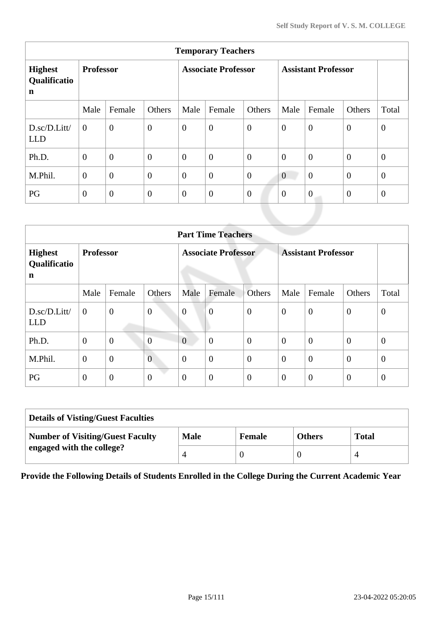| <b>Temporary Teachers</b>                     |                  |                |                            |                  |                  |                            |                  |                  |                |              |
|-----------------------------------------------|------------------|----------------|----------------------------|------------------|------------------|----------------------------|------------------|------------------|----------------|--------------|
| <b>Highest</b><br>Qualificatio<br>$\mathbf n$ | <b>Professor</b> |                | <b>Associate Professor</b> |                  |                  | <b>Assistant Professor</b> |                  |                  |                |              |
|                                               | Male             | Female         | Others                     | Male             | Female           | Others                     | Male             | Female           | Others         | Total        |
| D.sc/D.Litt/<br><b>LLD</b>                    | $\theta$         | $\overline{0}$ | $\overline{0}$             | $\overline{0}$   | $\overline{0}$   | $\overline{0}$             | $\overline{0}$   | $\overline{0}$   | $\mathbf{0}$   | $\mathbf{0}$ |
| Ph.D.                                         | $\overline{0}$   | $\overline{0}$ | $\overline{0}$             | $\boldsymbol{0}$ | $\overline{0}$   | $\overline{0}$             | $\overline{0}$   | $\overline{0}$   | $\mathbf{0}$   | $\mathbf{0}$ |
| M.Phil.                                       | $\overline{0}$   | $\overline{0}$ | $\overline{0}$             | $\boldsymbol{0}$ | $\overline{0}$   | $\overline{0}$             | $\boldsymbol{0}$ | $\overline{0}$   | $\mathbf{0}$   | $\theta$     |
| PG                                            | $\overline{0}$   | $\overline{0}$ | $\theta$                   | $\boldsymbol{0}$ | $\boldsymbol{0}$ | $\theta$                   | $\theta$         | $\boldsymbol{0}$ | $\overline{0}$ | $\mathbf{0}$ |
|                                               |                  |                |                            |                  |                  |                            |                  |                  |                |              |

| <b>Part Time Teachers</b>           |                  |                |                            |                |                |                            |                |                |                |                |
|-------------------------------------|------------------|----------------|----------------------------|----------------|----------------|----------------------------|----------------|----------------|----------------|----------------|
| <b>Highest</b><br>Qualificatio<br>n | <b>Professor</b> |                | <b>Associate Professor</b> |                |                | <b>Assistant Professor</b> |                |                |                |                |
|                                     | Male             | Female         | Others                     | Male           | Female         | Others                     | Male           | Female         | Others         | Total          |
| D.sc/D.Litt/<br><b>LLD</b>          | $\boldsymbol{0}$ | $\mathbf{0}$   | $\overline{0}$             | $\overline{0}$ | $\overline{0}$ | $\overline{0}$             | $\overline{0}$ | $\overline{0}$ | $\mathbf{0}$   | $\theta$       |
| Ph.D.                               | $\mathbf{0}$     | $\mathbf{0}$   | $\overline{0}$             | $\overline{0}$ | $\overline{0}$ | $\overline{0}$             | $\theta$       | $\overline{0}$ | $\overline{0}$ | $\overline{0}$ |
| M.Phil.                             | $\mathbf{0}$     | $\overline{0}$ | $\overline{0}$             | $\overline{0}$ | $\overline{0}$ | $\overline{0}$             | $\overline{0}$ | $\overline{0}$ | $\overline{0}$ | $\theta$       |
| PG                                  | $\mathbf{0}$     | $\overline{0}$ | $\overline{0}$             | $\overline{0}$ | $\overline{0}$ | $\overline{0}$             | $\theta$       | $\overline{0}$ | $\overline{0}$ | $\overline{0}$ |

| <b>Details of Visting/Guest Faculties</b> |             |               |               |              |  |  |
|-------------------------------------------|-------------|---------------|---------------|--------------|--|--|
| <b>Number of Visiting/Guest Faculty</b>   | <b>Male</b> | <b>Female</b> | <b>Others</b> | <b>Total</b> |  |  |
| engaged with the college?                 |             |               |               |              |  |  |

**Provide the Following Details of Students Enrolled in the College During the Current Academic Year**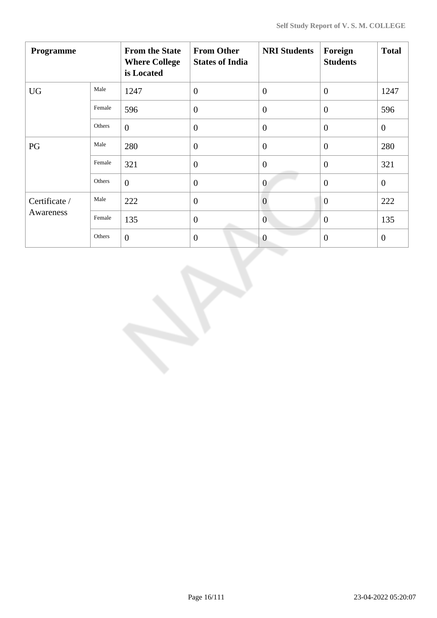| Programme     |        | <b>From the State</b><br><b>Where College</b><br>is Located | <b>From Other</b><br><b>States of India</b> | <b>NRI Students</b> | Foreign<br><b>Students</b> | <b>Total</b>   |
|---------------|--------|-------------------------------------------------------------|---------------------------------------------|---------------------|----------------------------|----------------|
| <b>UG</b>     | Male   | 1247                                                        | $\mathbf{0}$                                | $\theta$            | $\overline{0}$             | 1247           |
|               | Female | 596                                                         | $\overline{0}$                              | $\overline{0}$      | $\overline{0}$             | 596            |
|               | Others | $\overline{0}$                                              | $\overline{0}$                              | $\theta$            | $\overline{0}$             | $\mathbf{0}$   |
| PG            | Male   | 280                                                         | $\overline{0}$                              | $\overline{0}$      | $\overline{0}$             | 280            |
|               | Female | 321                                                         | $\mathbf{0}$                                | $\overline{0}$      | $\theta$                   | 321            |
|               | Others | $\overline{0}$                                              | $\overline{0}$                              | $\overline{0}$      | $\overline{0}$             | $\mathbf{0}$   |
| Certificate / | Male   | 222                                                         | $\overline{0}$                              | $\overline{0}$      | $\overline{0}$             | 222            |
| Awareness     | Female | 135                                                         | $\overline{0}$                              | $\overline{0}$      | $\overline{0}$             | 135            |
|               | Others | $\overline{0}$                                              | $\mathbf{0}$                                | $\overline{0}$      | $\mathbf{0}$               | $\overline{0}$ |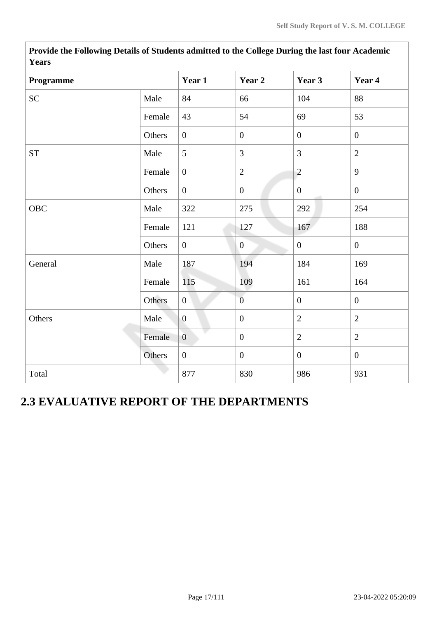| r ears      |        |                |                  |                  |                  |
|-------------|--------|----------------|------------------|------------------|------------------|
| Programme   |        | Year 1         | Year 2           | Year 3           | Year 4           |
| <b>SC</b>   | Male   | 84             | 66               | 104              | 88               |
|             | Female | 43             | 54               | 69               | 53               |
|             | Others | $\mathbf{0}$   | $\boldsymbol{0}$ | $\overline{0}$   | $\overline{0}$   |
| ${\cal ST}$ | Male   | 5              | 3                | 3                | $\overline{2}$   |
|             | Female | $\overline{0}$ | $\sqrt{2}$       | $\overline{c}$   | 9                |
|             | Others | $\overline{0}$ | $\boldsymbol{0}$ | $\mathbf{0}$     | $\mathbf{0}$     |
| OBC         | Male   | 322            | 275              | 292              | 254              |
|             | Female | 121            | 127              | 167              | 188              |
|             | Others | $\overline{0}$ | $\mathbf{0}$     | $\boldsymbol{0}$ | $\overline{0}$   |
| General     | Male   | 187            | 194              | 184              | 169              |
|             | Female | 115            | 109              | 161              | 164              |
|             | Others | $\overline{0}$ | $\overline{0}$   | $\mathbf{0}$     | $\mathbf{0}$     |
| Others      | Male   | $\overline{0}$ | $\boldsymbol{0}$ | $\overline{2}$   | $\overline{2}$   |
|             | Female | $\overline{0}$ | $\boldsymbol{0}$ | $\overline{2}$   | $\overline{2}$   |
|             | Others | $\overline{0}$ | $\boldsymbol{0}$ | $\overline{0}$   | $\boldsymbol{0}$ |
| Total       |        | 877            | 830              | 986              | 931              |

**Provide the Following Details of Students admitted to the College During the last four Academic Years**

# **2.3 EVALUATIVE REPORT OF THE DEPARTMENTS**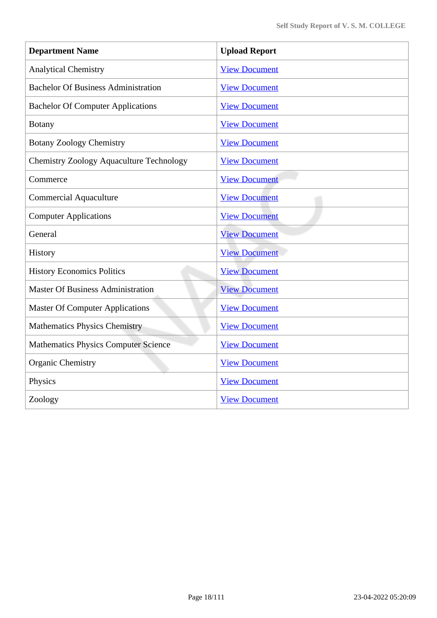| <b>Department Name</b>                          | <b>Upload Report</b> |
|-------------------------------------------------|----------------------|
| <b>Analytical Chemistry</b>                     | <b>View Document</b> |
| <b>Bachelor Of Business Administration</b>      | <b>View Document</b> |
| <b>Bachelor Of Computer Applications</b>        | <b>View Document</b> |
| <b>Botany</b>                                   | <b>View Document</b> |
| <b>Botany Zoology Chemistry</b>                 | <b>View Document</b> |
| <b>Chemistry Zoology Aquaculture Technology</b> | <b>View Document</b> |
| Commerce                                        | <b>View Document</b> |
| <b>Commercial Aquaculture</b>                   | <b>View Document</b> |
| <b>Computer Applications</b>                    | <b>View Document</b> |
| General                                         | <b>View Document</b> |
| History                                         | <b>View Document</b> |
| <b>History Economics Politics</b>               | <b>View Document</b> |
| <b>Master Of Business Administration</b>        | <b>View Document</b> |
| <b>Master Of Computer Applications</b>          | <b>View Document</b> |
| <b>Mathematics Physics Chemistry</b>            | <b>View Document</b> |
| <b>Mathematics Physics Computer Science</b>     | <b>View Document</b> |
| <b>Organic Chemistry</b>                        | <b>View Document</b> |
| Physics                                         | <b>View Document</b> |
| Zoology                                         | <b>View Document</b> |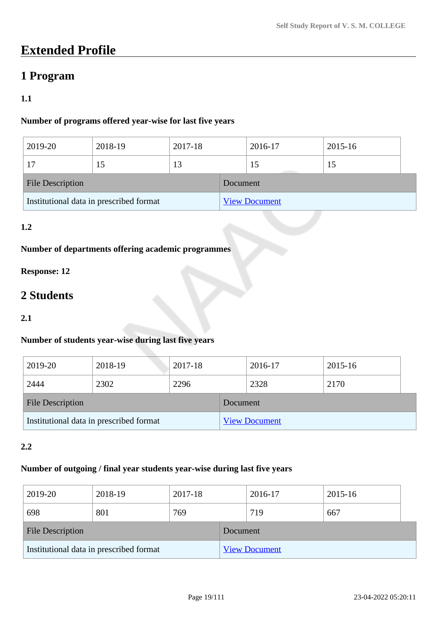# **Extended Profile**

# **1 Program**

# **1.1**

## **Number of programs offered year-wise for last five years**

| 2019-20                                 | 2018-19 | 2017-18 |          | 2016-17              | 2015-16 |  |
|-----------------------------------------|---------|---------|----------|----------------------|---------|--|
|                                         |         | 13      |          | 15                   | 15      |  |
| <b>File Description</b>                 |         |         | Document |                      |         |  |
| Institutional data in prescribed format |         |         |          | <b>View Document</b> |         |  |

# **1.2**

# **Number of departments offering academic programmes**

# **Response: 12**

# **2 Students**

### **2.1**

## **Number of students year-wise during last five years**

| 2019-20                                 | 2018-19 | 2017-18 |                      | 2016-17 | 2015-16 |  |
|-----------------------------------------|---------|---------|----------------------|---------|---------|--|
| 2444                                    | 2302    | 2296    |                      | 2328    | 2170    |  |
| <b>File Description</b>                 |         |         | Document             |         |         |  |
| Institutional data in prescribed format |         |         | <b>View Document</b> |         |         |  |

### **2.2**

### **Number of outgoing / final year students year-wise during last five years**

| 2019-20                                 | 2018-19 | 2017-18 |          | 2016-17              | 2015-16 |  |
|-----------------------------------------|---------|---------|----------|----------------------|---------|--|
| 698                                     | 801     | 769     |          | 719                  | 667     |  |
| <b>File Description</b>                 |         |         | Document |                      |         |  |
| Institutional data in prescribed format |         |         |          | <b>View Document</b> |         |  |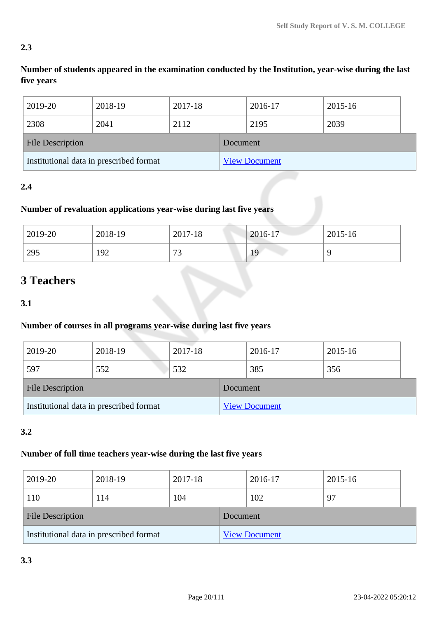## **2.3**

# **Number of students appeared in the examination conducted by the Institution, year-wise during the last five years**

| 2019-20                                 | 2018-19 | 2017-18 |          | 2016-17              | 2015-16 |
|-----------------------------------------|---------|---------|----------|----------------------|---------|
| 2308                                    | 2041    | 2112    |          | 2195                 | 2039    |
| <b>File Description</b>                 |         |         | Document |                      |         |
| Institutional data in prescribed format |         |         |          | <b>View Document</b> |         |

## **2.4**

# **Number of revaluation applications year-wise during last five years**

| 2019-20 | 2018-19 | 2017-18   | $2016-17$ | 2015-16 |
|---------|---------|-----------|-----------|---------|
| 295     | 192     | 70<br>ر ر | 19        | C       |

# **3 Teachers**

**3.1**

## **Number of courses in all programs year-wise during last five years**

| 2019-20                                 | 2018-19 | 2017-18 |          | 2016-17              | 2015-16 |  |
|-----------------------------------------|---------|---------|----------|----------------------|---------|--|
| 597                                     | 552     | 532     |          | 385                  | 356     |  |
| <b>File Description</b>                 |         |         | Document |                      |         |  |
| Institutional data in prescribed format |         |         |          | <b>View Document</b> |         |  |

## **3.2**

## **Number of full time teachers year-wise during the last five years**

| 2019-20                                 | 2018-19 | 2017-18 |          | 2016-17              | 2015-16 |
|-----------------------------------------|---------|---------|----------|----------------------|---------|
| 110                                     | 114     | 104     |          | 102                  | 97      |
| <b>File Description</b>                 |         |         | Document |                      |         |
| Institutional data in prescribed format |         |         |          | <b>View Document</b> |         |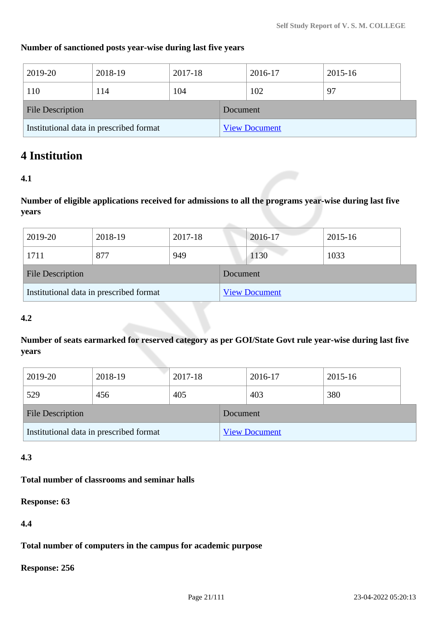### **Number of sanctioned posts year-wise during last five years**

| 2019-20                                 | 2018-19 | 2017-18 |          | 2016-17              | 2015-16 |
|-----------------------------------------|---------|---------|----------|----------------------|---------|
| 110                                     | 114     | 104     |          | 102                  | 97      |
| <b>File Description</b>                 |         |         | Document |                      |         |
| Institutional data in prescribed format |         |         |          | <b>View Document</b> |         |

# **4 Institution**

### **4.1**

**Number of eligible applications received for admissions to all the programs year-wise during last five years**

| 2019-20                                 | 2018-19 | 2017-18 |                      | 2016-17 | 2015-16 |
|-----------------------------------------|---------|---------|----------------------|---------|---------|
| 1711                                    | 877     | 949     |                      | 1130    | 1033    |
| <b>File Description</b>                 |         |         | Document             |         |         |
| Institutional data in prescribed format |         |         | <b>View Document</b> |         |         |

### **4.2**

**Number of seats earmarked for reserved category as per GOI/State Govt rule year-wise during last five years**

| 2019-20                                 | 2018-19 | 2017-18 |          | 2016-17              | 2015-16 |  |
|-----------------------------------------|---------|---------|----------|----------------------|---------|--|
| 529                                     | 456     | 405     |          | 403                  | 380     |  |
| <b>File Description</b>                 |         |         | Document |                      |         |  |
| Institutional data in prescribed format |         |         |          | <b>View Document</b> |         |  |

### **4.3**

### **Total number of classrooms and seminar halls**

**Response: 63**

**4.4**

**Total number of computers in the campus for academic purpose**

**Response: 256**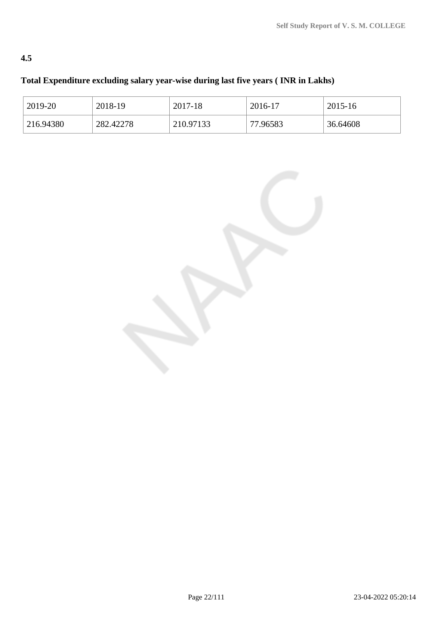# **4.5**

# **Total Expenditure excluding salary year-wise during last five years ( INR in Lakhs)**

| 2019-20    | 2018-19   | 2017-18   | 2016-17  | 2015-16  |
|------------|-----------|-----------|----------|----------|
| 1216.94380 | 282.42278 | 210.97133 | 77.96583 | 36.64608 |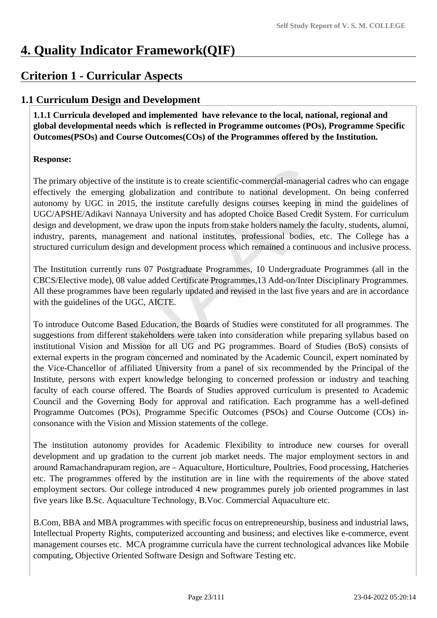# **4. Quality Indicator Framework(QIF)**

# **Criterion 1 - Curricular Aspects**

# **1.1 Curriculum Design and Development**

 **1.1.1 Curricula developed and implemented have relevance to the local, national, regional and global developmental needs which is reflected in Programme outcomes (POs), Programme Specific Outcomes(PSOs) and Course Outcomes(COs) of the Programmes offered by the Institution.**

## **Response:**

The primary objective of the institute is to create scientific-commercial-managerial cadres who can engage effectively the emerging globalization and contribute to national development. On being conferred autonomy by UGC in 2015, the institute carefully designs courses keeping in mind the guidelines of UGC/APSHE/Adikavi Nannaya University and has adopted Choice Based Credit System. For curriculum design and development, we draw upon the inputs from stake holders namely the faculty, students, alumni, industry, parents, management and national institutes, professional bodies, etc. The College has a structured curriculum design and development process which remained a continuous and inclusive process.

The Institution currently runs 07 Postgraduate Programmes, 10 Undergraduate Programmes (all in the CBCS/Elective mode), 08 value added Certificate Programmes,13 Add-on/Inter Disciplinary Programmes. All these programmes have been regularly updated and revised in the last five years and are in accordance with the guidelines of the UGC, AICTE.

To introduce Outcome Based Education, the Boards of Studies were constituted for all programmes. The suggestions from different stakeholders were taken into consideration while preparing syllabus based on institutional Vision and Mission for all UG and PG programmes. Board of Studies (BoS) consists of external experts in the program concerned and nominated by the Academic Council, expert nominated by the Vice-Chancellor of affiliated University from a panel of six recommended by the Principal of the Institute, persons with expert knowledge belonging to concerned profession or industry and teaching faculty of each course offered. The Boards of Studies approved curriculum is presented to Academic Council and the Governing Body for approval and ratification. Each programme has a well-defined Programme Outcomes (POs), Programme Specific Outcomes (PSOs) and Course Outcome (COs) inconsonance with the Vision and Mission statements of the college.

The institution autonomy provides for Academic Flexibility to introduce new courses for overall development and up gradation to the current job market needs. The major employment sectors in and around Ramachandrapuram region, are – Aquaculture, Horticulture, Poultries, Food processing, Hatcheries etc. The programmes offered by the institution are in line with the requirements of the above stated employment sectors. Our college introduced 4 new programmes purely job oriented programmes in last five years like B.Sc. Aquaculture Technology, B.Voc. Commercial Aquaculture etc.

B.Com, BBA and MBA programmes with specific focus on entrepreneurship, business and industrial laws, Intellectual Property Rights, computerized accounting and business; and electives like e-commerce, event management courses etc. MCA programme curricula have the current technological advances like Mobile computing, Objective Oriented Software Design and Software Testing etc.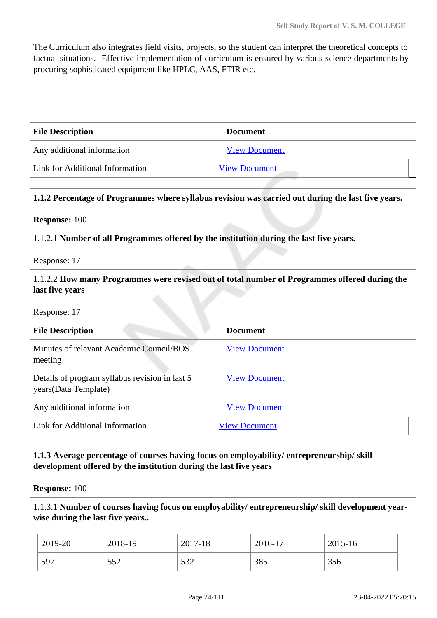The Curriculum also integrates field visits, projects, so the student can interpret the theoretical concepts to factual situations. Effective implementation of curriculum is ensured by various science departments by procuring sophisticated equipment like HPLC, AAS, FTIR etc.

| <b>File Description</b>         | <b>Document</b>      |
|---------------------------------|----------------------|
| Any additional information      | <b>View Document</b> |
| Link for Additional Information | <b>View Document</b> |

### **1.1.2 Percentage of Programmes where syllabus revision was carried out during the last five years.**

### **Response:** 100

1.1.2.1 **Number of all Programmes offered by the institution during the last five years.**

Response: 17

### 1.1.2.2 **How many Programmes were revised out of total number of Programmes offered during the last five years**

Response: 17

| <b>File Description</b>                                                 | <b>Document</b>      |
|-------------------------------------------------------------------------|----------------------|
| Minutes of relevant Academic Council/BOS<br>meeting                     | <b>View Document</b> |
| Details of program syllabus revision in last 5<br>years (Data Template) | <b>View Document</b> |
| Any additional information                                              | <b>View Document</b> |
| Link for Additional Information                                         | <b>View Document</b> |

### **1.1.3 Average percentage of courses having focus on employability/ entrepreneurship/ skill development offered by the institution during the last five years**

#### **Response:** 100

1.1.3.1 **Number of courses having focus on employability/ entrepreneurship/ skill development yearwise during the last five years..**

| 2019-20 | 2018-19 | 2017-18    | 2016-17 | 2015-16 |
|---------|---------|------------|---------|---------|
| .597    | 552     | 532<br>ے ت | 385     | 356     |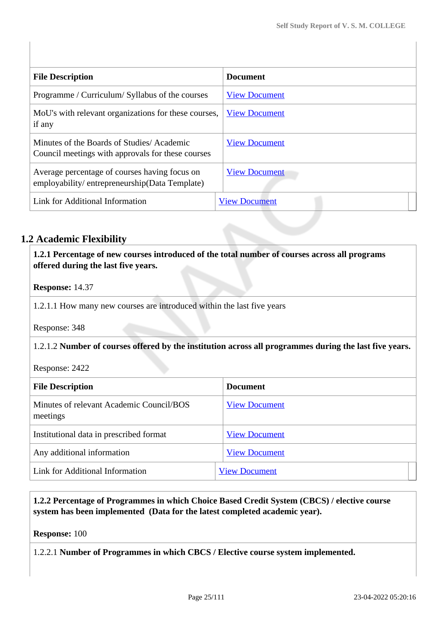| <b>File Description</b>                                                                        | <b>Document</b>      |
|------------------------------------------------------------------------------------------------|----------------------|
| Programme / Curriculum/ Syllabus of the courses                                                | <b>View Document</b> |
| MoU's with relevant organizations for these courses,<br>if any                                 | <b>View Document</b> |
| Minutes of the Boards of Studies/Academic<br>Council meetings with approvals for these courses | <b>View Document</b> |
| Average percentage of courses having focus on<br>employability/entrepreneurship(Data Template) | <b>View Document</b> |
| Link for Additional Information                                                                | <b>View Document</b> |

# **1.2 Academic Flexibility**

 **1.2.1 Percentage of new courses introduced of the total number of courses across all programs offered during the last five years.**

### **Response:** 14.37

1.2.1.1 How many new courses are introduced within the last five years

Response: 348

### 1.2.1.2 **Number of courses offered by the institution across all programmes during the last five years.**

Response: 2422

| <b>File Description</b>                              | <b>Document</b>      |
|------------------------------------------------------|----------------------|
| Minutes of relevant Academic Council/BOS<br>meetings | <b>View Document</b> |
| Institutional data in prescribed format              | <b>View Document</b> |
| Any additional information                           | <b>View Document</b> |
| Link for Additional Information                      | <b>View Document</b> |

### **1.2.2 Percentage of Programmes in which Choice Based Credit System (CBCS) / elective course system has been implemented (Data for the latest completed academic year).**

### **Response:** 100

1.2.2.1 **Number of Programmes in which CBCS / Elective course system implemented.**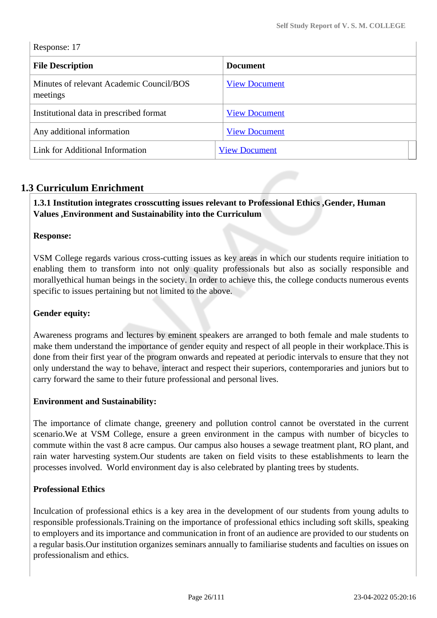Response: 17

| <b>File Description</b>                              | <b>Document</b>      |
|------------------------------------------------------|----------------------|
| Minutes of relevant Academic Council/BOS<br>meetings | <b>View Document</b> |
| Institutional data in prescribed format              | <b>View Document</b> |
| Any additional information                           | <b>View Document</b> |
| Link for Additional Information                      | <b>View Document</b> |

# **1.3 Curriculum Enrichment**

### **1.3.1 Institution integrates crosscutting issues relevant to Professional Ethics ,Gender, Human Values ,Environment and Sustainability into the Curriculum**

### **Response:**

VSM College regards various cross-cutting issues as key areas in which our students require initiation to enabling them to transform into not only quality professionals but also as socially responsible and morallyethical human beings in the society. In order to achieve this, the college conducts numerous events specific to issues pertaining but not limited to the above.

### **Gender equity:**

Awareness programs and lectures by eminent speakers are arranged to both female and male students to make them understand the importance of gender equity and respect of all people in their workplace.This is done from their first year of the program onwards and repeated at periodic intervals to ensure that they not only understand the way to behave, interact and respect their superiors, contemporaries and juniors but to carry forward the same to their future professional and personal lives.

### **Environment and Sustainability:**

The importance of climate change, greenery and pollution control cannot be overstated in the current scenario.We at VSM College, ensure a green environment in the campus with number of bicycles to commute within the vast 8 acre campus. Our campus also houses a sewage treatment plant, RO plant, and rain water harvesting system.Our students are taken on field visits to these establishments to learn the processes involved. World environment day is also celebrated by planting trees by students.

### **Professional Ethics**

Inculcation of professional ethics is a key area in the development of our students from young adults to responsible professionals.Training on the importance of professional ethics including soft skills, speaking to employers and its importance and communication in front of an audience are provided to our students on a regular basis.Our institution organizes seminars annually to familiarise students and faculties on issues on professionalism and ethics.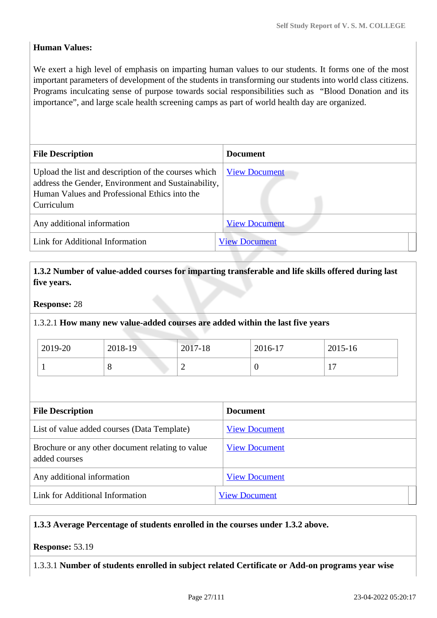### **Human Values:**

We exert a high level of emphasis on imparting human values to our students. It forms one of the most important parameters of development of the students in transforming our students into world class citizens. Programs inculcating sense of purpose towards social responsibilities such as "Blood Donation and its importance", and large scale health screening camps as part of world health day are organized.

| <b>File Description</b>                                                                                                                                                    | <b>Document</b>      |
|----------------------------------------------------------------------------------------------------------------------------------------------------------------------------|----------------------|
| Upload the list and description of the courses which<br>address the Gender, Environment and Sustainability,<br>Human Values and Professional Ethics into the<br>Curriculum | <b>View Document</b> |
| Any additional information                                                                                                                                                 | <b>View Document</b> |
| Link for Additional Information                                                                                                                                            | <b>View Document</b> |

### **1.3.2 Number of value-added courses for imparting transferable and life skills offered during last five years.**

### **Response:** 28

### 1.3.2.1 **How many new value-added courses are added within the last five years**

| 2019-20 | 2018-19 | 2017-18 | 2016-17 | 2015-16                                    |
|---------|---------|---------|---------|--------------------------------------------|
|         | ◡       | ∸       |         | 1 <sub>7</sub><br>$\overline{\phantom{a}}$ |

| <b>File Description</b>                                           | <b>Document</b>      |
|-------------------------------------------------------------------|----------------------|
| List of value added courses (Data Template)                       | <b>View Document</b> |
| Brochure or any other document relating to value<br>added courses | <b>View Document</b> |
| Any additional information                                        | <b>View Document</b> |
| Link for Additional Information                                   | <b>View Document</b> |

### **1.3.3 Average Percentage of students enrolled in the courses under 1.3.2 above.**

### **Response:** 53.19

1.3.3.1 **Number of students enrolled in subject related Certificate or Add-on programs year wise**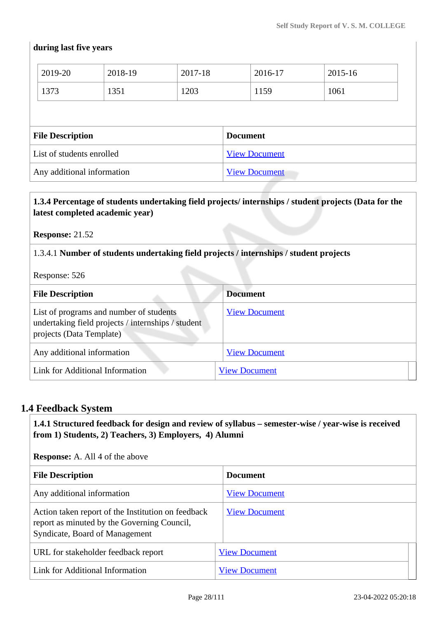## **during last five years**

| 2019-20                   | 2018-19 | 2017-18         |  | 2016-17              | 2015-16 |
|---------------------------|---------|-----------------|--|----------------------|---------|
| 1373                      | 1351    | 1203            |  | 1159                 | 1061    |
|                           |         |                 |  |                      |         |
| <b>File Description</b>   |         | <b>Document</b> |  |                      |         |
|                           |         |                 |  |                      |         |
| List of students enrolled |         |                 |  | <b>View Document</b> |         |

### **1.3.4 Percentage of students undertaking field projects/ internships / student projects (Data for the latest completed academic year)**

**Response:** 21.52

1.3.4.1 **Number of students undertaking field projects / internships / student projects**

Response: 526

| <b>File Description</b>                                                                                                   | <b>Document</b>      |
|---------------------------------------------------------------------------------------------------------------------------|----------------------|
| List of programs and number of students<br>undertaking field projects / internships / student<br>projects (Data Template) | <b>View Document</b> |
| Any additional information                                                                                                | <b>View Document</b> |
| Link for Additional Information                                                                                           | <b>View Document</b> |

## **1.4 Feedback System**

 **1.4.1 Structured feedback for design and review of syllabus – semester-wise / year-wise is received from 1) Students, 2) Teachers, 3) Employers, 4) Alumni**

**Response:** A. All 4 of the above

| <b>File Description</b>                                                                                                             | <b>Document</b>      |
|-------------------------------------------------------------------------------------------------------------------------------------|----------------------|
| Any additional information                                                                                                          | <b>View Document</b> |
| Action taken report of the Institution on feedback<br>report as minuted by the Governing Council,<br>Syndicate, Board of Management | <b>View Document</b> |
| URL for stakeholder feedback report                                                                                                 | <b>View Document</b> |
| Link for Additional Information                                                                                                     | <b>View Document</b> |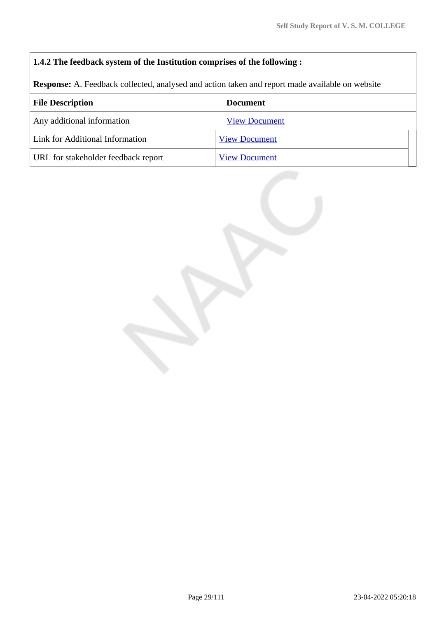## **1.4.2 The feedback system of the Institution comprises of the following :**

**Response:** A. Feedback collected, analysed and action taken and report made available on website

| <b>File Description</b>             | <b>Document</b>      |
|-------------------------------------|----------------------|
| Any additional information          | <b>View Document</b> |
| Link for Additional Information     | <b>View Document</b> |
| URL for stakeholder feedback report | <b>View Document</b> |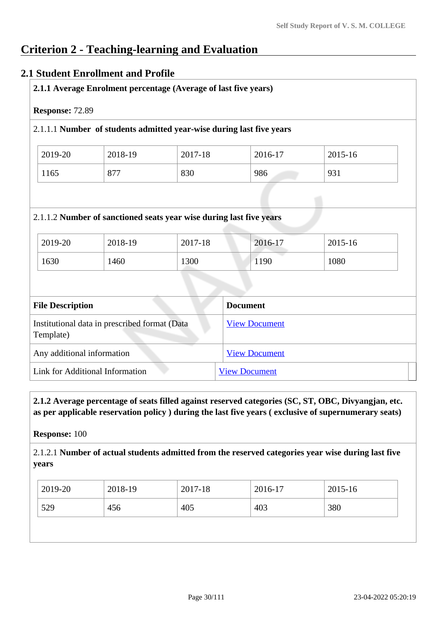# **Criterion 2 - Teaching-learning and Evaluation**

## **2.1 Student Enrollment and Profile**

|                                                                            |                                               | 2.1.1.1 Number of students admitted year-wise during last five years |                      |         |
|----------------------------------------------------------------------------|-----------------------------------------------|----------------------------------------------------------------------|----------------------|---------|
| 2019-20                                                                    | 2018-19                                       | 2017-18                                                              | 2016-17              | 2015-16 |
| 1165                                                                       | 877                                           | 830                                                                  | 986                  | 931     |
|                                                                            | 2018-19                                       | 2017-18                                                              | 2016-17              |         |
| 2019-20                                                                    |                                               |                                                                      |                      |         |
|                                                                            | 1460                                          | 1300                                                                 | 1190                 | 1080    |
|                                                                            |                                               |                                                                      | <b>Document</b>      |         |
|                                                                            | Institutional data in prescribed format (Data |                                                                      | <b>View Document</b> |         |
| 1630<br><b>File Description</b><br>Template)<br>Any additional information |                                               |                                                                      | <b>View Document</b> |         |

 **2.1.2 Average percentage of seats filled against reserved categories (SC, ST, OBC, Divyangjan, etc. as per applicable reservation policy ) during the last five years ( exclusive of supernumerary seats)**

**Response:** 100

2.1.2.1 **Number of actual students admitted from the reserved categories year wise during last five years**

| 2019-20<br>2018-19<br>2016-17   | 2015-16 |
|---------------------------------|---------|
| 529<br>380<br>403<br>405<br>456 |         |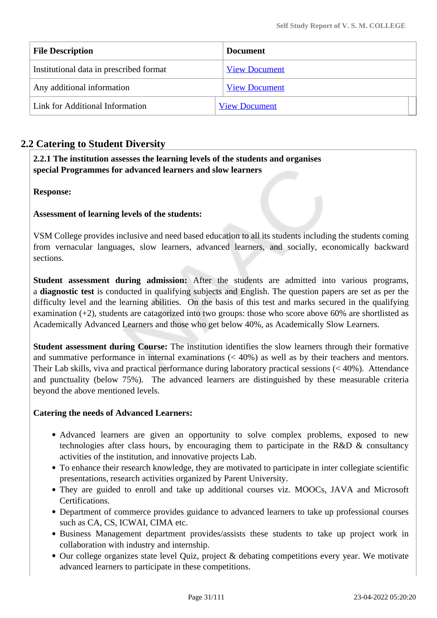| <b>File Description</b>                 | <b>Document</b>      |
|-----------------------------------------|----------------------|
| Institutional data in prescribed format | <b>View Document</b> |
| Any additional information              | <b>View Document</b> |
| Link for Additional Information         | <b>View Document</b> |

# **2.2 Catering to Student Diversity**

 **2.2.1 The institution assesses the learning levels of the students and organises special Programmes for advanced learners and slow learners**

**Response:** 

**Assessment of learning levels of the students:** 

VSM College provides inclusive and need based education to all its students including the students coming from vernacular languages, slow learners, advanced learners, and socially, economically backward sections.

**Student assessment during admission:** After the students are admitted into various programs, a **diagnostic test** is conducted in qualifying subjects and English. The question papers are set as per the difficulty level and the learning abilities. On the basis of this test and marks secured in the qualifying examination (+2), students are catagorized into two groups: those who score above 60% are shortlisted as Academically Advanced Learners and those who get below 40%, as Academically Slow Learners.

**Student assessment during Course:** The institution identifies the slow learners through their formative and summative performance in internal examinations (< 40%) as well as by their teachers and mentors. Their Lab skills, viva and practical performance during laboratory practical sessions (< 40%). Attendance and punctuality (below 75%). The advanced learners are distinguished by these measurable criteria beyond the above mentioned levels.

### **Catering the needs of Advanced Learners:**

- Advanced learners are given an opportunity to solve complex problems, exposed to new technologies after class hours, by encouraging them to participate in the R&D & consultancy activities of the institution, and innovative projects Lab.
- To enhance their research knowledge, they are motivated to participate in inter collegiate scientific presentations, research activities organized by Parent University.
- They are guided to enroll and take up additional courses viz. MOOCs, JAVA and Microsoft Certifications.
- Department of commerce provides guidance to advanced learners to take up professional courses such as CA, CS, ICWAI, CIMA etc.
- Business Management department provides/assists these students to take up project work in collaboration with industry and internship.
- Our college organizes state level Quiz, project & debating competitions every year. We motivate advanced learners to participate in these competitions.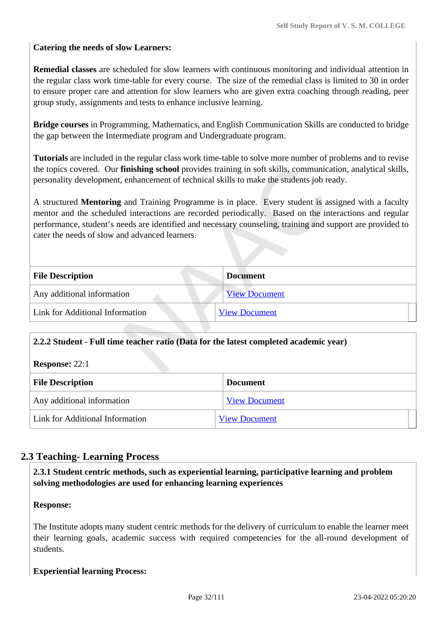### **Catering the needs of slow Learners:**

**Remedial classes** are scheduled for slow learners with continuous monitoring and individual attention in the regular class work time-table for every course. The size of the remedial class is limited to 30 in order to ensure proper care and attention for slow learners who are given extra coaching through reading, peer group study, assignments and tests to enhance inclusive learning.

**Bridge courses** in Programming, Mathematics, and English Communication Skills are conducted to bridge the gap between the Intermediate program and Undergraduate program.

**Tutorials** are included in the regular class work time-table to solve more number of problems and to revise the topics covered. Our **finishing school** provides training in soft skills, communication, analytical skills, personality development, enhancement of technical skills to make the students job ready.

A structured **Mentoring** and Training Programme is in place. Every student is assigned with a faculty mentor and the scheduled interactions are recorded periodically. Based on the interactions and regular performance, student's needs are identified and necessary counseling, training and support are provided to cater the needs of slow and advanced learners.

| <b>File Description</b>         | <b>Document</b>      |  |
|---------------------------------|----------------------|--|
| Any additional information      | <b>View Document</b> |  |
| Link for Additional Information | <b>View Document</b> |  |
|                                 |                      |  |

## **2.2.2 Student - Full time teacher ratio (Data for the latest completed academic year)**

| <b>Response: 22:1</b> |  |
|-----------------------|--|
|-----------------------|--|

| <b>File Description</b>         | <b>Document</b>      |  |  |
|---------------------------------|----------------------|--|--|
| Any additional information      | <b>View Document</b> |  |  |
| Link for Additional Information | <b>View Document</b> |  |  |

## **2.3 Teaching- Learning Process**

 **2.3.1 Student centric methods, such as experiential learning, participative learning and problem solving methodologies are used for enhancing learning experiences**

### **Response:**

The Institute adopts many student centric methods for the delivery of curriculum to enable the learner meet their learning goals, academic success with required competencies for the all-round development of students.

### **Experiential learning Process:**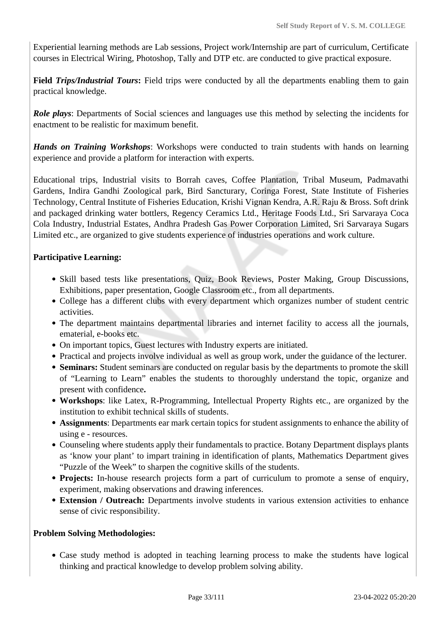Experiential learning methods are Lab sessions, Project work/Internship are part of curriculum, Certificate courses in Electrical Wiring, Photoshop, Tally and DTP etc. are conducted to give practical exposure.

**Field** *Trips/Industrial Tours*: Field trips were conducted by all the departments enabling them to gain practical knowledge.

*Role plays*: Departments of Social sciences and languages use this method by selecting the incidents for enactment to be realistic for maximum benefit.

*Hands on Training Workshops*: Workshops were conducted to train students with hands on learning experience and provide a platform for interaction with experts.

Educational trips, Industrial visits to Borrah caves, Coffee Plantation, Tribal Museum, Padmavathi Gardens, Indira Gandhi Zoological park, Bird Sancturary, Coringa Forest, State Institute of Fisheries Technology, Central Institute of Fisheries Education, Krishi Vignan Kendra, A.R. Raju & Bross. Soft drink and packaged drinking water bottlers, Regency Ceramics Ltd., Heritage Foods Ltd., Sri Sarvaraya Coca Cola Industry, Industrial Estates, Andhra Pradesh Gas Power Corporation Limited, Sri Sarvaraya Sugars Limited etc., are organized to give students experience of industries operations and work culture.

## **Participative Learning:**

- Skill based tests like presentations, Quiz, Book Reviews, Poster Making, Group Discussions, Exhibitions, paper presentation, Google Classroom etc., from all departments.
- College has a different clubs with every department which organizes number of student centric activities.
- The department maintains departmental libraries and internet facility to access all the journals, ematerial, e-books etc.
- On important topics, Guest lectures with Industry experts are initiated.
- Practical and projects involve individual as well as group work, under the guidance of the lecturer.
- **Seminars:** Student seminars are conducted on regular basis by the departments to promote the skill of "Learning to Learn" enables the students to thoroughly understand the topic, organize and present with confidence**.**
- **Workshops**: like Latex, R-Programming, Intellectual Property Rights etc., are organized by the institution to exhibit technical skills of students.
- **Assignments**: Departments ear mark certain topics for student assignments to enhance the ability of using e - resources.
- Counseling where students apply their fundamentals to practice. Botany Department displays plants as 'know your plant' to impart training in identification of plants, Mathematics Department gives "Puzzle of the Week" to sharpen the cognitive skills of the students.
- **Projects:** In-house research projects form a part of curriculum to promote a sense of enquiry, experiment, making observations and drawing inferences.
- **Extension / Outreach:** Departments involve students in various extension activities to enhance sense of civic responsibility.

### **Problem Solving Methodologies:**

Case study method is adopted in teaching learning process to make the students have logical thinking and practical knowledge to develop problem solving ability.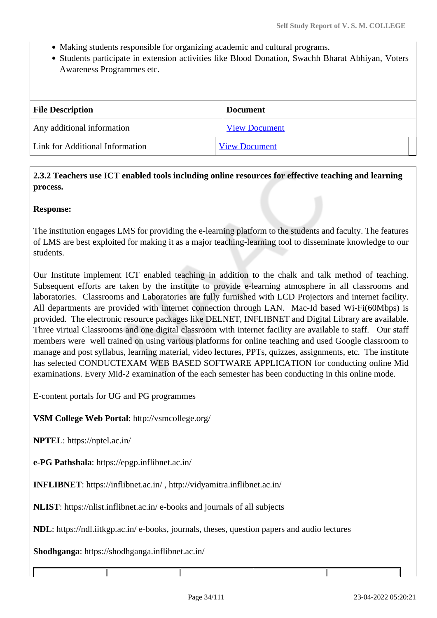- Making students responsible for organizing academic and cultural programs.
- Students participate in extension activities like Blood Donation, Swachh Bharat Abhiyan, Voters Awareness Programmes etc.

| <b>File Description</b>         | <b>Document</b>      |  |  |
|---------------------------------|----------------------|--|--|
| Any additional information      | <b>View Document</b> |  |  |
| Link for Additional Information | <b>View Document</b> |  |  |

### **2.3.2 Teachers use ICT enabled tools including online resources for effective teaching and learning process.**

### **Response:**

The institution engages LMS for providing the e-learning platform to the students and faculty. The features of LMS are best exploited for making it as a major teaching-learning tool to disseminate knowledge to our students.

Our Institute implement ICT enabled teaching in addition to the chalk and talk method of teaching. Subsequent efforts are taken by the institute to provide e-learning atmosphere in all classrooms and laboratories. Classrooms and Laboratories are fully furnished with LCD Projectors and internet facility. All departments are provided with internet connection through LAN. Mac-Id based Wi-Fi(60Mbps) is provided. The electronic resource packages like DELNET, INFLIBNET and Digital Library are available. Three virtual Classrooms and one digital classroom with internet facility are available to staff. Our staff members were well trained on using various platforms for online teaching and used Google classroom to manage and post syllabus, learning material, video lectures, PPTs, quizzes, assignments, etc. The institute has selected CONDUCTEXAM WEB BASED SOFTWARE APPLICATION for conducting online Mid examinations. Every Mid-2 examination of the each semester has been conducting in this online mode.

E-content portals for UG and PG programmes

**VSM College Web Portal**: http://vsmcollege.org/

**NPTEL**: https://nptel.ac.in/

**e-PG Pathshala**: https://epgp.inflibnet.ac.in/

**INFLIBNET**: https://inflibnet.ac.in/ , http://vidyamitra.inflibnet.ac.in/

**NLIST**: https://nlist.inflibnet.ac.in/ e-books and journals of all subjects

**NDL**: https://ndl.iitkgp.ac.in/ e-books, journals, theses, question papers and audio lectures

**Shodhganga**: https://shodhganga.inflibnet.ac.in/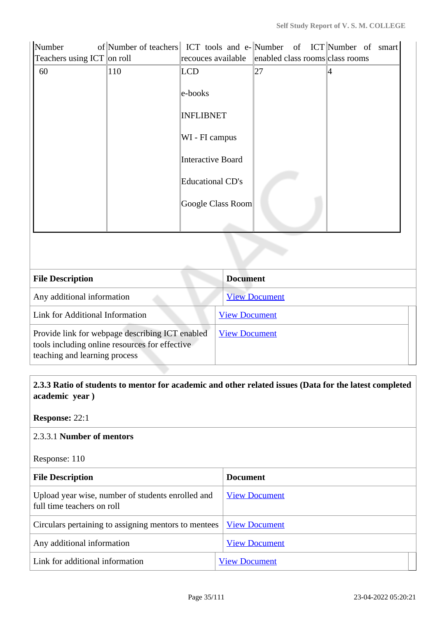| Number<br>Teachers using ICT on roll | of Number of teachers ICT tools and e-Number of ICT Number of smart | recouces available       |                      | enabled class rooms class rooms |   |  |
|--------------------------------------|---------------------------------------------------------------------|--------------------------|----------------------|---------------------------------|---|--|
| 60                                   | 110                                                                 | <b>LCD</b>               |                      | 27                              | 4 |  |
|                                      |                                                                     | e-books                  |                      |                                 |   |  |
|                                      | <b>INFLIBNET</b>                                                    |                          |                      |                                 |   |  |
| WI - FI campus                       |                                                                     |                          |                      |                                 |   |  |
|                                      |                                                                     | <b>Interactive Board</b> |                      |                                 |   |  |
|                                      |                                                                     | <b>Educational CD's</b>  |                      |                                 |   |  |
|                                      |                                                                     |                          | Google Class Room    |                                 |   |  |
|                                      |                                                                     |                          |                      |                                 |   |  |
|                                      |                                                                     |                          |                      |                                 |   |  |
| <b>File Description</b>              |                                                                     | <b>Document</b>          |                      |                                 |   |  |
| Any additional information           |                                                                     |                          |                      | <b>View Document</b>            |   |  |
| Link for Additional Information      |                                                                     |                          | <b>View Document</b> |                                 |   |  |

Provide link for webpage describing ICT enabled tools including online resources for effective teaching and learning process [View Document](https://www.vsm.edu.in/vsm/classphoto.php)

 **2.3.3 Ratio of students to mentor for academic and other related issues (Data for the latest completed academic year )**

**Response:** 22:1

### 2.3.3.1 **Number of mentors**

Response: 110

| <b>File Description</b>                                                         | <b>Document</b>      |  |  |  |
|---------------------------------------------------------------------------------|----------------------|--|--|--|
| Upload year wise, number of students enrolled and<br>full time teachers on roll | <b>View Document</b> |  |  |  |
| Circulars pertaining to assigning mentors to mentees                            | <b>View Document</b> |  |  |  |
| Any additional information                                                      | <b>View Document</b> |  |  |  |
| Link for additional information                                                 | <b>View Document</b> |  |  |  |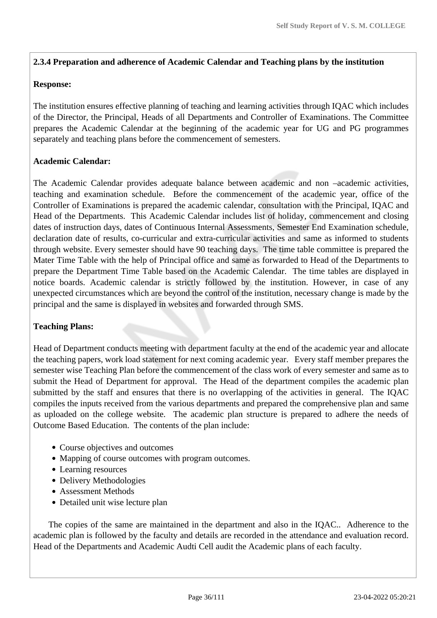### **2.3.4 Preparation and adherence of Academic Calendar and Teaching plans by the institution**

### **Response:**

The institution ensures effective planning of teaching and learning activities through IQAC which includes of the Director, the Principal, Heads of all Departments and Controller of Examinations. The Committee prepares the Academic Calendar at the beginning of the academic year for UG and PG programmes separately and teaching plans before the commencement of semesters.

### **Academic Calendar:**

The Academic Calendar provides adequate balance between academic and non –academic activities, teaching and examination schedule. Before the commencement of the academic year, office of the Controller of Examinations is prepared the academic calendar, consultation with the Principal, IQAC and Head of the Departments. This Academic Calendar includes list of holiday, commencement and closing dates of instruction days, dates of Continuous Internal Assessments, Semester End Examination schedule, declaration date of results, co-curricular and extra-curricular activities and same as informed to students through website. Every semester should have 90 teaching days. The time table committee is prepared the Mater Time Table with the help of Principal office and same as forwarded to Head of the Departments to prepare the Department Time Table based on the Academic Calendar. The time tables are displayed in notice boards. Academic calendar is strictly followed by the institution. However, in case of any unexpected circumstances which are beyond the control of the institution, necessary change is made by the principal and the same is displayed in websites and forwarded through SMS.

### **Teaching Plans:**

Head of Department conducts meeting with department faculty at the end of the academic year and allocate the teaching papers, work load statement for next coming academic year. Every staff member prepares the semester wise Teaching Plan before the commencement of the class work of every semester and same as to submit the Head of Department for approval. The Head of the department compiles the academic plan submitted by the staff and ensures that there is no overlapping of the activities in general. The IQAC compiles the inputs received from the various departments and prepared the comprehensive plan and same as uploaded on the college website. The academic plan structure is prepared to adhere the needs of Outcome Based Education. The contents of the plan include:

- Course objectives and outcomes
- Mapping of course outcomes with program outcomes.
- Learning resources
- Delivery Methodologies
- Assessment Methods
- Detailed unit wise lecture plan

 The copies of the same are maintained in the department and also in the IQAC.. Adherence to the academic plan is followed by the faculty and details are recorded in the attendance and evaluation record. Head of the Departments and Academic Audti Cell audit the Academic plans of each faculty.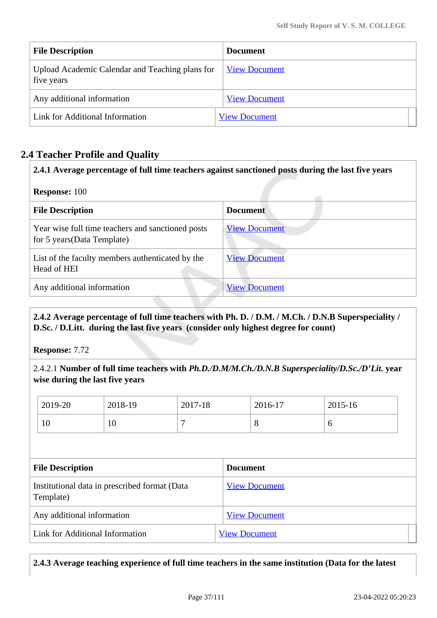| <b>File Description</b>                                       | <b>Document</b>      |
|---------------------------------------------------------------|----------------------|
| Upload Academic Calendar and Teaching plans for<br>five years | <b>View Document</b> |
| Any additional information                                    | <b>View Document</b> |
| Link for Additional Information                               | <b>View Document</b> |

## **2.4 Teacher Profile and Quality**

| 2.4.1 Average percentage of full time teachers against sanctioned posts during the last five years |                      |  |
|----------------------------------------------------------------------------------------------------|----------------------|--|
| <b>Response: 100</b>                                                                               |                      |  |
| <b>File Description</b>                                                                            | <b>Document</b>      |  |
| Year wise full time teachers and sanctioned posts<br>for 5 years (Data Template)                   | <b>View Document</b> |  |
| List of the faculty members authenticated by the<br>Head of HEI                                    | <b>View Document</b> |  |
| Any additional information                                                                         | <b>View Document</b> |  |

 **2.4.2 Average percentage of full time teachers with Ph. D. / D.M. / M.Ch. / D.N.B Superspeciality / D.Sc. / D.Litt. during the last five years (consider only highest degree for count)**

**Response:** 7.72

2.4.2.1 **Number of full time teachers with** *Ph.D./D.M/M.Ch./D.N.B Superspeciality/D.Sc./D'Lit.* **year wise during the last five years**

| 2019-20 | 2018-19 | 2017-18 | 2016-17 | 2015-16 |
|---------|---------|---------|---------|---------|
| 10      | 10      |         | ◡       | v       |

| <b>File Description</b>                                    | <b>Document</b>      |
|------------------------------------------------------------|----------------------|
| Institutional data in prescribed format (Data<br>Template) | <b>View Document</b> |
| Any additional information                                 | <b>View Document</b> |
| Link for Additional Information                            | <b>View Document</b> |

**2.4.3 Average teaching experience of full time teachers in the same institution (Data for the latest**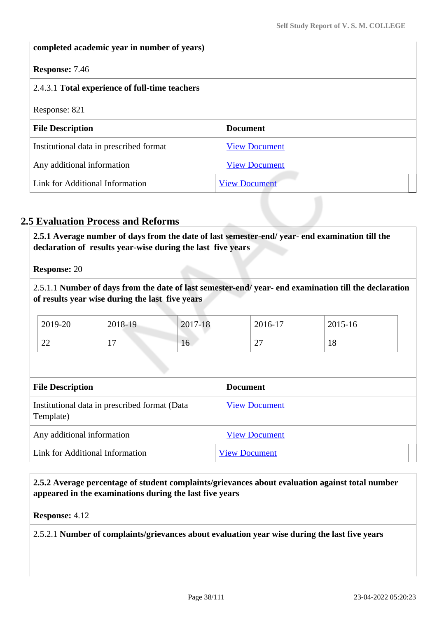### **completed academic year in number of years)**

### **Response:** 7.46

# 2.4.3.1 **Total experience of full-time teachers**

Response: 821

| <b>File Description</b>                 | <b>Document</b>      |
|-----------------------------------------|----------------------|
| Institutional data in prescribed format | <b>View Document</b> |
| Any additional information              | <b>View Document</b> |
| Link for Additional Information         | <b>View Document</b> |

## **2.5 Evaluation Process and Reforms**

 **2.5.1 Average number of days from the date of last semester-end/ year- end examination till the declaration of results year-wise during the last five years**

**Response:** 20

2.5.1.1 **Number of days from the date of last semester-end/ year- end examination till the declaration of results year wise during the last five years** 

| 2019-20 | 2018-19        | 2017-18                                                                                                                                                                                                                              | 2016-17 | 2015-16 |
|---------|----------------|--------------------------------------------------------------------------------------------------------------------------------------------------------------------------------------------------------------------------------------|---------|---------|
| $\cap$  | $\overline{ }$ | <b>The Contract of the Contract of the Contract of the Contract of the Contract of the Contract of the Contract of the Contract of The Contract of The Contract of The Contract of The Contract of The Contract of The Contract </b> | $\sim$  | 1 O     |
| ∠∠      | . .            | 16                                                                                                                                                                                                                                   | ∠       | 10      |

| <b>File Description</b>                                    | <b>Document</b>      |
|------------------------------------------------------------|----------------------|
| Institutional data in prescribed format (Data<br>Template) | <b>View Document</b> |
| Any additional information                                 | <b>View Document</b> |
| Link for Additional Information                            | <b>View Document</b> |

 **2.5.2 Average percentage of student complaints/grievances about evaluation against total number appeared in the examinations during the last five years**

**Response:** 4.12

2.5.2.1 **Number of complaints/grievances about evaluation year wise during the last five years**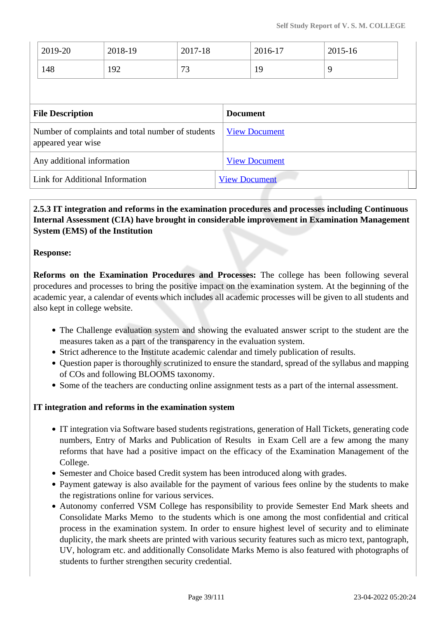|                                                                         | 2019-20 | 2018-19              | 2017-18              |                 | 2016-17 | 2015-16 |  |
|-------------------------------------------------------------------------|---------|----------------------|----------------------|-----------------|---------|---------|--|
|                                                                         | 148     | 192                  | 73                   |                 | 19      | 9       |  |
|                                                                         |         |                      |                      |                 |         |         |  |
| <b>File Description</b>                                                 |         |                      |                      | <b>Document</b> |         |         |  |
| Number of complaints and total number of students<br>appeared year wise |         |                      | <b>View Document</b> |                 |         |         |  |
| Any additional information                                              |         |                      | <b>View Document</b> |                 |         |         |  |
| Link for Additional Information                                         |         | <b>View Document</b> |                      |                 |         |         |  |
|                                                                         |         |                      |                      |                 |         |         |  |

## **2.5.3 IT integration and reforms in the examination procedures and processes including Continuous Internal Assessment (CIA) have brought in considerable improvement in Examination Management System (EMS) of the Institution**

### **Response:**

**Reforms on the Examination Procedures and Processes:** The college has been following several procedures and processes to bring the positive impact on the examination system. At the beginning of the academic year, a calendar of events which includes all academic processes will be given to all students and also kept in college website.

- The Challenge evaluation system and showing the evaluated answer script to the student are the measures taken as a part of the transparency in the evaluation system.
- Strict adherence to the Institute academic calendar and timely publication of results.
- Question paper is thoroughly scrutinized to ensure the standard, spread of the syllabus and mapping of COs and following BLOOMS taxonomy.
- Some of the teachers are conducting online assignment tests as a part of the internal assessment.

#### **IT integration and reforms in the examination system**

- IT integration via Software based students registrations, generation of Hall Tickets, generating code numbers, Entry of Marks and Publication of Results in Exam Cell are a few among the many reforms that have had a positive impact on the efficacy of the Examination Management of the College.
- Semester and Choice based Credit system has been introduced along with grades.
- Payment gateway is also available for the payment of various fees online by the students to make the registrations online for various services.
- Autonomy conferred VSM College has responsibility to provide Semester End Mark sheets and Consolidate Marks Memo to the students which is one among the most confidential and critical process in the examination system. In order to ensure highest level of security and to eliminate duplicity, the mark sheets are printed with various security features such as micro text, pantograph, UV, hologram etc. and additionally Consolidate Marks Memo is also featured with photographs of students to further strengthen security credential.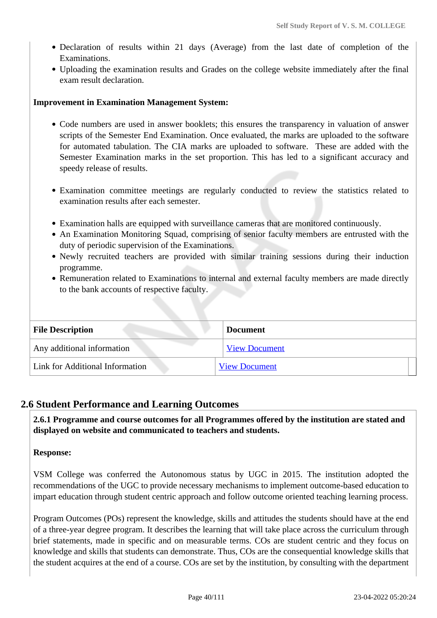- Declaration of results within 21 days (Average) from the last date of completion of the Examinations.
- Uploading the examination results and Grades on the college website immediately after the final exam result declaration.

### **Improvement in Examination Management System:**

- Code numbers are used in answer booklets; this ensures the transparency in valuation of answer scripts of the Semester End Examination. Once evaluated, the marks are uploaded to the software for automated tabulation. The CIA marks are uploaded to software. These are added with the Semester Examination marks in the set proportion. This has led to a significant accuracy and speedy release of results.
- Examination committee meetings are regularly conducted to review the statistics related to examination results after each semester.
- Examination halls are equipped with surveillance cameras that are monitored continuously.
- An Examination Monitoring Squad, comprising of senior faculty members are entrusted with the duty of periodic supervision of the Examinations.
- Newly recruited teachers are provided with similar training sessions during their induction programme.
- Remuneration related to Examinations to internal and external faculty members are made directly to the bank accounts of respective faculty.

|  | <b>File Description</b>         | <b>Document</b>      |  |
|--|---------------------------------|----------------------|--|
|  | Any additional information      | <b>View Document</b> |  |
|  | Link for Additional Information | <b>View Document</b> |  |

### **2.6 Student Performance and Learning Outcomes**

 **2.6.1 Programme and course outcomes for all Programmes offered by the institution are stated and displayed on website and communicated to teachers and students.**

### **Response:**

VSM College was conferred the Autonomous status by UGC in 2015. The institution adopted the recommendations of the UGC to provide necessary mechanisms to implement outcome-based education to impart education through student centric approach and follow outcome oriented teaching learning process.

Program Outcomes (POs) represent the knowledge, skills and attitudes the students should have at the end of a three-year degree program. It describes the learning that will take place across the curriculum through brief statements, made in specific and on measurable terms. COs are student centric and they focus on knowledge and skills that students can demonstrate. Thus, COs are the consequential knowledge skills that the student acquires at the end of a course. COs are set by the institution, by consulting with the department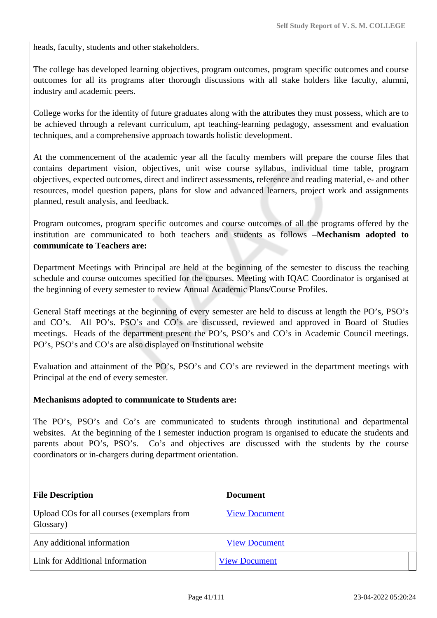heads, faculty, students and other stakeholders.

The college has developed learning objectives, program outcomes, program specific outcomes and course outcomes for all its programs after thorough discussions with all stake holders like faculty, alumni, industry and academic peers.

College works for the identity of future graduates along with the attributes they must possess, which are to be achieved through a relevant curriculum, apt teaching-learning pedagogy, assessment and evaluation techniques, and a comprehensive approach towards holistic development.

At the commencement of the academic year all the faculty members will prepare the course files that contains department vision, objectives, unit wise course syllabus, individual time table, program objectives, expected outcomes, direct and indirect assessments, reference and reading material, e- and other resources, model question papers, plans for slow and advanced learners, project work and assignments planned, result analysis, and feedback.

Program outcomes, program specific outcomes and course outcomes of all the programs offered by the institution are communicated to both teachers and students as follows –**Mechanism adopted to communicate to Teachers are:** 

Department Meetings with Principal are held at the beginning of the semester to discuss the teaching schedule and course outcomes specified for the courses. Meeting with IQAC Coordinator is organised at the beginning of every semester to review Annual Academic Plans/Course Profiles.

General Staff meetings at the beginning of every semester are held to discuss at length the PO's, PSO's and CO's. All PO's. PSO's and CO's are discussed, reviewed and approved in Board of Studies meetings. Heads of the department present the PO's, PSO's and CO's in Academic Council meetings. PO's, PSO's and CO's are also displayed on Institutional website

Evaluation and attainment of the PO's, PSO's and CO's are reviewed in the department meetings with Principal at the end of every semester.

### **Mechanisms adopted to communicate to Students are:**

The PO's, PSO's and Co's are communicated to students through institutional and departmental websites. At the beginning of the I semester induction program is organised to educate the students and parents about PO's, PSO's. Co's and objectives are discussed with the students by the course coordinators or in-chargers during department orientation.

| <b>File Description</b>                                 | <b>Document</b>      |
|---------------------------------------------------------|----------------------|
| Upload COs for all courses (exemplars from<br>Glossary) | <b>View Document</b> |
| Any additional information                              | <b>View Document</b> |
| Link for Additional Information                         | <b>View Document</b> |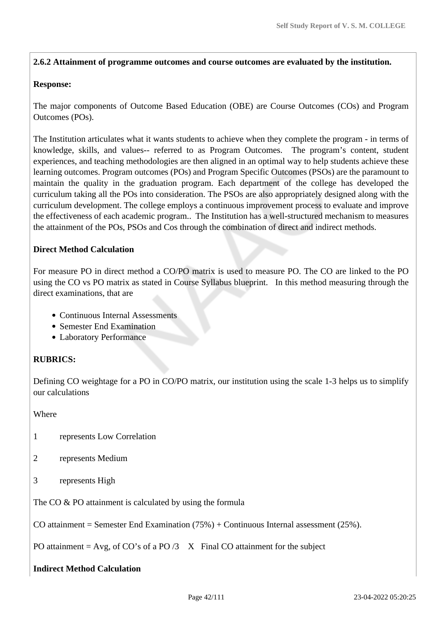### **2.6.2 Attainment of programme outcomes and course outcomes are evaluated by the institution.**

### **Response:**

The major components of Outcome Based Education (OBE) are Course Outcomes (COs) and Program Outcomes (POs).

The Institution articulates what it wants students to achieve when they complete the program - in terms of knowledge, skills, and values-- referred to as Program Outcomes. The program's content, student experiences, and teaching methodologies are then aligned in an optimal way to help students achieve these learning outcomes. Program outcomes (POs) and Program Specific Outcomes (PSOs) are the paramount to maintain the quality in the graduation program. Each department of the college has developed the curriculum taking all the POs into consideration. The PSOs are also appropriately designed along with the curriculum development. The college employs a continuous improvement process to evaluate and improve the effectiveness of each academic program.. The Institution has a well-structured mechanism to measures the attainment of the POs, PSOs and Cos through the combination of direct and indirect methods.

## **Direct Method Calculation**

For measure PO in direct method a CO/PO matrix is used to measure PO. The CO are linked to the PO using the CO vs PO matrix as stated in Course Syllabus blueprint. In this method measuring through the direct examinations, that are

- Continuous Internal Assessments
- Semester End Examination
- Laboratory Performance

# **RUBRICS:**

Defining CO weightage for a PO in CO/PO matrix, our institution using the scale 1-3 helps us to simplify our calculations

Where

- 1 represents Low Correlation
- 2 represents Medium
- 3 represents High

The CO & PO attainment is calculated by using the formula

CO attainment = Semester End Examination  $(75%)$  + Continuous Internal assessment  $(25%)$ .

PO attainment = Avg, of CO's of a PO  $/3$  X Final CO attainment for the subject

## **Indirect Method Calculation**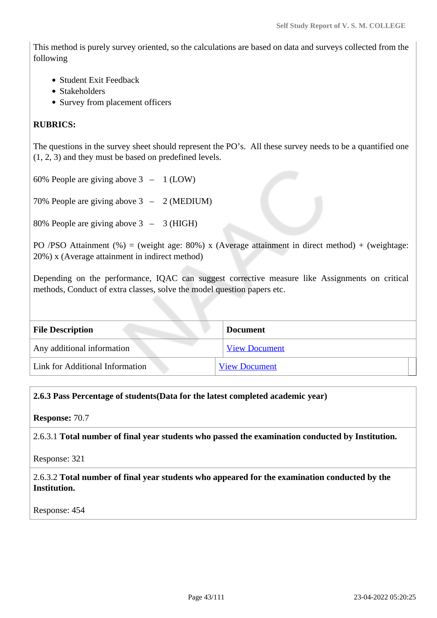This method is purely survey oriented, so the calculations are based on data and surveys collected from the following

- Student Exit Feedback
- Stakeholders
- Survey from placement officers

### **RUBRICS:**

The questions in the survey sheet should represent the PO's. All these survey needs to be a quantified one (1, 2, 3) and they must be based on predefined levels.

60% People are giving above 3 – 1 (LOW)

70% People are giving above 3 – 2 (MEDIUM)

80% People are giving above 3 – 3 (HIGH)

PO /PSO Attainment (%) = (weight age: 80%) x (Average attainment in direct method) + (weightage: 20%) x (Average attainment in indirect method)

Depending on the performance, IQAC can suggest corrective measure like Assignments on critical methods, Conduct of extra classes, solve the model question papers etc.

| <b>File Description</b>         | <b>Document</b>      |
|---------------------------------|----------------------|
| Any additional information      | <b>View Document</b> |
| Link for Additional Information | <b>View Document</b> |

### **2.6.3 Pass Percentage of students(Data for the latest completed academic year)**

**Response:** 70.7

2.6.3.1 **Total number of final year students who passed the examination conducted by Institution.**

Response: 321

2.6.3.2 **Total number of final year students who appeared for the examination conducted by the Institution.**

Response: 454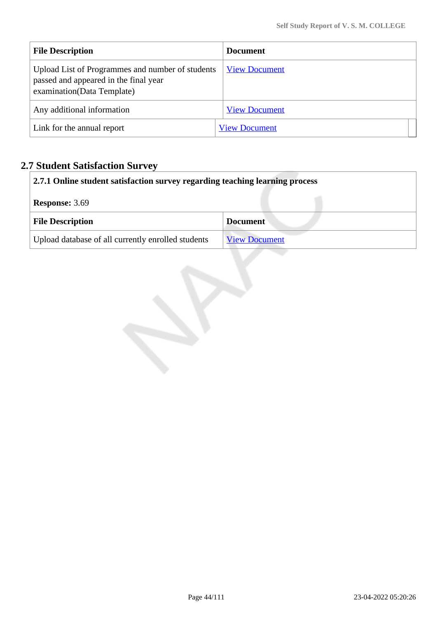| <b>File Description</b>                                                                                                  | <b>Document</b>      |  |
|--------------------------------------------------------------------------------------------------------------------------|----------------------|--|
| Upload List of Programmes and number of students<br>passed and appeared in the final year<br>examination (Data Template) | <b>View Document</b> |  |
| Any additional information                                                                                               | <b>View Document</b> |  |
| Link for the annual report                                                                                               | <b>View Document</b> |  |

# **2.7 Student Satisfaction Survey**

| 2.7.1 Online student satisfaction survey regarding teaching learning process |                      |
|------------------------------------------------------------------------------|----------------------|
| <b>Response: 3.69</b>                                                        |                      |
| <b>File Description</b>                                                      | <b>Document</b>      |
| Upload database of all currently enrolled students                           | <b>View Document</b> |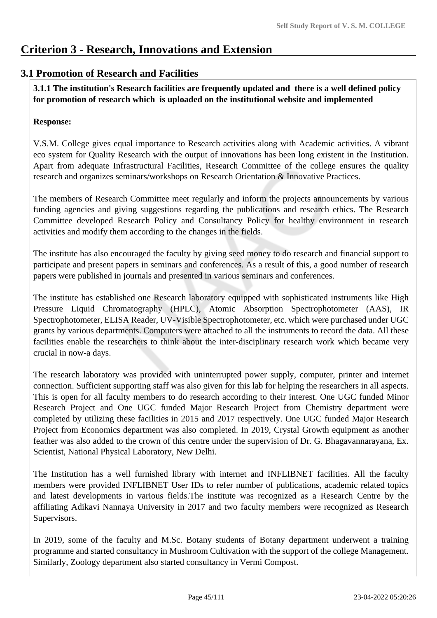# **Criterion 3 - Research, Innovations and Extension**

# **3.1 Promotion of Research and Facilities**

 **3.1.1 The institution's Research facilities are frequently updated and there is a well defined policy for promotion of research which is uploaded on the institutional website and implemented**

## **Response:**

V.S.M. College gives equal importance to Research activities along with Academic activities. A vibrant eco system for Quality Research with the output of innovations has been long existent in the Institution. Apart from adequate Infrastructural Facilities, Research Committee of the college ensures the quality research and organizes seminars/workshops on Research Orientation & Innovative Practices.

The members of Research Committee meet regularly and inform the projects announcements by various funding agencies and giving suggestions regarding the publications and research ethics. The Research Committee developed Research Policy and Consultancy Policy for healthy environment in research activities and modify them according to the changes in the fields.

The institute has also encouraged the faculty by giving seed money to do research and financial support to participate and present papers in seminars and conferences. As a result of this, a good number of research papers were published in journals and presented in various seminars and conferences.

The institute has established one Research laboratory equipped with sophisticated instruments like High Pressure Liquid Chromatography (HPLC), Atomic Absorption Spectrophotometer (AAS), IR Spectrophotometer, ELISA Reader, UV-Visible Spectrophotometer, etc. which were purchased under UGC grants by various departments. Computers were attached to all the instruments to record the data. All these facilities enable the researchers to think about the inter-disciplinary research work which became very crucial in now-a days.

The research laboratory was provided with uninterrupted power supply, computer, printer and internet connection. Sufficient supporting staff was also given for this lab for helping the researchers in all aspects. This is open for all faculty members to do research according to their interest. One UGC funded Minor Research Project and One UGC funded Major Research Project from Chemistry department were completed by utilizing these facilities in 2015 and 2017 respectively. One UGC funded Major Research Project from Economics department was also completed. In 2019, Crystal Growth equipment as another feather was also added to the crown of this centre under the supervision of Dr. G. Bhagavannarayana, Ex. Scientist, National Physical Laboratory, New Delhi.

The Institution has a well furnished library with internet and INFLIBNET facilities. All the faculty members were provided INFLIBNET User IDs to refer number of publications, academic related topics and latest developments in various fields.The institute was recognized as a Research Centre by the affiliating Adikavi Nannaya University in 2017 and two faculty members were recognized as Research Supervisors.

In 2019, some of the faculty and M.Sc. Botany students of Botany department underwent a training programme and started consultancy in Mushroom Cultivation with the support of the college Management. Similarly, Zoology department also started consultancy in Vermi Compost.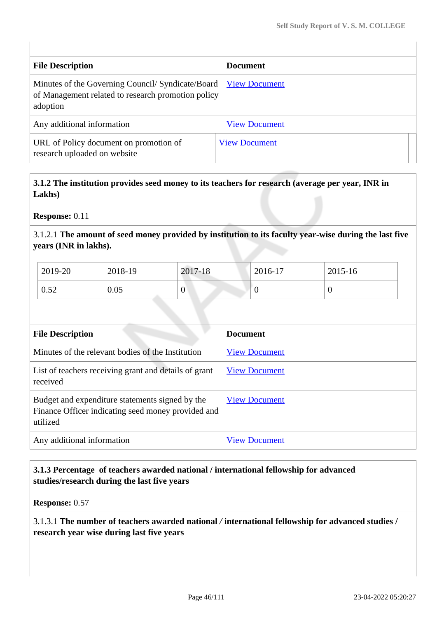| <b>File Description</b>                                                                                             | <b>Document</b>      |
|---------------------------------------------------------------------------------------------------------------------|----------------------|
| Minutes of the Governing Council/ Syndicate/Board<br>of Management related to research promotion policy<br>adoption | <b>View Document</b> |
| Any additional information                                                                                          | <b>View Document</b> |
| URL of Policy document on promotion of<br>research uploaded on website                                              | <b>View Document</b> |

 **3.1.2 The institution provides seed money to its teachers for research (average per year, INR in Lakhs)**

**Response:** 0.11

3.1.2.1 **The amount of seed money provided by institution to its faculty year-wise during the last five years (INR in lakhs).**

| 2019-20 | 2018-19 | 2017-18          | 2016-17 | 2015-16 |
|---------|---------|------------------|---------|---------|
| 0.52    | 0.05    | $\boldsymbol{0}$ |         | v       |

| <b>File Description</b>                                                                                           | <b>Document</b>      |
|-------------------------------------------------------------------------------------------------------------------|----------------------|
| Minutes of the relevant bodies of the Institution                                                                 | <b>View Document</b> |
| List of teachers receiving grant and details of grant<br>received                                                 | <b>View Document</b> |
| Budget and expenditure statements signed by the<br>Finance Officer indicating seed money provided and<br>utilized | <b>View Document</b> |
| Any additional information                                                                                        | <b>View Document</b> |

## **3.1.3 Percentage of teachers awarded national / international fellowship for advanced studies/research during the last five years**

**Response:** 0.57

3.1.3.1 **The number of teachers awarded national** */* **international fellowship for advanced studies / research year wise during last five years**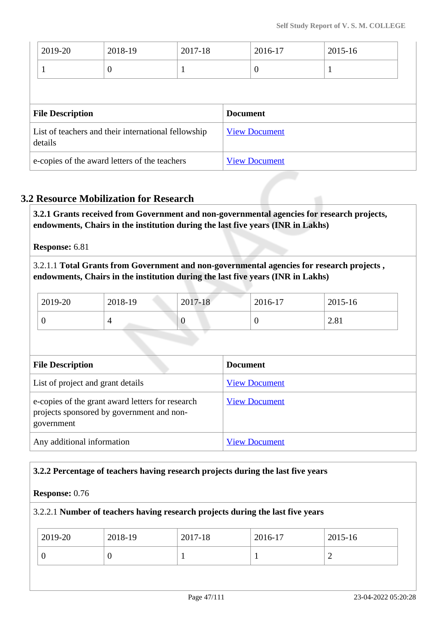| 2019-20                                             | 2018-19  | 2017-18 |  | 2016-17              | 2015-16 |
|-----------------------------------------------------|----------|---------|--|----------------------|---------|
| 1                                                   | $\theta$ | -1      |  | $\overline{0}$       |         |
|                                                     |          |         |  |                      |         |
| <b>File Description</b>                             |          |         |  | <b>Document</b>      |         |
| List of teachers and their international fellowship |          |         |  |                      |         |
| details                                             |          |         |  | <b>View Document</b> |         |

# **3.2 Resource Mobilization for Research**

 **3.2.1 Grants received from Government and non-governmental agencies for research projects, endowments, Chairs in the institution during the last five years (INR in Lakhs)** 

## **Response:** 6.81

3.2.1.1 **Total Grants from Government and non-governmental agencies for research projects , endowments, Chairs in the institution during the last five years (INR in Lakhs)**

| 2019-20 | 2018-19 | 2017-18 | 2016-17 | 2015-16 |
|---------|---------|---------|---------|---------|
| υ       |         |         | U       | 2.81    |

| <b>File Description</b>                                                                                     | <b>Document</b>      |
|-------------------------------------------------------------------------------------------------------------|----------------------|
| List of project and grant details                                                                           | <b>View Document</b> |
| e-copies of the grant award letters for research<br>projects sponsored by government and non-<br>government | <b>View Document</b> |
| Any additional information                                                                                  | <b>View Document</b> |

## **3.2.2 Percentage of teachers having research projects during the last five years**

### **Response:** 0.76

### 3.2.2.1 **Number of teachers having research projects during the last five years**

| 2019-20 | 2018-19 | 2017-18 | 2016-17 | 2015-16 |
|---------|---------|---------|---------|---------|
|         |         |         |         | -       |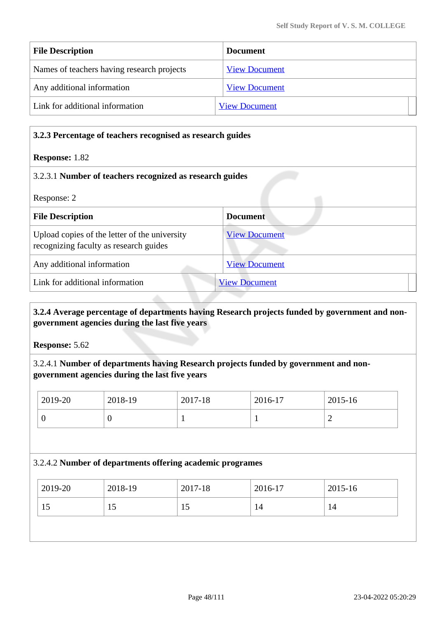| <b>File Description</b>                    | <b>Document</b>      |
|--------------------------------------------|----------------------|
| Names of teachers having research projects | <b>View Document</b> |
| Any additional information                 | <b>View Document</b> |
| Link for additional information            | <b>View Document</b> |

| 3.2.3 Percentage of teachers recognised as research guides                              |                      |
|-----------------------------------------------------------------------------------------|----------------------|
| <b>Response: 1.82</b>                                                                   |                      |
| 3.2.3.1 Number of teachers recognized as research guides                                |                      |
| Response: 2                                                                             |                      |
| <b>File Description</b>                                                                 | <b>Document</b>      |
| Upload copies of the letter of the university<br>recognizing faculty as research guides | <b>View Document</b> |
| Any additional information                                                              | <b>View Document</b> |
| Link for additional information                                                         | <b>View Document</b> |

## **3.2.4 Average percentage of departments having Research projects funded by government and nongovernment agencies during the last five years**

**Response:** 5.62

3.2.4.1 **Number of departments having Research projects funded by government and nongovernment agencies during the last five years**

| 2019-20 | 2018-19 | 2017-18 | 2016-17 | 2015-16 |
|---------|---------|---------|---------|---------|
|         | ◡       | -       |         | ∽       |

### 3.2.4.2 **Number of departments offering academic programes**

| 2019-20<br>2015-16<br>2018-19<br>2017-18<br>2016-17 |  |
|-----------------------------------------------------|--|
| 15<br>15<br>14<br>14<br>15                          |  |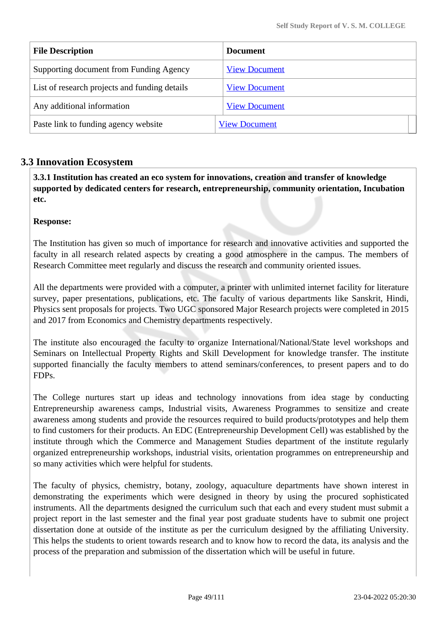| <b>File Description</b>                       | <b>Document</b>      |
|-----------------------------------------------|----------------------|
| Supporting document from Funding Agency       | <b>View Document</b> |
| List of research projects and funding details | <b>View Document</b> |
| Any additional information                    | <b>View Document</b> |
| Paste link to funding agency website          | <b>View Document</b> |

# **3.3 Innovation Ecosystem**

 **3.3.1 Institution has created an eco system for innovations, creation and transfer of knowledge supported by dedicated centers for research, entrepreneurship, community orientation, Incubation etc.**

### **Response:**

The Institution has given so much of importance for research and innovative activities and supported the faculty in all research related aspects by creating a good atmosphere in the campus. The members of Research Committee meet regularly and discuss the research and community oriented issues.

All the departments were provided with a computer, a printer with unlimited internet facility for literature survey, paper presentations, publications, etc. The faculty of various departments like Sanskrit, Hindi, Physics sent proposals for projects. Two UGC sponsored Major Research projects were completed in 2015 and 2017 from Economics and Chemistry departments respectively.

The institute also encouraged the faculty to organize International/National/State level workshops and Seminars on Intellectual Property Rights and Skill Development for knowledge transfer. The institute supported financially the faculty members to attend seminars/conferences, to present papers and to do FDPs.

The College nurtures start up ideas and technology innovations from idea stage by conducting Entrepreneurship awareness camps, Industrial visits, Awareness Programmes to sensitize and create awareness among students and provide the resources required to build products/prototypes and help them to find customers for their products. An EDC (Entrepreneurship Development Cell) was established by the institute through which the Commerce and Management Studies department of the institute regularly organized entrepreneurship workshops, industrial visits, orientation programmes on entrepreneurship and so many activities which were helpful for students.

The faculty of physics, chemistry, botany, zoology, aquaculture departments have shown interest in demonstrating the experiments which were designed in theory by using the procured sophisticated instruments. All the departments designed the curriculum such that each and every student must submit a project report in the last semester and the final year post graduate students have to submit one project dissertation done at outside of the institute as per the curriculum designed by the affiliating University. This helps the students to orient towards research and to know how to record the data, its analysis and the process of the preparation and submission of the dissertation which will be useful in future.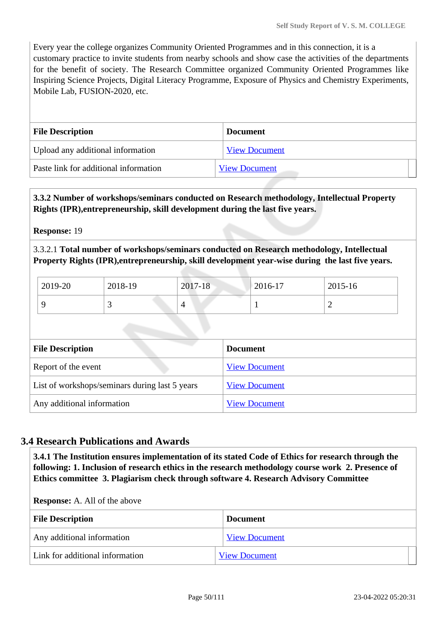Every year the college organizes Community Oriented Programmes and in this connection, it is a customary practice to invite students from nearby schools and show case the activities of the departments for the benefit of society. The Research Committee organized Community Oriented Programmes like Inspiring Science Projects, Digital Literacy Programme, Exposure of Physics and Chemistry Experiments, Mobile Lab, FUSION-2020, etc.

| <b>File Description</b>               | <b>Document</b>      |
|---------------------------------------|----------------------|
| Upload any additional information     | <b>View Document</b> |
| Paste link for additional information | <b>View Document</b> |

 **3.3.2 Number of workshops/seminars conducted on Research methodology, Intellectual Property Rights (IPR),entrepreneurship, skill development during the last five years.**

**Response:** 19

3.3.2.1 **Total number of workshops/seminars conducted on Research methodology, Intellectual Property Rights (IPR),entrepreneurship, skill development year-wise during the last five years.**

| 2019-20 | 2018-19                  | $2017 - 18$              | 2016-17 | 2015-16 |
|---------|--------------------------|--------------------------|---------|---------|
|         | $\overline{\phantom{0}}$ | $\overline{\phantom{0}}$ |         | ∼       |

| <b>File Description</b>                        | <b>Document</b>      |
|------------------------------------------------|----------------------|
| Report of the event                            | <b>View Document</b> |
| List of workshops/seminars during last 5 years | <b>View Document</b> |
| Any additional information                     | <b>View Document</b> |

## **3.4 Research Publications and Awards**

 **3.4.1 The Institution ensures implementation of its stated Code of Ethics for research through the following: 1. Inclusion of research ethics in the research methodology course work 2. Presence of Ethics committee 3. Plagiarism check through software 4. Research Advisory Committee**

**Response:** A. All of the above

| <b>File Description</b>         | <b>Document</b>      |
|---------------------------------|----------------------|
| Any additional information      | <b>View Document</b> |
| Link for additional information | <b>View Document</b> |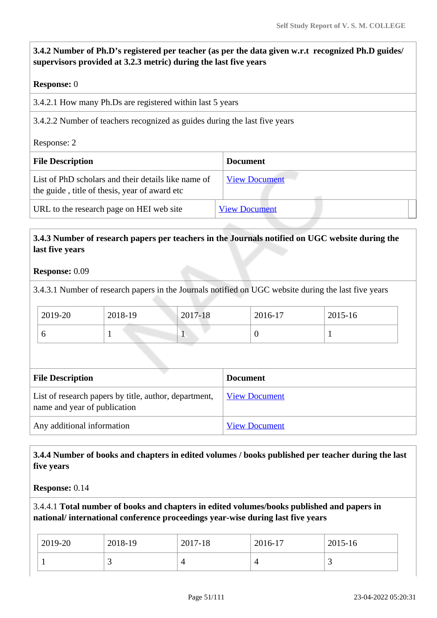# **3.4.2 Number of Ph.D's registered per teacher (as per the data given w.r.t recognized Ph.D guides/ supervisors provided at 3.2.3 metric) during the last five years**

### **Response:** 0

|  |  | 3.4.2.1 How many Ph.Ds are registered within last 5 years |  |  |
|--|--|-----------------------------------------------------------|--|--|
|  |  |                                                           |  |  |

3.4.2.2 Number of teachers recognized as guides during the last five years

Response: 2

| <b>File Description</b>                                                                              | <b>Document</b>      |
|------------------------------------------------------------------------------------------------------|----------------------|
| List of PhD scholars and their details like name of<br>the guide, title of thesis, year of award etc | <b>View Document</b> |
| URL to the research page on HEI web site                                                             | <b>View Document</b> |

## **3.4.3 Number of research papers per teachers in the Journals notified on UGC website during the last five years**

### **Response:** 0.09

3.4.3.1 Number of research papers in the Journals notified on UGC website during the last five years

| 2019-20 | 2018-19 | 2017-18                  | 2016-17 | 2015-16 |
|---------|---------|--------------------------|---------|---------|
|         |         | $\overline{\phantom{a}}$ |         |         |

| <b>File Description</b>                                                               | <b>Document</b>      |  |  |  |
|---------------------------------------------------------------------------------------|----------------------|--|--|--|
| List of research papers by title, author, department,<br>name and year of publication | <b>View Document</b> |  |  |  |
| Any additional information                                                            | <b>View Document</b> |  |  |  |

## **3.4.4 Number of books and chapters in edited volumes / books published per teacher during the last five years**

**Response:** 0.14

3.4.4.1 **Total number of books and chapters in edited volumes/books published and papers in national/ international conference proceedings year-wise during last five years**

| 2019-20 | 2018-19 | 2017-18 | 2016-17 | 2015-16 |
|---------|---------|---------|---------|---------|
|         | ັ       |         |         |         |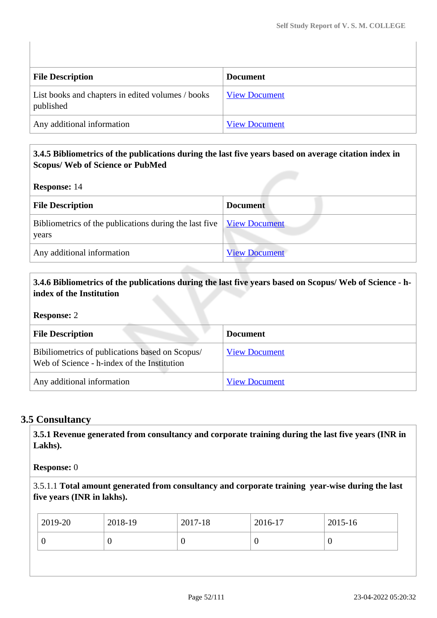| <b>File Description</b>                                        | <b>Document</b>      |
|----------------------------------------------------------------|----------------------|
| List books and chapters in edited volumes / books<br>published | <b>View Document</b> |
| Any additional information                                     | <b>View Document</b> |

### **3.4.5 Bibliometrics of the publications during the last five years based on average citation index in Scopus/ Web of Science or PubMed**

**Response:** 14

| <b>File Description</b>                                                                                                 | <b>Document</b>      |
|-------------------------------------------------------------------------------------------------------------------------|----------------------|
| Bibliometrics of the publications during the last five $\sqrt{\frac{V_{\text{icw}}}{V_{\text{icw}}}}$ Document<br>years |                      |
| Any additional information                                                                                              | <b>View Document</b> |

## **3.4.6 Bibliometrics of the publications during the last five years based on Scopus/ Web of Science - hindex of the Institution**

**Response:** 2

| <b>File Description</b>                                                                        | <b>Document</b>      |
|------------------------------------------------------------------------------------------------|----------------------|
| Bibiliometrics of publications based on Scopus/<br>Web of Science - h-index of the Institution | <b>View Document</b> |
| Any additional information                                                                     | <b>View Document</b> |

# **3.5 Consultancy**

 **3.5.1 Revenue generated from consultancy and corporate training during the last five years (INR in Lakhs).**

**Response:** 0

3.5.1.1 **Total amount generated from consultancy and corporate training year-wise during the last five years (INR in lakhs).**

| 2019-20 | 2018-19 | 2017-18 | 2016-17 | 2015-16 |
|---------|---------|---------|---------|---------|
|         | ◡       | ν       |         |         |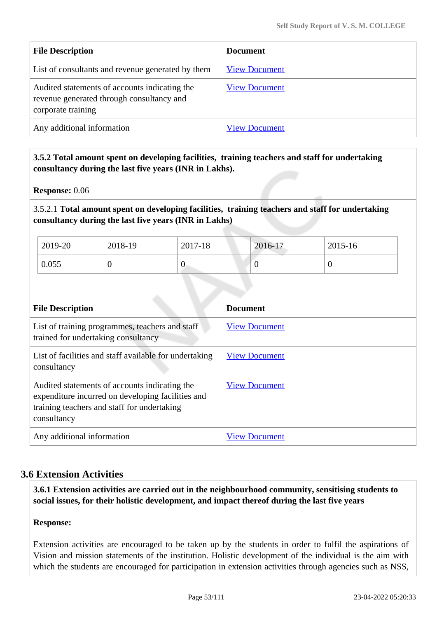| <b>File Description</b>                                                                                          | <b>Document</b>      |
|------------------------------------------------------------------------------------------------------------------|----------------------|
| List of consultants and revenue generated by them                                                                | <b>View Document</b> |
| Audited statements of accounts indicating the<br>revenue generated through consultancy and<br>corporate training | <b>View Document</b> |
| Any additional information                                                                                       | <b>View Document</b> |

 **3.5.2 Total amount spent on developing facilities, training teachers and staff for undertaking consultancy during the last five years (INR in Lakhs).**

**Response:** 0.06

3.5.2.1 **Total amount spent on developing facilities, training teachers and staff for undertaking consultancy during the last five years (INR in Lakhs)**

| 2019-20 | 2018-19 | 2017-18 | 2016-17 | 2015-16 |
|---------|---------|---------|---------|---------|
| 0.055   |         | ν       | ν       | U       |

| <b>File Description</b>                                                                                                                                          | <b>Document</b>      |
|------------------------------------------------------------------------------------------------------------------------------------------------------------------|----------------------|
| List of training programmes, teachers and staff<br>trained for undertaking consultancy                                                                           | <b>View Document</b> |
| List of facilities and staff available for undertaking<br>consultancy                                                                                            | <b>View Document</b> |
| Audited statements of accounts indicating the<br>expenditure incurred on developing facilities and<br>training teachers and staff for undertaking<br>consultancy | <b>View Document</b> |
| Any additional information                                                                                                                                       | <b>View Document</b> |

## **3.6 Extension Activities**

 **3.6.1 Extension activities are carried out in the neighbourhood community, sensitising students to social issues, for their holistic development, and impact thereof during the last five years**

### **Response:**

Extension activities are encouraged to be taken up by the students in order to fulfil the aspirations of Vision and mission statements of the institution. Holistic development of the individual is the aim with which the students are encouraged for participation in extension activities through agencies such as NSS,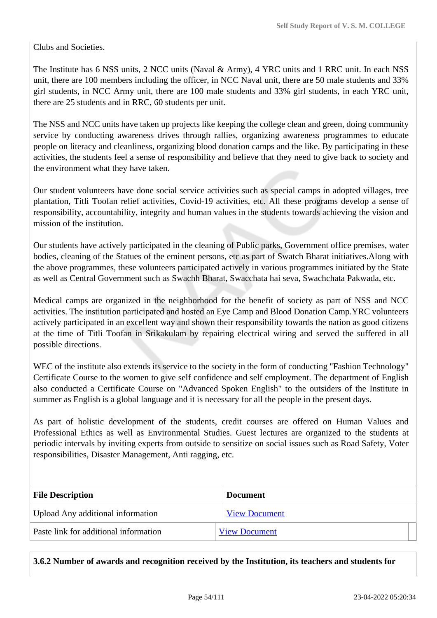Clubs and Societies.

The Institute has 6 NSS units, 2 NCC units (Naval & Army), 4 YRC units and 1 RRC unit. In each NSS unit, there are 100 members including the officer, in NCC Naval unit, there are 50 male students and 33% girl students, in NCC Army unit, there are 100 male students and 33% girl students, in each YRC unit, there are 25 students and in RRC, 60 students per unit.

The NSS and NCC units have taken up projects like keeping the college clean and green, doing community service by conducting awareness drives through rallies, organizing awareness programmes to educate people on literacy and cleanliness, organizing blood donation camps and the like. By participating in these activities, the students feel a sense of responsibility and believe that they need to give back to society and the environment what they have taken.

Our student volunteers have done social service activities such as special camps in adopted villages, tree plantation, Titli Toofan relief activities, Covid-19 activities, etc. All these programs develop a sense of responsibility, accountability, integrity and human values in the students towards achieving the vision and mission of the institution.

Our students have actively participated in the cleaning of Public parks, Government office premises, water bodies, cleaning of the Statues of the eminent persons, etc as part of Swatch Bharat initiatives.Along with the above programmes, these volunteers participated actively in various programmes initiated by the State as well as Central Government such as Swachh Bharat, Swacchata hai seva, Swachchata Pakwada, etc.

Medical camps are organized in the neighborhood for the benefit of society as part of NSS and NCC activities. The institution participated and hosted an Eye Camp and Blood Donation Camp.YRC volunteers actively participated in an excellent way and shown their responsibility towards the nation as good citizens at the time of Titli Toofan in Srikakulam by repairing electrical wiring and served the suffered in all possible directions.

WEC of the institute also extends its service to the society in the form of conducting "Fashion Technology" Certificate Course to the women to give self confidence and self employment. The department of English also conducted a Certificate Course on "Advanced Spoken English" to the outsiders of the Institute in summer as English is a global language and it is necessary for all the people in the present days.

As part of holistic development of the students, credit courses are offered on Human Values and Professional Ethics as well as Environmental Studies. Guest lectures are organized to the students at periodic intervals by inviting experts from outside to sensitize on social issues such as Road Safety, Voter responsibilities, Disaster Management, Anti ragging, etc.

| <b>File Description</b>                  | <b>Document</b>      |
|------------------------------------------|----------------------|
| <b>Upload Any additional information</b> | <b>View Document</b> |
| Paste link for additional information    | <b>View Document</b> |

**3.6.2 Number of awards and recognition received by the Institution, its teachers and students for**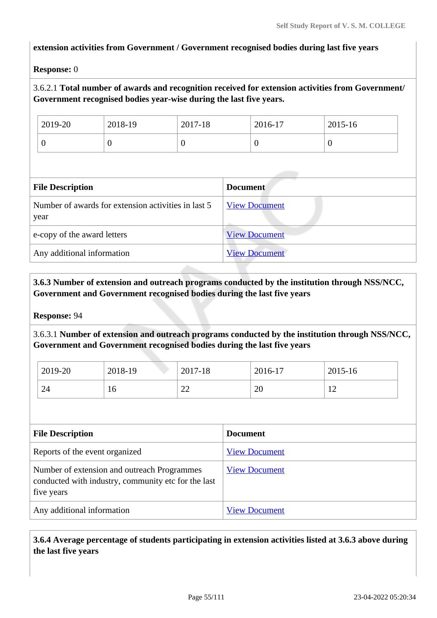### **extension activities from Government / Government recognised bodies during last five years**

### **Response:** 0

### 3.6.2.1 **Total number of awards and recognition received for extension activities from Government/ Government recognised bodies year-wise during the last five years.**

| $2019-20$ | 2018-19 | 2017-18 | 2016-17 | 2015-16 |
|-----------|---------|---------|---------|---------|
| ν         |         | ν       | ◡       |         |

| <b>File Description</b>                                     | <b>Document</b>      |
|-------------------------------------------------------------|----------------------|
| Number of awards for extension activities in last 5<br>year | <b>View Document</b> |
| e-copy of the award letters                                 | <b>View Document</b> |
| Any additional information                                  | <b>View Document</b> |

## **3.6.3 Number of extension and outreach programs conducted by the institution through NSS/NCC, Government and Government recognised bodies during the last five years**

#### **Response:** 94

3.6.3.1 **Number of extension and outreach programs conducted by the institution through NSS/NCC, Government and Government recognised bodies during the last five years**

| 2019-20 | 2018-19 | 2017-18      | 2016-17      | 2015-16 |
|---------|---------|--------------|--------------|---------|
| 24      | 10      | $\cap$<br>∠∠ | $\cap$<br>∠∪ | ∸∸      |

| <b>File Description</b>                                                                                          | <b>Document</b>      |
|------------------------------------------------------------------------------------------------------------------|----------------------|
| Reports of the event organized                                                                                   | <b>View Document</b> |
| Number of extension and outreach Programmes<br>conducted with industry, community etc for the last<br>five years | <b>View Document</b> |
| Any additional information                                                                                       | <b>View Document</b> |

 **3.6.4 Average percentage of students participating in extension activities listed at 3.6.3 above during the last five years**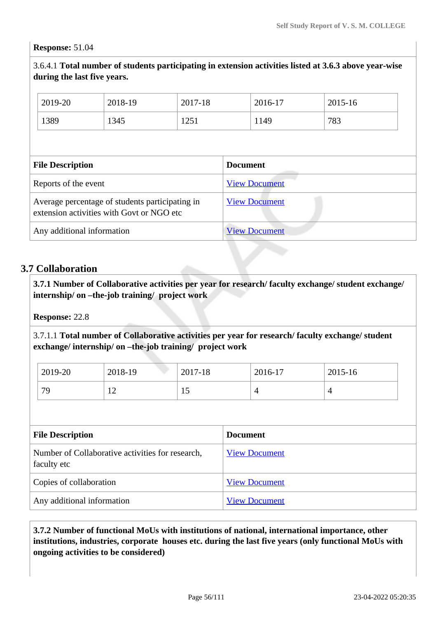#### **Response:** 51.04

3.6.4.1 **Total number of students participating in extension activities listed at 3.6.3 above year-wise during the last five years.**

| 2019-20                                                                                      | 2018-19 | 2017-18              |                      | 2016-17 | 2015-16 |
|----------------------------------------------------------------------------------------------|---------|----------------------|----------------------|---------|---------|
| 1389                                                                                         | 1345    | 1251                 | 1149                 |         | 783     |
|                                                                                              |         |                      |                      |         |         |
| <b>File Description</b>                                                                      |         |                      | <b>Document</b>      |         |         |
| Reports of the event                                                                         |         |                      | <b>View Document</b> |         |         |
| Average percentage of students participating in<br>extension activities with Govt or NGO etc |         | <b>View Document</b> |                      |         |         |
| Any additional information                                                                   |         |                      | <b>View Document</b> |         |         |

## **3.7 Collaboration**

 **3.7.1 Number of Collaborative activities per year for research/ faculty exchange/ student exchange/ internship/ on –the-job training/ project work** 

**Response:** 22.8

3.7.1.1 **Total number of Collaborative activities per year for research/ faculty exchange/ student exchange/ internship/ on –the-job training/ project work** 

| 2019-20 | 2018-19        | 2017-18   | 2016-17 | 2015-16 |
|---------|----------------|-----------|---------|---------|
| 79      | $\overline{1}$ | ۱۲,<br>ΤÛ | ↵       |         |

| <b>File Description</b>                                         | <b>Document</b>      |
|-----------------------------------------------------------------|----------------------|
| Number of Collaborative activities for research,<br>faculty etc | <b>View Document</b> |
| Copies of collaboration                                         | <b>View Document</b> |
| Any additional information                                      | <b>View Document</b> |

 **3.7.2 Number of functional MoUs with institutions of national, international importance, other institutions, industries, corporate houses etc. during the last five years (only functional MoUs with ongoing activities to be considered)**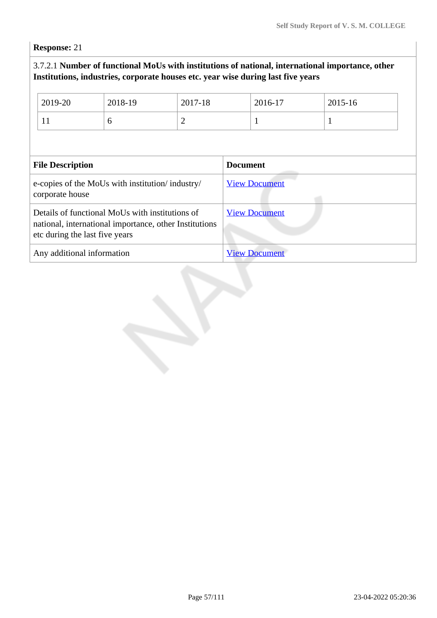**Response:** 21

# 3.7.2.1 **Number of functional MoUs with institutions of national, international importance, other Institutions, industries, corporate houses etc. year wise during last five years**

|                                                                                                                                             | 2019-20 | 2018-19 | 2017-18              |                      | 2016-17      | 2015-16      |  |
|---------------------------------------------------------------------------------------------------------------------------------------------|---------|---------|----------------------|----------------------|--------------|--------------|--|
|                                                                                                                                             | 11      | 6       | $\overline{2}$       |                      | $\mathbf{1}$ | $\mathbf{1}$ |  |
|                                                                                                                                             |         |         |                      |                      |              |              |  |
| <b>File Description</b>                                                                                                                     |         |         |                      | <b>Document</b>      |              |              |  |
| e-copies of the MoUs with institution/industry/<br>corporate house                                                                          |         |         |                      | <b>View Document</b> |              |              |  |
| Details of functional MoUs with institutions of<br>national, international importance, other Institutions<br>etc during the last five years |         |         | <b>View Document</b> |                      |              |              |  |
| Any additional information                                                                                                                  |         |         |                      | <b>View Document</b> |              |              |  |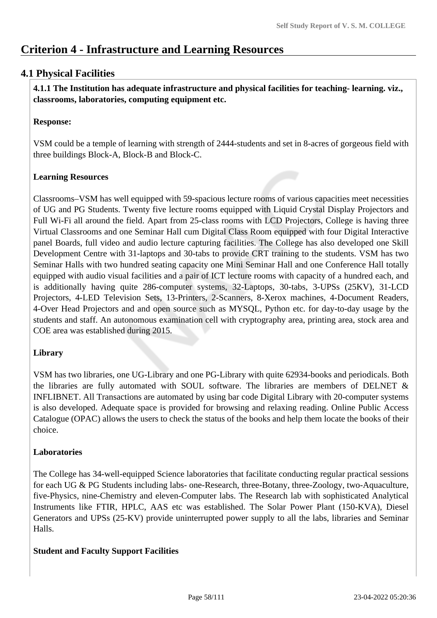# **Criterion 4 - Infrastructure and Learning Resources**

# **4.1 Physical Facilities**

 **4.1.1 The Institution has adequate infrastructure and physical facilities for teaching- learning. viz., classrooms, laboratories, computing equipment etc.** 

# **Response:**

VSM could be a temple of learning with strength of 2444-students and set in 8-acres of gorgeous field with three buildings Block-A, Block-B and Block-C.

# **Learning Resources**

Classrooms–VSM has well equipped with 59-spacious lecture rooms of various capacities meet necessities of UG and PG Students. Twenty five lecture rooms equipped with Liquid Crystal Display Projectors and Full Wi-Fi all around the field. Apart from 25-class rooms with LCD Projectors, College is having three Virtual Classrooms and one Seminar Hall cum Digital Class Room equipped with four Digital Interactive panel Boards, full video and audio lecture capturing facilities. The College has also developed one Skill Development Centre with 31-laptops and 30-tabs to provide CRT training to the students. VSM has two Seminar Halls with two hundred seating capacity one Mini Seminar Hall and one Conference Hall totally equipped with audio visual facilities and a pair of ICT lecture rooms with capacity of a hundred each, and is additionally having quite 286-computer systems, 32-Laptops, 30-tabs, 3-UPSs (25KV), 31-LCD Projectors, 4-LED Television Sets, 13-Printers, 2-Scanners, 8-Xerox machines, 4-Document Readers, 4-Over Head Projectors and and open source such as MYSQL, Python etc. for day-to-day usage by the students and staff. An autonomous examination cell with cryptography area, printing area, stock area and COE area was established during 2015.

## **Library**

VSM has two libraries, one UG-Library and one PG-Library with quite 62934-books and periodicals. Both the libraries are fully automated with SOUL software. The libraries are members of DELNET  $\&$ INFLIBNET. All Transactions are automated by using bar code Digital Library with 20-computer systems is also developed. Adequate space is provided for browsing and relaxing reading. Online Public Access Catalogue (OPAC) allows the users to check the status of the books and help them locate the books of their choice.

## **Laboratories**

The College has 34-well-equipped Science laboratories that facilitate conducting regular practical sessions for each UG & PG Students including labs- one-Research, three-Botany, three-Zoology, two-Aquaculture, five-Physics, nine-Chemistry and eleven-Computer labs. The Research lab with sophisticated Analytical Instruments like FTIR, HPLC, AAS etc was established. The Solar Power Plant (150-KVA), Diesel Generators and UPSs (25-KV) provide uninterrupted power supply to all the labs, libraries and Seminar Halls.

## **Student and Faculty Support Facilities**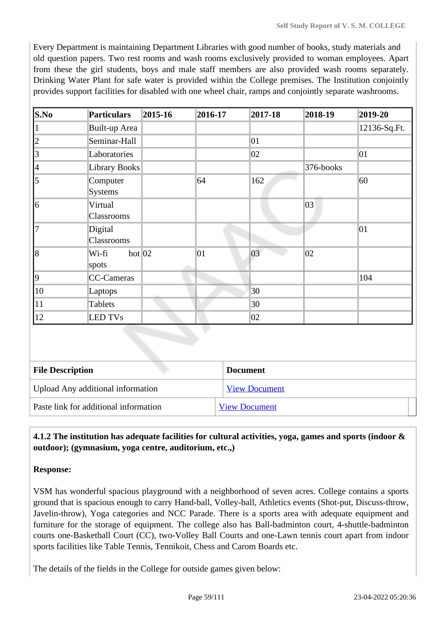Every Department is maintaining Department Libraries with good number of books, study materials and old question papers. Two rest rooms and wash rooms exclusively provided to woman employees. Apart from these the girl students, boys and male staff members are also provided wash rooms separately. Drinking Water Plant for safe water is provided within the College premises. The Institution conjointly provides support facilities for disabled with one wheel chair, ramps and conjointly separate washrooms.

| S.No         | <b>Particulars</b>           | 2015-16 | 2016-17 | $ 2017 - 18 $ | 2018-19      | 2019-20      |
|--------------|------------------------------|---------|---------|---------------|--------------|--------------|
| L            | Built-up Area                |         |         |               |              | 12136-Sq.Ft. |
| 12           | Seminar-Hall                 |         |         | 01            |              |              |
| 3            | Laboratories                 |         |         | 02            |              | 01           |
| 4            | <b>Library Books</b>         |         |         |               | 376-books    |              |
| 5            | Computer<br><b>Systems</b>   |         | 64      | 162           |              | 60           |
| 16           | Virtual<br>Classrooms        |         |         |               | $ 03\rangle$ |              |
| 17           | Digital<br>Classrooms        |         |         |               |              | 01           |
| 18           | hot $ 02 $<br>Wi-fi<br>spots |         | 01      | 03            | $ 02\rangle$ |              |
| 19           | CC-Cameras                   |         |         |               |              | 104          |
| $ 10\rangle$ | Laptops                      |         |         | 30            |              |              |
| 11           | Tablets                      |         |         | 30            |              |              |
| $ 12\rangle$ | <b>LED TVs</b>               |         |         | 02            |              |              |

| <b>File Description</b>               | <b>Document</b>      |  |
|---------------------------------------|----------------------|--|
| Upload Any additional information     | <b>View Document</b> |  |
| Paste link for additional information | <b>View Document</b> |  |

## **4.1.2 The institution has adequate facilities for cultural activities, yoga, games and sports (indoor & outdoor); (gymnasium, yoga centre, auditorium, etc.,)**

### **Response:**

VSM has wonderful spacious playground with a neighborhood of seven acres. College contains a sports ground that is spacious enough to carry Hand-ball, Volley-ball, Athletics events (Shot-put, Discuss-throw, Javelin-throw), Yoga categories and NCC Parade. There is a sports area with adequate equipment and furniture for the storage of equipment. The college also has Ball-badminton court, 4-shuttle-badminton courts one-Basketball Court (CC), two-Volley Ball Courts and one-Lawn tennis court apart from indoor sports facilities like Table Tennis, Tennikoit, Chess and Carom Boards etc.

The details of the fields in the College for outside games given below: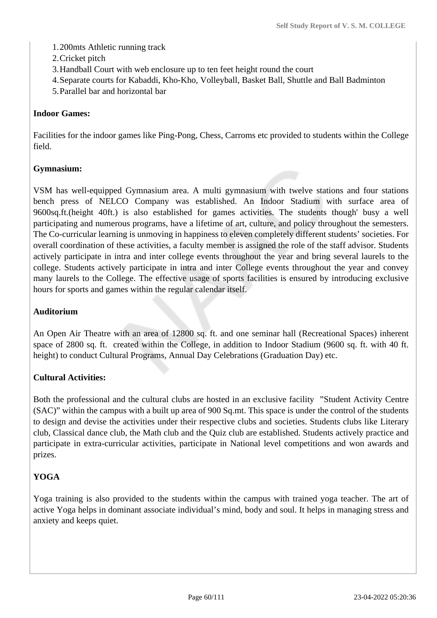- 1.200mts Athletic running track
- 2.Cricket pitch
- 3.Handball Court with web enclosure up to ten feet height round the court
- 4.Separate courts for Kabaddi, Kho-Kho, Volleyball, Basket Ball, Shuttle and Ball Badminton
- 5.Parallel bar and horizontal bar

# **Indoor Games:**

Facilities for the indoor games like Ping-Pong, Chess, Carroms etc provided to students within the College field.

# **Gymnasium:**

VSM has well-equipped Gymnasium area. A multi gymnasium with twelve stations and four stations bench press of NELCO Company was established. An Indoor Stadium with surface area of 9600sq.ft.(height 40ft.) is also established for games activities. The students though' busy a well participating and numerous programs, have a lifetime of art, culture, and policy throughout the semesters. The Co-curricular learning is unmoving in happiness to eleven completely different students' societies. For overall coordination of these activities, a faculty member is assigned the role of the staff advisor. Students actively participate in intra and inter college events throughout the year and bring several laurels to the college. Students actively participate in intra and inter College events throughout the year and convey many laurels to the College. The effective usage of sports facilities is ensured by introducing exclusive hours for sports and games within the regular calendar itself.

# **Auditorium**

An Open Air Theatre with an area of 12800 sq. ft. and one seminar hall (Recreational Spaces) inherent space of 2800 sq. ft. created within the College, in addition to Indoor Stadium (9600 sq. ft. with 40 ft. height) to conduct Cultural Programs, Annual Day Celebrations (Graduation Day) etc.

## **Cultural Activities:**

Both the professional and the cultural clubs are hosted in an exclusive facility "Student Activity Centre (SAC)" within the campus with a built up area of 900 Sq.mt. This space is under the control of the students to design and devise the activities under their respective clubs and societies. Students clubs like Literary club, Classical dance club, the Math club and the Quiz club are established. Students actively practice and participate in extra-curricular activities, participate in National level competitions and won awards and prizes.

# **YOGA**

Yoga training is also provided to the students within the campus with trained yoga teacher. The art of active Yoga helps in dominant associate individual's mind, body and soul. It helps in managing stress and anxiety and keeps quiet.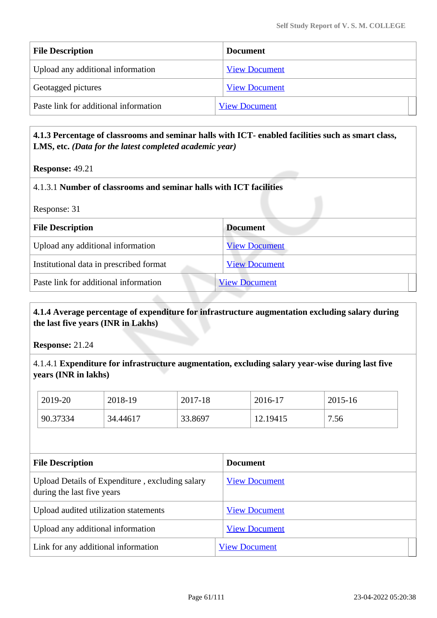| <b>File Description</b>               | <b>Document</b>      |
|---------------------------------------|----------------------|
| Upload any additional information     | <b>View Document</b> |
| Geotagged pictures                    | <b>View Document</b> |
| Paste link for additional information | <b>View Document</b> |

## **4.1.3 Percentage of classrooms and seminar halls with ICT- enabled facilities such as smart class, LMS, etc.** *(Data for the latest completed academic year)*

### **Response:** 49.21

### 4.1.3.1 **Number of classrooms and seminar halls with ICT facilities**

| <b>File Description</b>                 | <b>Document</b>      |
|-----------------------------------------|----------------------|
| Upload any additional information       | <b>View Document</b> |
| Institutional data in prescribed format | <b>View Document</b> |
| Paste link for additional information   | <b>View Document</b> |
|                                         |                      |

## **4.1.4 Average percentage of expenditure for infrastructure augmentation excluding salary during the last five years (INR in Lakhs)**

**Response:** 21.24

### 4.1.4.1 **Expenditure for infrastructure augmentation, excluding salary year-wise during last five years (INR in lakhs)**

| 2019-20  | 2018-19  | 2017-18 | 2016-17  | 2015-16 |
|----------|----------|---------|----------|---------|
| 90.37334 | 34.44617 | 33.8697 | 12.19415 | 7.56    |

| <b>File Description</b>                                                       | <b>Document</b>      |
|-------------------------------------------------------------------------------|----------------------|
| Upload Details of Expenditure, excluding salary<br>during the last five years | <b>View Document</b> |
| Upload audited utilization statements                                         | <b>View Document</b> |
| Upload any additional information                                             | <b>View Document</b> |
| Link for any additional information                                           | <b>View Document</b> |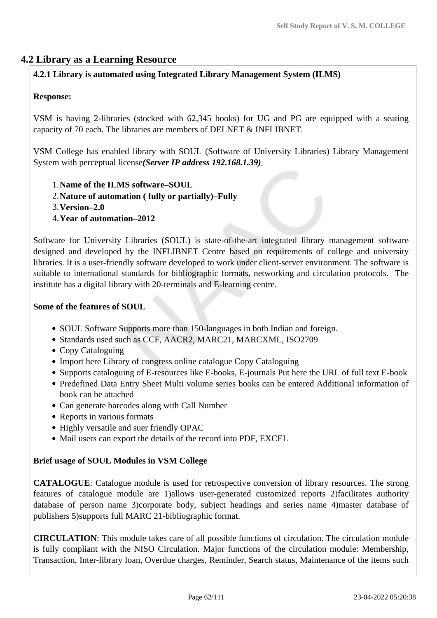# **4.2 Library as a Learning Resource**

## **4.2.1 Library is automated using Integrated Library Management System (ILMS)**

### **Response:**

VSM is having 2-libraries (stocked with 62,345 books) for UG and PG are equipped with a seating capacity of 70 each. The libraries are members of DELNET & INFLIBNET.

VSM College has enabled library with SOUL (Software of University Libraries) Library Management System with perceptual license*(Server IP address 192.168.1.39)*.

- 1.**Name of the ILMS software–SOUL**
- 2.**Nature of automation ( fully or partially)–Fully**
- 3.**Version–2.0**
- 4.**Year of automation–2012**

Software for University Libraries (SOUL) is state-of-the-art integrated library management software designed and developed by the INFLIBNET Centre based on requirements of college and university libraries. It is a user-friendly software developed to work under client-server environment. The software is suitable to international standards for bibliographic formats, networking and circulation protocols. The institute has a digital library with 20-terminals and E-learning centre.

### **Some of the features of SOUL**

- SOUL Software Supports more than 150-languages in both Indian and foreign.
- Standards used such as CCF, AACR2, MARC21, MARCXML, ISO2709
- Copy Cataloguing
- Import here Library of congress online catalogue Copy Cataloguing
- Supports cataloguing of E-resources like E-books, E-journals Put here the URL of full text E-book
- Predefined Data Entry Sheet Multi volume series books can be entered Additional information of book can be attached
- Can generate barcodes along with Call Number
- Reports in various formats
- Highly versatile and suer friendly OPAC
- Mail users can export the details of the record into PDF, EXCEL

### **Brief usage of SOUL Modules in VSM College**

**CATALOGUE**: Catalogue module is used for retrospective conversion of library resources. The strong features of catalogue module are 1)allows user-generated customized reports 2)facilitates authority database of person name 3)corporate body, subject headings and series name 4)master database of publishers 5)supports full MARC 21-bibliographic format.

**CIRCULATION**: This module takes care of all possible functions of circulation. The circulation module is fully compliant with the NISO Circulation. Major functions of the circulation module: Membership, Transaction, Inter-library loan, Overdue charges, Reminder, Search status, Maintenance of the items such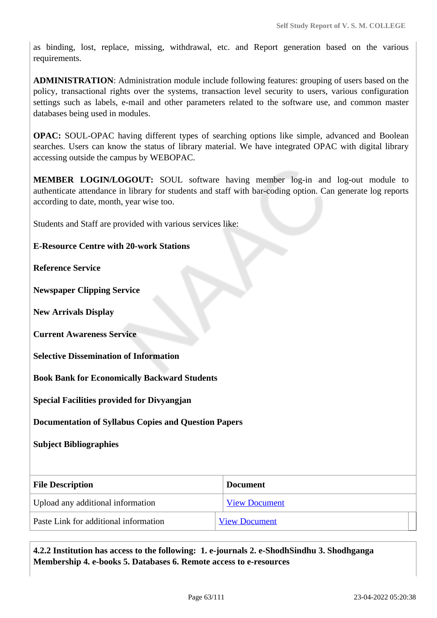as binding, lost, replace, missing, withdrawal, etc. and Report generation based on the various requirements.

**ADMINISTRATION**: Administration module include following features: grouping of users based on the policy, transactional rights over the systems, transaction level security to users, various configuration settings such as labels, e-mail and other parameters related to the software use, and common master databases being used in modules.

**OPAC:** SOUL-OPAC having different types of searching options like simple, advanced and Boolean searches. Users can know the status of library material. We have integrated OPAC with digital library accessing outside the campus by WEBOPAC.

**MEMBER LOGIN/LOGOUT:** SOUL software having member log-in and log-out module to authenticate attendance in library for students and staff with bar-coding option. Can generate log reports according to date, month, year wise too.

Students and Staff are provided with various services like:

### **E-Resource Centre with 20-work Stations**

**Reference Service**

**Newspaper Clipping Service**

**New Arrivals Display**

**Current Awareness Service**

**Selective Dissemination of Information**

**Book Bank for Economically Backward Students**

**Special Facilities provided for Divyangjan**

**Documentation of Syllabus Copies and Question Papers**

**Subject Bibliographies**

| <b>File Description</b>               | <b>Document</b>      |  |
|---------------------------------------|----------------------|--|
| Upload any additional information     | <b>View Document</b> |  |
| Paste Link for additional information | <b>View Document</b> |  |

 **4.2.2 Institution has access to the following: 1. e-journals 2. e-ShodhSindhu 3. Shodhganga Membership 4. e-books 5. Databases 6. Remote access to e-resources**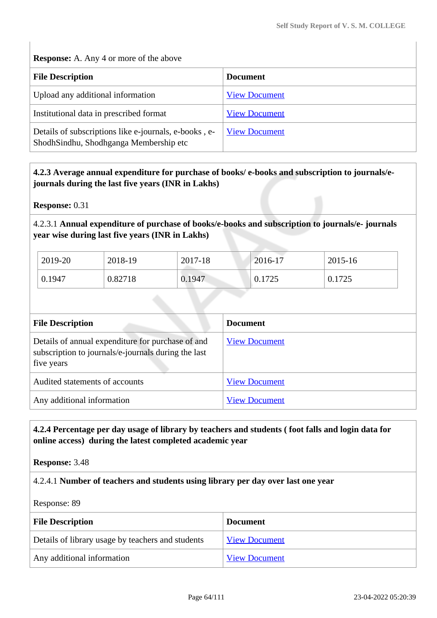**Response:** A. Any 4 or more of the above

| <b>File Description</b>                                                                         | <b>Document</b>      |
|-------------------------------------------------------------------------------------------------|----------------------|
| Upload any additional information                                                               | <b>View Document</b> |
| Institutional data in prescribed format                                                         | <b>View Document</b> |
| Details of subscriptions like e-journals, e-books, e-<br>ShodhSindhu, Shodhganga Membership etc | <b>View Document</b> |

## **4.2.3 Average annual expenditure for purchase of books/ e-books and subscription to journals/ejournals during the last five years (INR in Lakhs)**

**Response:** 0.31

4.2.3.1 **Annual expenditure of purchase of books/e-books and subscription to journals/e- journals year wise during last five years (INR in Lakhs)**

| 2019-20 | 2018-19 | 2017-18 | 2016-17 | 2015-16 |
|---------|---------|---------|---------|---------|
| 0.1947  | 0.82718 | 0.1947  | 0.1725  | 0.1725  |

| <b>File Description</b>                                                                                                | <b>Document</b>      |
|------------------------------------------------------------------------------------------------------------------------|----------------------|
| Details of annual expenditure for purchase of and<br>subscription to journals/e-journals during the last<br>five years | <b>View Document</b> |
| Audited statements of accounts                                                                                         | <b>View Document</b> |
| Any additional information                                                                                             | <b>View Document</b> |

## **4.2.4 Percentage per day usage of library by teachers and students ( foot falls and login data for online access) during the latest completed academic year**

**Response:** 3.48

4.2.4.1 **Number of teachers and students using library per day over last one year**

Response: 89

| <b>File Description</b>                           | <b>Document</b>      |
|---------------------------------------------------|----------------------|
| Details of library usage by teachers and students | <b>View Document</b> |
| Any additional information                        | <b>View Document</b> |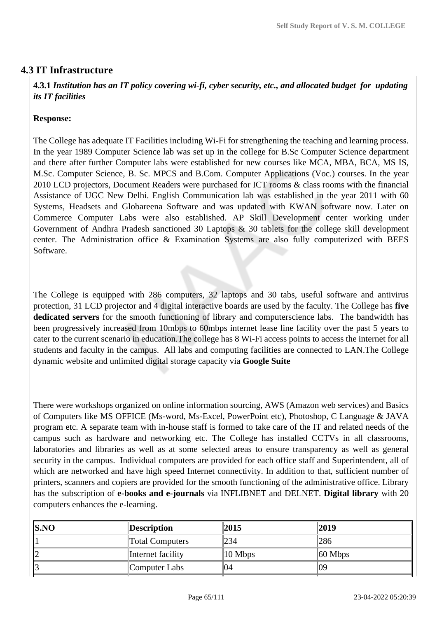## **4.3 IT Infrastructure**

 **4.3.1** *Institution has an IT policy covering wi-fi, cyber security, etc., and allocated budget for updating its IT facilities* 

### **Response:**

The College has adequate IT Facilities including Wi-Fi for strengthening the teaching and learning process. In the year 1989 Computer Science lab was set up in the college for B.Sc Computer Science department and there after further Computer labs were established for new courses like MCA, MBA, BCA, MS IS, M.Sc. Computer Science, B. Sc. MPCS and B.Com. Computer Applications (Voc.) courses. In the year 2010 LCD projectors, Document Readers were purchased for ICT rooms & class rooms with the financial Assistance of UGC New Delhi. English Communication lab was established in the year 2011 with 60 Systems, Headsets and Globareena Software and was updated with KWAN software now. Later on Commerce Computer Labs were also established. AP Skill Development center working under Government of Andhra Pradesh sanctioned 30 Laptops & 30 tablets for the college skill development center. The Administration office & Examination Systems are also fully computerized with BEES Software.

The College is equipped with 286 computers, 32 laptops and 30 tabs, useful software and antivirus protection, 31 LCD projector and 4 digital interactive boards are used by the faculty. The College has **five dedicated servers** for the smooth functioning of library and computerscience labs. The bandwidth has been progressively increased from 10mbps to 60mbps internet lease line facility over the past 5 years to cater to the current scenario in education.The college has 8 Wi-Fi access points to access the internet for all students and faculty in the campus. All labs and computing facilities are connected to LAN.The College dynamic website and unlimited digital storage capacity via **Google Suite**

There were workshops organized on online information sourcing, AWS (Amazon web services) and Basics of Computers like MS OFFICE (Ms-word, Ms-Excel, PowerPoint etc), Photoshop, C Language & JAVA program etc. A separate team with in-house staff is formed to take care of the IT and related needs of the campus such as hardware and networking etc. The College has installed CCTVs in all classrooms, laboratories and libraries as well as at some selected areas to ensure transparency as well as general security in the campus. Individual computers are provided for each office staff and Superintendent, all of which are networked and have high speed Internet connectivity. In addition to that, sufficient number of printers, scanners and copiers are provided for the smooth functioning of the administrative office. Library has the subscription of **e-books and e-journals** via INFLIBNET and DELNET. **Digital library** with 20 computers enhances the e-learning.

| SNO | <b>Description</b>     | 2015                | 2019                |
|-----|------------------------|---------------------|---------------------|
|     | <b>Total Computers</b> | 234                 | 286                 |
| 2   | Internet facility      | $ 10 \text{ Mbps} $ | $ 60 \text{ Mbps} $ |
| Ι3  | Computer Labs          | 04                  | 09                  |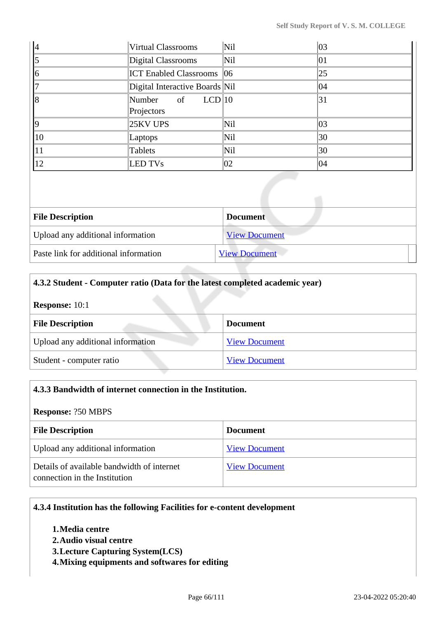| 4            | <b>Virtual Classrooms</b>      | Nil        | 03 |
|--------------|--------------------------------|------------|----|
| $\vert$ 5    | Digital Classrooms             | Nil        | 01 |
| 16           | <b>ICT Enabled Classrooms</b>  | 06         | 25 |
| 17           | Digital Interactive Boards Nil |            | 04 |
| l8           | Number of $LCD 10$             |            | 31 |
|              | Projectors                     |            |    |
| 19           | 25KV UPS                       | Nil        | 03 |
| $ 10\rangle$ | Laptops                        | Nil        | 30 |
| 11           | Tablets                        | <b>Nil</b> | 30 |
| $ 12\rangle$ | <b>LED TVs</b>                 | 02         | 04 |

| <b>File Description</b>               | <b>Document</b>      |
|---------------------------------------|----------------------|
| Upload any additional information     | <b>View Document</b> |
| Paste link for additional information | <b>View Document</b> |

## **4.3.2 Student - Computer ratio (Data for the latest completed academic year)**

**Response:** 10:1

| <b>File Description</b>           | <b>Document</b>      |
|-----------------------------------|----------------------|
| Upload any additional information | <b>View Document</b> |
| Student - computer ratio          | <b>View Document</b> |

| 4.3.3 Bandwidth of internet connection in the Institution.                  |                      |  |  |
|-----------------------------------------------------------------------------|----------------------|--|--|
| <b>Response: ?50 MBPS</b>                                                   |                      |  |  |
| <b>File Description</b><br><b>Document</b>                                  |                      |  |  |
| Upload any additional information                                           | <b>View Document</b> |  |  |
| Details of available bandwidth of internet<br>connection in the Institution | <b>View Document</b> |  |  |

## **4.3.4 Institution has the following Facilities for e-content development**

- **1.Media centre**
- **2.Audio visual centre**
- **3.Lecture Capturing System(LCS)**
- **4.Mixing equipments and softwares for editing**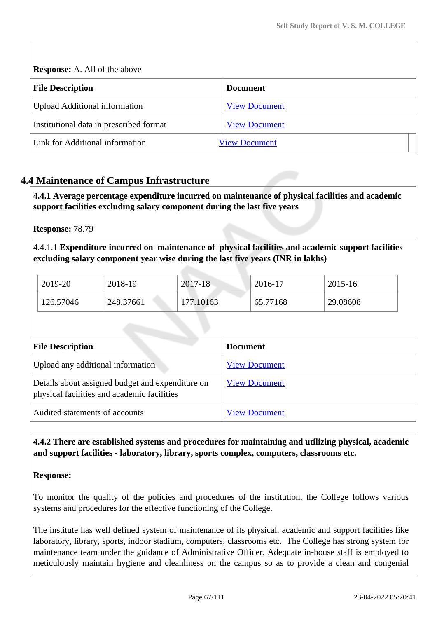**Response:** A. All of the above

| <b>File Description</b>                 | <b>Document</b>      |
|-----------------------------------------|----------------------|
| <b>Upload Additional information</b>    | <b>View Document</b> |
| Institutional data in prescribed format | <b>View Document</b> |
| Link for Additional information         | <b>View Document</b> |

# **4.4 Maintenance of Campus Infrastructure**

 **4.4.1 Average percentage expenditure incurred on maintenance of physical facilities and academic support facilities excluding salary component during the last five years**

**Response:** 78.79

4.4.1.1 **Expenditure incurred on maintenance of physical facilities and academic support facilities excluding salary component year wise during the last five years (INR in lakhs)** 

| 2019-20   | 2018-19   | 2017-18   | $2016 - 17$ | 2015-16  |
|-----------|-----------|-----------|-------------|----------|
| 126.57046 | 248.37661 | 177.10163 | 65.77168    | 29.08608 |

| <b>File Description</b>                                                                         | <b>Document</b>      |
|-------------------------------------------------------------------------------------------------|----------------------|
| Upload any additional information                                                               | <b>View Document</b> |
| Details about assigned budget and expenditure on<br>physical facilities and academic facilities | <b>View Document</b> |
| Audited statements of accounts                                                                  | <b>View Document</b> |

## **4.4.2 There are established systems and procedures for maintaining and utilizing physical, academic and support facilities - laboratory, library, sports complex, computers, classrooms etc.**

### **Response:**

To monitor the quality of the policies and procedures of the institution, the College follows various systems and procedures for the effective functioning of the College.

The institute has well defined system of maintenance of its physical, academic and support facilities like laboratory, library, sports, indoor stadium, computers, classrooms etc. The College has strong system for maintenance team under the guidance of Administrative Officer. Adequate in-house staff is employed to meticulously maintain hygiene and cleanliness on the campus so as to provide a clean and congenial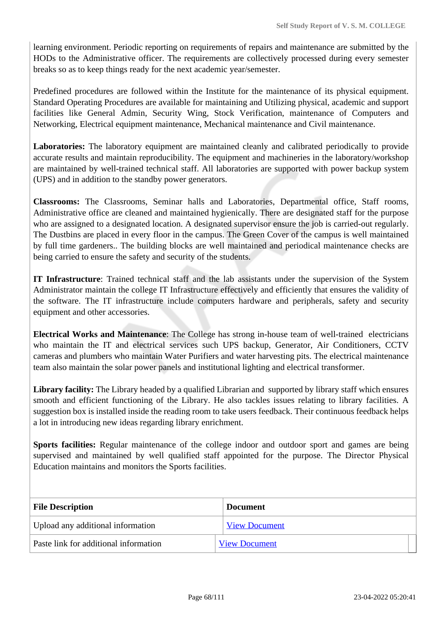learning environment. Periodic reporting on requirements of repairs and maintenance are submitted by the HODs to the Administrative officer. The requirements are collectively processed during every semester breaks so as to keep things ready for the next academic year/semester.

Predefined procedures are followed within the Institute for the maintenance of its physical equipment. Standard Operating Procedures are available for maintaining and Utilizing physical, academic and support facilities like General Admin, Security Wing, Stock Verification, maintenance of Computers and Networking, Electrical equipment maintenance, Mechanical maintenance and Civil maintenance.

**Laboratories:** The laboratory equipment are maintained cleanly and calibrated periodically to provide accurate results and maintain reproducibility. The equipment and machineries in the laboratory/workshop are maintained by well-trained technical staff. All laboratories are supported with power backup system (UPS) and in addition to the standby power generators.

**Classrooms:** The Classrooms, Seminar halls and Laboratories, Departmental office, Staff rooms, Administrative office are cleaned and maintained hygienically. There are designated staff for the purpose who are assigned to a designated location. A designated supervisor ensure the job is carried-out regularly. The Dustbins are placed in every floor in the campus. The Green Cover of the campus is well maintained by full time gardeners.. The building blocks are well maintained and periodical maintenance checks are being carried to ensure the safety and security of the students.

**IT Infrastructure**: Trained technical staff and the lab assistants under the supervision of the System Administrator maintain the college IT Infrastructure effectively and efficiently that ensures the validity of the software. The IT infrastructure include computers hardware and peripherals, safety and security equipment and other accessories.

**Electrical Works and Maintenance**: The College has strong in-house team of well-trained electricians who maintain the IT and electrical services such UPS backup, Generator, Air Conditioners, CCTV cameras and plumbers who maintain Water Purifiers and water harvesting pits. The electrical maintenance team also maintain the solar power panels and institutional lighting and electrical transformer.

**Library facility:** The Library headed by a qualified Librarian and supported by library staff which ensures smooth and efficient functioning of the Library. He also tackles issues relating to library facilities. A suggestion box is installed inside the reading room to take users feedback. Their continuous feedback helps a lot in introducing new ideas regarding library enrichment.

**Sports facilities:** Regular maintenance of the college indoor and outdoor sport and games are being supervised and maintained by well qualified staff appointed for the purpose. The Director Physical Education maintains and monitors the Sports facilities.

| <b>File Description</b>               | <b>Document</b>      |
|---------------------------------------|----------------------|
| Upload any additional information     | <b>View Document</b> |
| Paste link for additional information | <b>View Document</b> |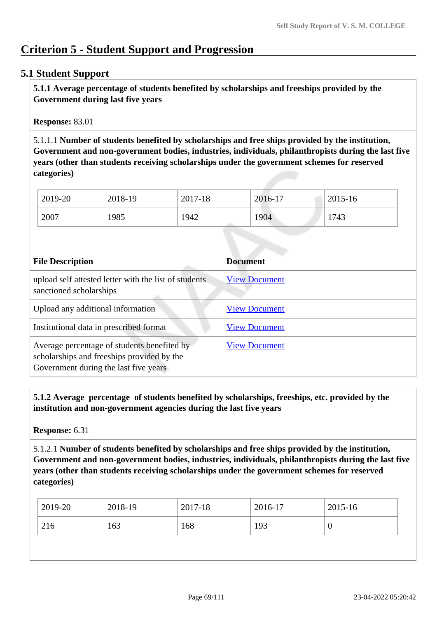# **Criterion 5 - Student Support and Progression**

## **5.1 Student Support**

 **5.1.1 Average percentage of students benefited by scholarships and freeships provided by the Government during last five years** 

**Response:** 83.01

5.1.1.1 **Number of students benefited by scholarships and free ships provided by the institution, Government and non-government bodies, industries, individuals, philanthropists during the last five years (other than students receiving scholarships under the government schemes for reserved categories)** 

| 2019-20 | 2018-19 | 2017-18 | 2016-17 | 2015-16 |
|---------|---------|---------|---------|---------|
| 2007    | 1985    | 1942    | 1904    | 1743    |

| <b>File Description</b>                                                                                                            | <b>Document</b>      |
|------------------------------------------------------------------------------------------------------------------------------------|----------------------|
| upload self attested letter with the list of students<br>sanctioned scholarships                                                   | <b>View Document</b> |
| Upload any additional information                                                                                                  | <b>View Document</b> |
| Institutional data in prescribed format                                                                                            | <b>View Document</b> |
| Average percentage of students benefited by<br>scholarships and freeships provided by the<br>Government during the last five years | <b>View Document</b> |

 **5.1.2 Average percentage of students benefited by scholarships, freeships, etc. provided by the institution and non-government agencies during the last five years**

**Response:** 6.31

5.1.2.1 **Number of students benefited by scholarships and free ships provided by the institution, Government and non-government bodies, industries, individuals, philanthropists during the last five years (other than students receiving scholarships under the government schemes for reserved categories)** 

| 216<br>163<br>168<br>193<br>ν | 2019-20 | 2018-19 | 2017-18 | 2016-17 | 2015-16 |
|-------------------------------|---------|---------|---------|---------|---------|
|                               |         |         |         |         |         |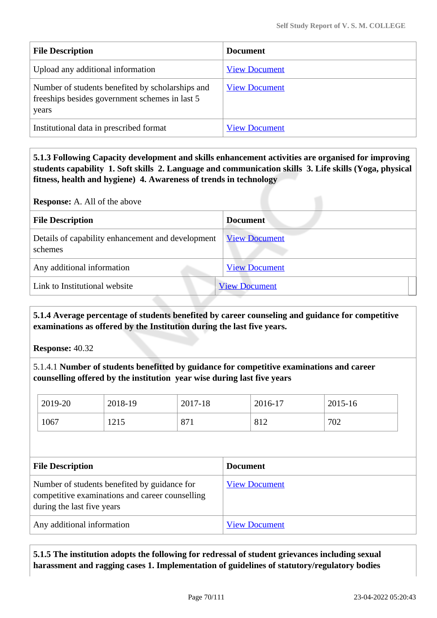| <b>File Description</b>                                                                                     | <b>Document</b>      |
|-------------------------------------------------------------------------------------------------------------|----------------------|
| Upload any additional information                                                                           | <b>View Document</b> |
| Number of students benefited by scholarships and<br>freeships besides government schemes in last 5<br>years | <b>View Document</b> |
| Institutional data in prescribed format                                                                     | <b>View Document</b> |

 **5.1.3 Following Capacity development and skills enhancement activities are organised for improving students capability 1. Soft skills 2. Language and communication skills 3. Life skills (Yoga, physical fitness, health and hygiene) 4. Awareness of trends in technology**

**Response:** A. All of the above

| <b>File Description</b>                                      | <b>Document</b>      |
|--------------------------------------------------------------|----------------------|
| Details of capability enhancement and development<br>schemes | <b>View Document</b> |
| Any additional information                                   | <b>View Document</b> |
| Link to Institutional website                                | <b>View Document</b> |

 **5.1.4 Average percentage of students benefited by career counseling and guidance for competitive examinations as offered by the Institution during the last five years.**

**Response:** 40.32

5.1.4.1 **Number of students benefitted by guidance for competitive examinations and career counselling offered by the institution year wise during last five years**

| 2019-20 | 2018-19 | 2017-18 | 2016-17 | 2015-16 |
|---------|---------|---------|---------|---------|
| 1067    | 1215    | 871     | 812     | 702     |

| <b>File Description</b>                                                                                                       | <b>Document</b>      |
|-------------------------------------------------------------------------------------------------------------------------------|----------------------|
| Number of students benefited by guidance for<br>competitive examinations and career counselling<br>during the last five years | <b>View Document</b> |
| Any additional information                                                                                                    | <b>View Document</b> |

 **5.1.5 The institution adopts the following for redressal of student grievances including sexual harassment and ragging cases 1. Implementation of guidelines of statutory/regulatory bodies**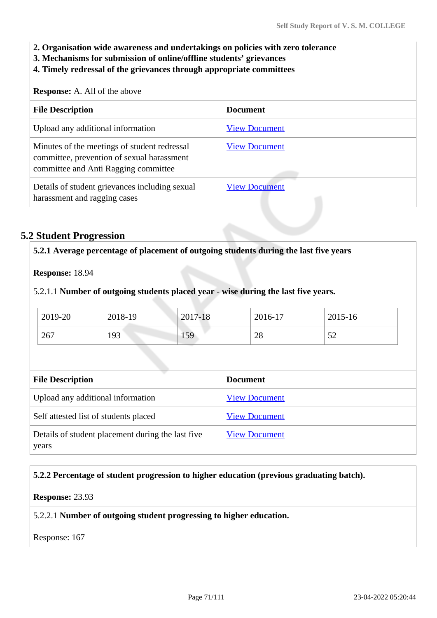- **2. Organisation wide awareness and undertakings on policies with zero tolerance**
- **3. Mechanisms for submission of online/offline students' grievances**
- **4. Timely redressal of the grievances through appropriate committees**

#### **Response:** A. All of the above

| <b>File Description</b>                                                                                                            | <b>Document</b>      |
|------------------------------------------------------------------------------------------------------------------------------------|----------------------|
| Upload any additional information                                                                                                  | <b>View Document</b> |
| Minutes of the meetings of student redressal<br>committee, prevention of sexual harassment<br>committee and Anti Ragging committee | <b>View Document</b> |
| Details of student grievances including sexual<br>harassment and ragging cases                                                     | <b>View Document</b> |

## **5.2 Student Progression**

| Response: 18.94         |                                       |         |                                                                                    |         |
|-------------------------|---------------------------------------|---------|------------------------------------------------------------------------------------|---------|
|                         |                                       |         | 5.2.1.1 Number of outgoing students placed year - wise during the last five years. |         |
| 2019-20                 | 2018-19                               | 2017-18 | 2016-17                                                                            | 2015-16 |
| 267                     | 193                                   | 159     | 28                                                                                 | 52      |
|                         |                                       |         |                                                                                    |         |
|                         |                                       |         | <b>Document</b>                                                                    |         |
|                         | Upload any additional information     |         | <b>View Document</b>                                                               |         |
| <b>File Description</b> | Self attested list of students placed |         | <b>View Document</b>                                                               |         |

### **5.2.2 Percentage of student progression to higher education (previous graduating batch).**

#### **Response:** 23.93

5.2.2.1 **Number of outgoing student progressing to higher education.**

Response: 167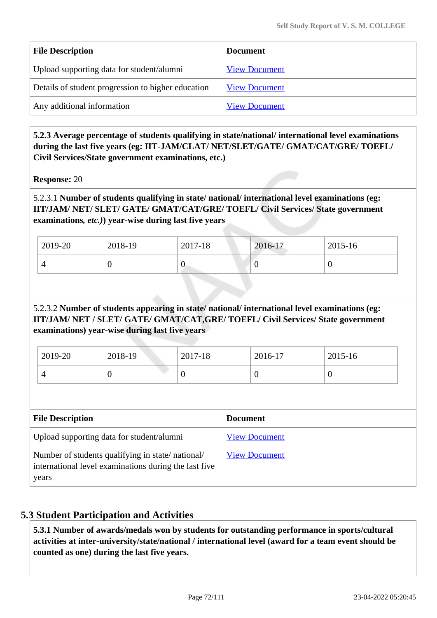| <b>File Description</b>                            | <b>Document</b>      |
|----------------------------------------------------|----------------------|
| Upload supporting data for student/alumni          | <b>View Document</b> |
| Details of student progression to higher education | <b>View Document</b> |
| Any additional information                         | <b>View Document</b> |

 **5.2.3 Average percentage of students qualifying in state/national/ international level examinations during the last five years (eg: IIT-JAM/CLAT/ NET/SLET/GATE/ GMAT/CAT/GRE/ TOEFL/ Civil Services/State government examinations, etc.)**

**Response:** 20

## 5.2.3.1 **Number of students qualifying in state/ national/ international level examinations (eg: IIT/JAM/ NET/ SLET/ GATE/ GMAT/CAT/GRE/ TOEFL/ Civil Services/ State government examinations***, etc.)***) year-wise during last five years**

| 2019-20 | 2018-19 | 2017-18 | 2016-17 | 2015-16 |
|---------|---------|---------|---------|---------|
|         | ν       | ິ       |         | ν       |

# 5.2.3.2 **Number of students appearing in state/ national/ international level examinations (eg: IIT/JAM/ NET / SLET/ GATE/ GMAT/CAT,GRE/ TOEFL/ Civil Services/ State government examinations) year-wise during last five years**

| 2019-20 | 2018-19 | 2017-18 | 2016-17 | $2015 - 16$ |
|---------|---------|---------|---------|-------------|
|         | ╰       | ν       |         | ◡           |

| <b>File Description</b>                                                                                            | <b>Document</b>      |
|--------------------------------------------------------------------------------------------------------------------|----------------------|
| Upload supporting data for student/alumni                                                                          | <b>View Document</b> |
| Number of students qualifying in state/national/<br>international level examinations during the last five<br>years | <b>View Document</b> |

# **5.3 Student Participation and Activities**

 **5.3.1 Number of awards/medals won by students for outstanding performance in sports/cultural activities at inter-university/state/national / international level (award for a team event should be counted as one) during the last five years.**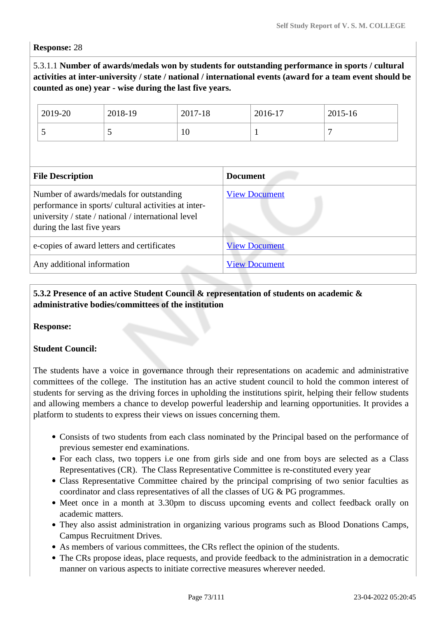#### **Response:** 28

5.3.1.1 **Number of awards/medals won by students for outstanding performance in sports / cultural activities at inter-university / state / national / international events (award for a team event should be counted as one) year - wise during the last five years.**

| 2019-20<br>5               | 2018-19<br>5                                                                                                                                           | 2017-18<br>10 |                 | 2016-17              | $2015 - 16$<br>7 |
|----------------------------|--------------------------------------------------------------------------------------------------------------------------------------------------------|---------------|-----------------|----------------------|------------------|
| <b>File Description</b>    |                                                                                                                                                        |               | <b>Document</b> |                      |                  |
| during the last five years | Number of awards/medals for outstanding<br>performance in sports/ cultural activities at inter-<br>university / state / national / international level |               |                 | <b>View Document</b> |                  |
|                            | e-copies of award letters and certificates                                                                                                             |               |                 | <b>View Document</b> |                  |
| Any additional information |                                                                                                                                                        |               |                 | <b>View Document</b> |                  |

### **5.3.2 Presence of an active Student Council & representation of students on academic & administrative bodies/committees of the institution**

#### **Response:**

#### **Student Council:**

The students have a voice in governance through their representations on academic and administrative committees of the college. The institution has an active student council to hold the common interest of students for serving as the driving forces in upholding the institutions spirit, helping their fellow students and allowing members a chance to develop powerful leadership and learning opportunities. It provides a platform to students to express their views on issues concerning them.

- Consists of two students from each class nominated by the Principal based on the performance of previous semester end examinations.
- For each class, two toppers i.e one from girls side and one from boys are selected as a Class Representatives (CR). The Class Representative Committee is re-constituted every year
- Class Representative Committee chaired by the principal comprising of two senior faculties as coordinator and class representatives of all the classes of UG & PG programmes.
- Meet once in a month at 3.30pm to discuss upcoming events and collect feedback orally on academic matters.
- They also assist administration in organizing various programs such as Blood Donations Camps, Campus Recruitment Drives.
- As members of various committees, the CRs reflect the opinion of the students.
- The CRs propose ideas, place requests, and provide feedback to the administration in a democratic manner on various aspects to initiate corrective measures wherever needed.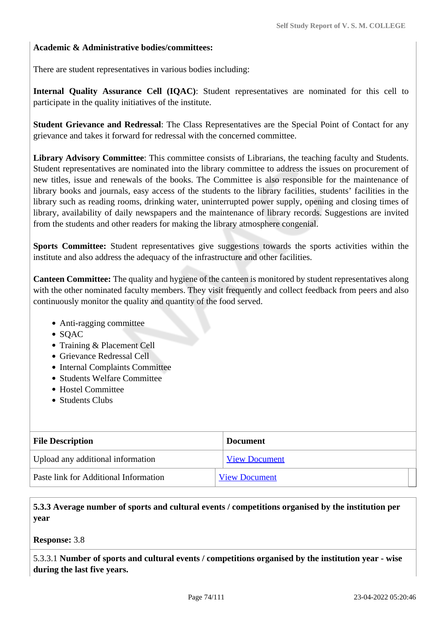#### **Academic & Administrative bodies/committees:**

There are student representatives in various bodies including:

**Internal Quality Assurance Cell (IQAC)**: Student representatives are nominated for this cell to participate in the quality initiatives of the institute.

**Student Grievance and Redressal**: The Class Representatives are the Special Point of Contact for any grievance and takes it forward for redressal with the concerned committee.

**Library Advisory Committee**: This committee consists of Librarians, the teaching faculty and Students. Student representatives are nominated into the library committee to address the issues on procurement of new titles, issue and renewals of the books. The Committee is also responsible for the maintenance of library books and journals, easy access of the students to the library facilities, students' facilities in the library such as reading rooms, drinking water, uninterrupted power supply, opening and closing times of library, availability of daily newspapers and the maintenance of library records. Suggestions are invited from the students and other readers for making the library atmosphere congenial.

**Sports Committee:** Student representatives give suggestions towards the sports activities within the institute and also address the adequacy of the infrastructure and other facilities.

**Canteen Committee:** The quality and hygiene of the canteen is monitored by student representatives along with the other nominated faculty members. They visit frequently and collect feedback from peers and also continuously monitor the quality and quantity of the food served.

- Anti-ragging committee
- $\bullet$  SOAC
- Training & Placement Cell
- Grievance Redressal Cell
- Internal Complaints Committee
- Students Welfare Committee
- Hostel Committee
- Students Clubs

| <b>File Description</b>                      | <b>Document</b>      |
|----------------------------------------------|----------------------|
| Upload any additional information            | <b>View Document</b> |
| <b>Paste link for Additional Information</b> | <b>View Document</b> |

#### **5.3.3 Average number of sports and cultural events / competitions organised by the institution per year**

**Response:** 3.8

5.3.3.1 **Number of sports and cultural events / competitions organised by the institution year - wise during the last five years.**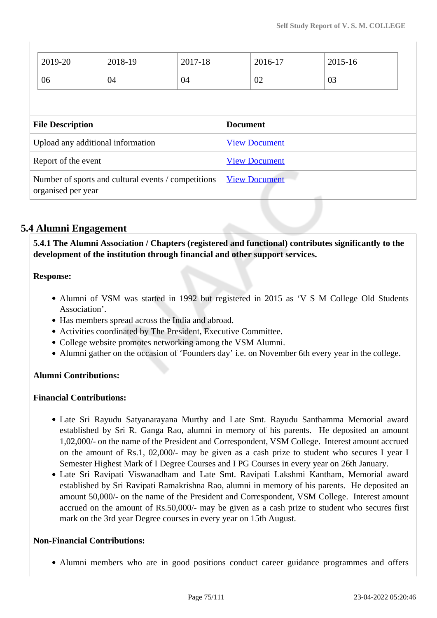| 2019-20                 | 2018-19                                             | 2017-18 |                      | 2016-17 | 2015-16 |
|-------------------------|-----------------------------------------------------|---------|----------------------|---------|---------|
| 06                      | 04                                                  | 04      |                      | 02      | 03      |
|                         |                                                     |         |                      |         |         |
| <b>File Description</b> |                                                     |         | <b>Document</b>      |         |         |
|                         | Upload any additional information                   |         | <b>View Document</b> |         |         |
| Report of the event     |                                                     |         | <b>View Document</b> |         |         |
| organised per year      | Number of sports and cultural events / competitions |         | <b>View Document</b> |         | التنبير |

## **5.4 Alumni Engagement**

 **5.4.1 The Alumni Association / Chapters (registered and functional) contributes significantly to the development of the institution through financial and other support services.**

#### **Response:**

 $\begin{array}{c} \hline \end{array}$ 

- Alumni of VSM was started in 1992 but registered in 2015 as 'V S M College Old Students Association'.
- Has members spread across the India and abroad.
- Activities coordinated by The President, Executive Committee.
- College website promotes networking among the VSM Alumni.
- Alumni gather on the occasion of 'Founders day' i.e. on November 6th every year in the college.

#### **Alumni Contributions:**

#### **Financial Contributions:**

- Late Sri Rayudu Satyanarayana Murthy and Late Smt. Rayudu Santhamma Memorial award established by Sri R. Ganga Rao, alumni in memory of his parents. He deposited an amount 1,02,000/- on the name of the President and Correspondent, VSM College. Interest amount accrued on the amount of Rs.1, 02,000/- may be given as a cash prize to student who secures I year I Semester Highest Mark of I Degree Courses and I PG Courses in every year on 26th January.
- Late Sri Ravipati Viswanadham and Late Smt. Ravipati Lakshmi Kantham, Memorial award established by Sri Ravipati Ramakrishna Rao, alumni in memory of his parents. He deposited an amount 50,000/- on the name of the President and Correspondent, VSM College. Interest amount accrued on the amount of Rs.50,000/- may be given as a cash prize to student who secures first mark on the 3rd year Degree courses in every year on 15th August.

#### **Non-Financial Contributions:**

Alumni members who are in good positions conduct career guidance programmes and offers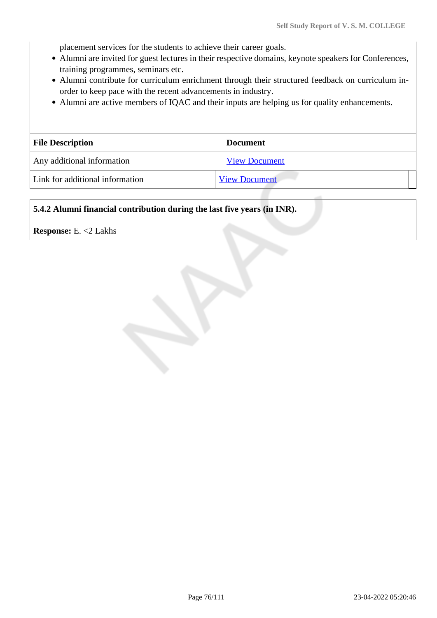placement services for the students to achieve their career goals.

- Alumni are invited for guest lectures in their respective domains, keynote speakers for Conferences, training programmes, seminars etc.
- Alumni contribute for curriculum enrichment through their structured feedback on curriculum inorder to keep pace with the recent advancements in industry.
- Alumni are active members of IQAC and their inputs are helping us for quality enhancements.

| <b>File Description</b>         | <b>Document</b>      |
|---------------------------------|----------------------|
| Any additional information      | <b>View Document</b> |
| Link for additional information | <b>View Document</b> |

#### **5.4.2 Alumni financial contribution during the last five years (in INR).**

#### **Response:** E. <2 Lakhs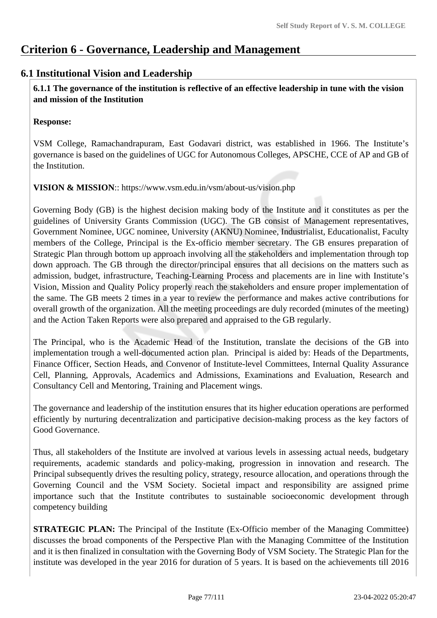## **Criterion 6 - Governance, Leadership and Management**

## **6.1 Institutional Vision and Leadership**

 **6.1.1 The governance of the institution is reflective of an effective leadership in tune with the vision and mission of the Institution**

#### **Response:**

VSM College, Ramachandrapuram, East Godavari district, was established in 1966. The Institute's governance is based on the guidelines of UGC for Autonomous Colleges, APSCHE, CCE of AP and GB of the Institution.

**VISION & MISSION**:: https://www.vsm.edu.in/vsm/about-us/vision.php

Governing Body (GB) is the highest decision making body of the Institute and it constitutes as per the guidelines of University Grants Commission (UGC). The GB consist of Management representatives, Government Nominee, UGC nominee, University (AKNU) Nominee, Industrialist, Educationalist, Faculty members of the College, Principal is the Ex-officio member secretary. The GB ensures preparation of Strategic Plan through bottom up approach involving all the stakeholders and implementation through top down approach. The GB through the director/principal ensures that all decisions on the matters such as admission, budget, infrastructure, Teaching-Learning Process and placements are in line with Institute's Vision, Mission and Quality Policy properly reach the stakeholders and ensure proper implementation of the same. The GB meets 2 times in a year to review the performance and makes active contributions for overall growth of the organization. All the meeting proceedings are duly recorded (minutes of the meeting) and the Action Taken Reports were also prepared and appraised to the GB regularly.

The Principal, who is the Academic Head of the Institution, translate the decisions of the GB into implementation trough a well-documented action plan. Principal is aided by: Heads of the Departments, Finance Officer, Section Heads, and Convenor of Institute-level Committees, Internal Quality Assurance Cell, Planning, Approvals, Academics and Admissions, Examinations and Evaluation, Research and Consultancy Cell and Mentoring, Training and Placement wings.

The governance and leadership of the institution ensures that its higher education operations are performed efficiently by nurturing decentralization and participative decision-making process as the key factors of Good Governance.

Thus, all stakeholders of the Institute are involved at various levels in assessing actual needs, budgetary requirements, academic standards and policy-making, progression in innovation and research. The Principal subsequently drives the resulting policy, strategy, resource allocation, and operations through the Governing Council and the VSM Society. Societal impact and responsibility are assigned prime importance such that the Institute contributes to sustainable socioeconomic development through competency building

**STRATEGIC PLAN:** The Principal of the Institute (Ex-Officio member of the Managing Committee) discusses the broad components of the Perspective Plan with the Managing Committee of the Institution and it is then finalized in consultation with the Governing Body of VSM Society. The Strategic Plan for the institute was developed in the year 2016 for duration of 5 years. It is based on the achievements till 2016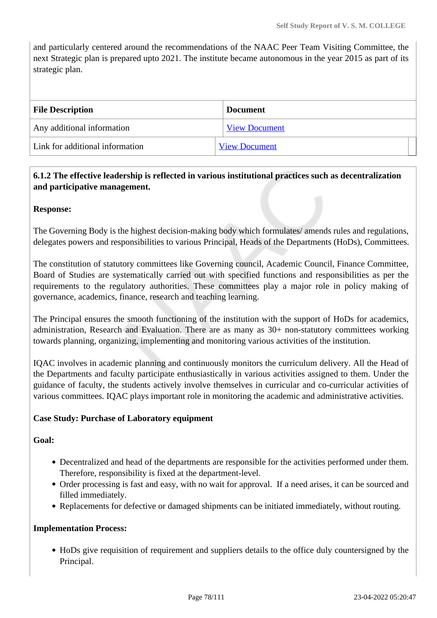and particularly centered around the recommendations of the NAAC Peer Team Visiting Committee, the next Strategic plan is prepared upto 2021. The institute became autonomous in the year 2015 as part of its strategic plan.

| <b>File Description</b>         | <b>Document</b>      |
|---------------------------------|----------------------|
| Any additional information      | <b>View Document</b> |
| Link for additional information | <b>View Document</b> |

## **6.1.2 The effective leadership is reflected in various institutional practices such as decentralization and participative management.**

#### **Response:**

The Governing Body is the highest decision-making body which formulates/ amends rules and regulations, delegates powers and responsibilities to various Principal, Heads of the Departments (HoDs), Committees.

The constitution of statutory committees like Governing council, Academic Council, Finance Committee, Board of Studies are systematically carried out with specified functions and responsibilities as per the requirements to the regulatory authorities. These committees play a major role in policy making of governance, academics, finance, research and teaching learning.

The Principal ensures the smooth functioning of the institution with the support of HoDs for academics, administration, Research and Evaluation. There are as many as 30+ non-statutory committees working towards planning, organizing, implementing and monitoring various activities of the institution.

IQAC involves in academic planning and continuously monitors the curriculum delivery. All the Head of the Departments and faculty participate enthusiastically in various activities assigned to them. Under the guidance of faculty, the students actively involve themselves in curricular and co-curricular activities of various committees. IQAC plays important role in monitoring the academic and administrative activities.

#### **Case Study: Purchase of Laboratory equipment**

#### **Goal:**

- Decentralized and head of the departments are responsible for the activities performed under them. Therefore, responsibility is fixed at the department-level.
- Order processing is fast and easy, with no wait for approval. If a need arises, it can be sourced and filled immediately.
- Replacements for defective or damaged shipments can be initiated immediately, without routing.

#### **Implementation Process:**

HoDs give requisition of requirement and suppliers details to the office duly countersigned by the Principal.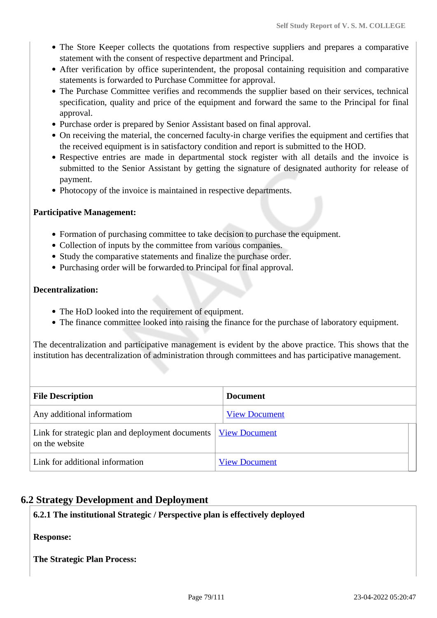- The Store Keeper collects the quotations from respective suppliers and prepares a comparative statement with the consent of respective department and Principal.
- After verification by office superintendent, the proposal containing requisition and comparative statements is forwarded to Purchase Committee for approval.
- The Purchase Committee verifies and recommends the supplier based on their services, technical specification, quality and price of the equipment and forward the same to the Principal for final approval.
- Purchase order is prepared by Senior Assistant based on final approval.
- On receiving the material, the concerned faculty-in charge verifies the equipment and certifies that the received equipment is in satisfactory condition and report is submitted to the HOD.
- Respective entries are made in departmental stock register with all details and the invoice is submitted to the Senior Assistant by getting the signature of designated authority for release of payment.
- Photocopy of the invoice is maintained in respective departments.

#### **Participative Management:**

- Formation of purchasing committee to take decision to purchase the equipment.
- Collection of inputs by the committee from various companies.
- Study the comparative statements and finalize the purchase order.
- Purchasing order will be forwarded to Principal for final approval.

#### **Decentralization:**

- The HoD looked into the requirement of equipment.
- The finance committee looked into raising the finance for the purchase of laboratory equipment.

The decentralization and participative management is evident by the above practice. This shows that the institution has decentralization of administration through committees and has participative management.

| <b>File Description</b>                                                            | <b>Document</b>      |
|------------------------------------------------------------------------------------|----------------------|
| Any additional informatiom                                                         | <b>View Document</b> |
| Link for strategic plan and deployment documents   View Document<br>on the website |                      |
| Link for additional information                                                    | <b>View Document</b> |

## **6.2 Strategy Development and Deployment**

#### **6.2.1 The institutional Strategic / Perspective plan is effectively deployed**

**Response:** 

**The Strategic Plan Process:**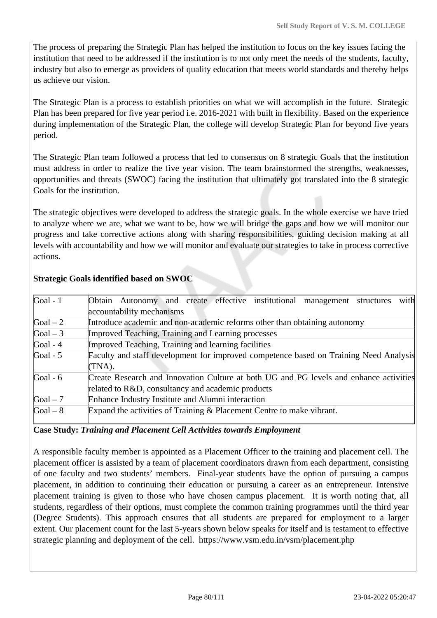The process of preparing the Strategic Plan has helped the institution to focus on the key issues facing the institution that need to be addressed if the institution is to not only meet the needs of the students, faculty, industry but also to emerge as providers of quality education that meets world standards and thereby helps us achieve our vision.

The Strategic Plan is a process to establish priorities on what we will accomplish in the future. Strategic Plan has been prepared for five year period i.e. 2016-2021 with built in flexibility. Based on the experience during implementation of the Strategic Plan, the college will develop Strategic Plan for beyond five years period.

The Strategic Plan team followed a process that led to consensus on 8 strategic Goals that the institution must address in order to realize the five year vision. The team brainstormed the strengths, weaknesses, opportunities and threats (SWOC) facing the institution that ultimately got translated into the 8 strategic Goals for the institution.

The strategic objectives were developed to address the strategic goals. In the whole exercise we have tried to analyze where we are, what we want to be, how we will bridge the gaps and how we will monitor our progress and take corrective actions along with sharing responsibilities, guiding decision making at all levels with accountability and how we will monitor and evaluate our strategies to take in process corrective actions.

| Goal - $1$ | with<br>Obtain Autonomy and create effective institutional management structures       |
|------------|----------------------------------------------------------------------------------------|
|            | accountability mechanisms                                                              |
| $Goal - 2$ | Introduce academic and non-academic reforms other than obtaining autonomy              |
| Goal $-3$  | Improved Teaching, Training and Learning processes                                     |
| Goal - $4$ | Improved Teaching, Training and learning facilities                                    |
| Goal - $5$ | Faculty and staff development for improved competence based on Training Need Analysis  |
|            | $(TNA)$ .                                                                              |
| Goal - $6$ | Create Research and Innovation Culture at both UG and PG levels and enhance activities |
|            | related to R&D, consultancy and academic products                                      |
| Goal $-7$  | Enhance Industry Institute and Alumni interaction                                      |
| $Goal - 8$ | Expand the activities of Training & Placement Centre to make vibrant.                  |
|            |                                                                                        |

#### **Strategic Goals identified based on SWOC**

#### **Case Study:** *Training and Placement Cell Activities towards Employment*

A responsible faculty member is appointed as a Placement Officer to the training and placement cell. The placement officer is assisted by a team of placement coordinators drawn from each department, consisting of one faculty and two students' members. Final-year students have the option of pursuing a campus placement, in addition to continuing their education or pursuing a career as an entrepreneur. Intensive placement training is given to those who have chosen campus placement. It is worth noting that, all students, regardless of their options, must complete the common training programmes until the third year (Degree Students). This approach ensures that all students are prepared for employment to a larger extent. Our placement count for the last 5-years shown below speaks for itself and is testament to effective strategic planning and deployment of the cell. https://www.vsm.edu.in/vsm/placement.php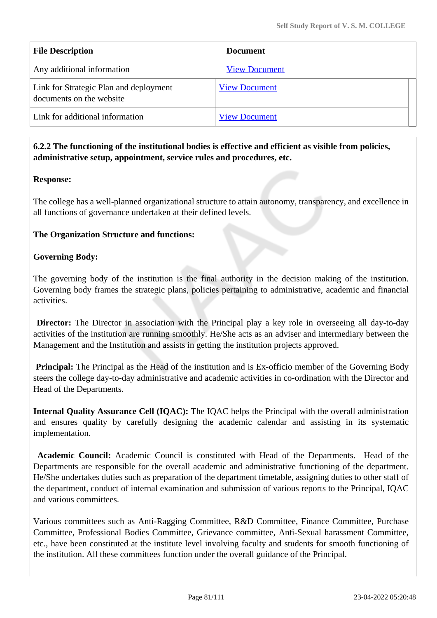| <b>File Description</b>                                            | <b>Document</b>      |
|--------------------------------------------------------------------|----------------------|
| Any additional information                                         | <b>View Document</b> |
| Link for Strategic Plan and deployment<br>documents on the website | <b>View Document</b> |
| Link for additional information                                    | <b>View Document</b> |

#### **6.2.2 The functioning of the institutional bodies is effective and efficient as visible from policies, administrative setup, appointment, service rules and procedures, etc.**

#### **Response:**

The college has a well-planned organizational structure to attain autonomy, transparency, and excellence in all functions of governance undertaken at their defined levels.

#### **The Organization Structure and functions:**

#### **Governing Body:**

The governing body of the institution is the final authority in the decision making of the institution. Governing body frames the strategic plans, policies pertaining to administrative, academic and financial activities.

**Director:** The Director in association with the Principal play a key role in overseeing all day-to-day activities of the institution are running smoothly. He/She acts as an adviser and intermediary between the Management and the Institution and assists in getting the institution projects approved.

**Principal:** The Principal as the Head of the institution and is Ex-officio member of the Governing Body steers the college day-to-day administrative and academic activities in co-ordination with the Director and Head of the Departments.

**Internal Quality Assurance Cell (IQAC):** The IQAC helps the Principal with the overall administration and ensures quality by carefully designing the academic calendar and assisting in its systematic implementation.

**Academic Council:** Academic Council is constituted with Head of the Departments. Head of the Departments are responsible for the overall academic and administrative functioning of the department. He/She undertakes duties such as preparation of the department timetable, assigning duties to other staff of the department, conduct of internal examination and submission of various reports to the Principal, IQAC and various committees.

Various committees such as Anti-Ragging Committee, R&D Committee, Finance Committee, Purchase Committee, Professional Bodies Committee, Grievance committee, Anti-Sexual harassment Committee, etc., have been constituted at the institute level involving faculty and students for smooth functioning of the institution. All these committees function under the overall guidance of the Principal.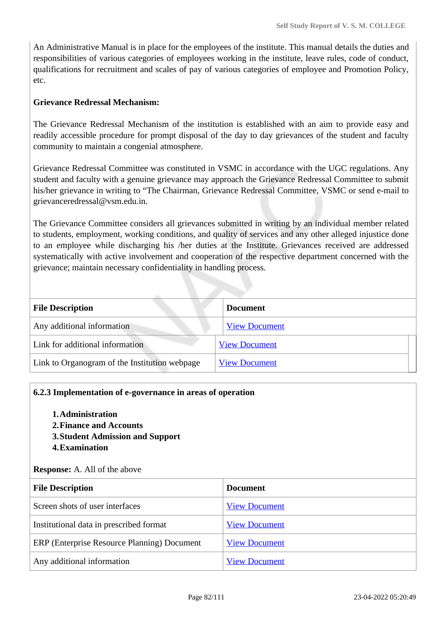An Administrative Manual is in place for the employees of the institute. This manual details the duties and responsibilities of various categories of employees working in the institute, leave rules, code of conduct, qualifications for recruitment and scales of pay of various categories of employee and Promotion Policy, etc.

#### **Grievance Redressal Mechanism:**

The Grievance Redressal Mechanism of the institution is established with an aim to provide easy and readily accessible procedure for prompt disposal of the day to day grievances of the student and faculty community to maintain a congenial atmosphere.

Grievance Redressal Committee was constituted in VSMC in accordance with the UGC regulations. Any student and faculty with a genuine grievance may approach the Grievance Redressal Committee to submit his/her grievance in writing to "The Chairman, Grievance Redressal Committee, VSMC or send e-mail to grievanceredressal@vsm.edu.in.

The Grievance Committee considers all grievances submitted in writing by an individual member related to students, employment, working conditions, and quality of services and any other alleged injustice done to an employee while discharging his /her duties at the Institute. Grievances received are addressed systematically with active involvement and cooperation of the respective department concerned with the grievance; maintain necessary confidentiality in handling process.

| <b>File Description</b>                       | <b>Document</b>      |
|-----------------------------------------------|----------------------|
| Any additional information                    | <b>View Document</b> |
| Link for additional information               | <b>View Document</b> |
| Link to Organogram of the Institution webpage | <b>View Document</b> |

#### **6.2.3 Implementation of e-governance in areas of operation**

- **1.Administration**
- **2.Finance and Accounts**
- **3.Student Admission and Support**
- **4.Examination**

**Response:** A. All of the above

| <b>File Description</b>                     | <b>Document</b>      |
|---------------------------------------------|----------------------|
| Screen shots of user interfaces             | <b>View Document</b> |
| Institutional data in prescribed format     | <b>View Document</b> |
| ERP (Enterprise Resource Planning) Document | <b>View Document</b> |
| Any additional information                  | <b>View Document</b> |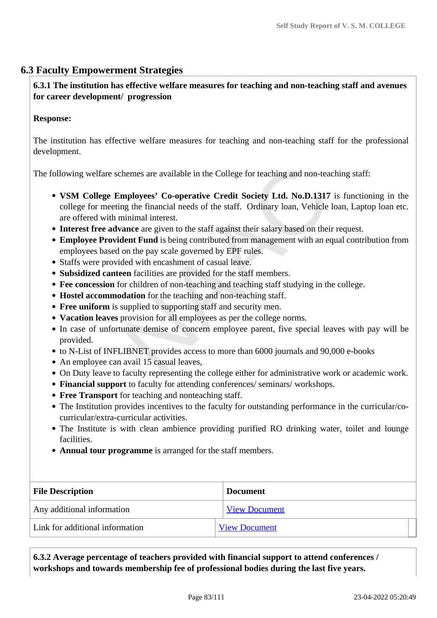## **6.3 Faculty Empowerment Strategies**

## **6.3.1 The institution has effective welfare measures for teaching and non-teaching staff and avenues for career development/ progression**

#### **Response:**

The institution has effective welfare measures for teaching and non-teaching staff for the professional development.

The following welfare schemes are available in the College for teaching and non-teaching staff:

- **VSM College Employees' Co-operative Credit Society Ltd. No.D.1317** is functioning in the college for meeting the financial needs of the staff. Ordinary loan, Vehicle loan, Laptop loan etc. are offered with minimal interest.
- **Interest free advance** are given to the staff against their salary based on their request.
- **Employee Provident Fund** is being contributed from management with an equal contribution from employees based on the pay scale governed by EPF rules.
- Staffs were provided with encashment of casual leave.
- **Subsidized canteen** facilities are provided for the staff members.
- **Fee concession** for children of non-teaching and teaching staff studying in the college.
- **Hostel accommodation** for the teaching and non-teaching staff.
- **Free uniform** is supplied to supporting staff and security men.
- **Vacation leaves** provision for all employees as per the college norms.
- In case of unfortunate demise of concern employee parent, five special leaves with pay will be provided.
- to N-List of INFLIBNET provides access to more than 6000 journals and 90,000 e-books
- An employee can avail 15 casual leaves,
- On Duty leave to faculty representing the college either for administrative work or academic work.
- **Financial support** to faculty for attending conferences/ seminars/ workshops.
- **Free Transport** for teaching and nonteaching staff.
- The Institution provides incentives to the faculty for outstanding performance in the curricular/cocurricular/extra-curricular activities.
- The Institute is with clean ambience providing purified RO drinking water, toilet and lounge facilities.
- **Annual tour programme** is arranged for the staff members.

| <b>File Description</b>         | <b>Document</b>      |
|---------------------------------|----------------------|
| Any additional information      | <b>View Document</b> |
| Link for additional information | <b>View Document</b> |

 **6.3.2 Average percentage of teachers provided with financial support to attend conferences / workshops and towards membership fee of professional bodies during the last five years.**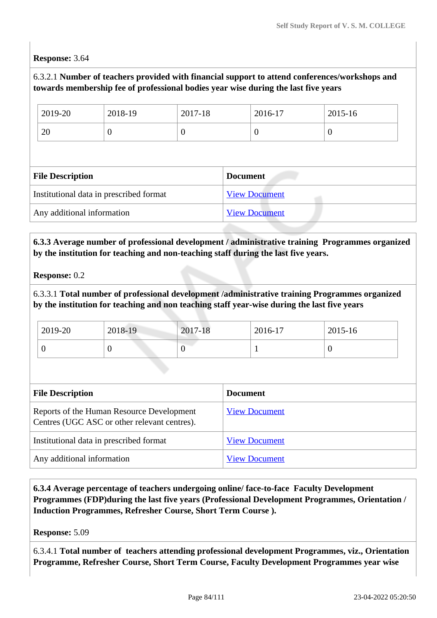#### **Response:** 3.64

### 6.3.2.1 **Number of teachers provided with financial support to attend conferences/workshops and towards membership fee of professional bodies year wise during the last five years**

| 2019-20                 | 2018-19                                 | 2017-18  | 2016-17              | 2015-16 |
|-------------------------|-----------------------------------------|----------|----------------------|---------|
| 20                      | $\theta$                                | $\theta$ | $\boldsymbol{0}$     | v       |
|                         |                                         |          |                      |         |
|                         |                                         |          |                      |         |
| <b>File Description</b> |                                         |          | <b>Document</b>      |         |
|                         | Institutional data in prescribed format |          | <b>View Document</b> |         |

#### **6.3.3 Average number of professional development / administrative training Programmes organized by the institution for teaching and non-teaching staff during the last five years.**

**Response:** 0.2

6.3.3.1 **Total number of professional development /administrative training Programmes organized by the institution for teaching and non teaching staff year-wise during the last five years**

| 2019-20 | 2018-19 | 2017-18 | 2016-17 | 2015-16 |
|---------|---------|---------|---------|---------|
|         |         | ν       |         | ν       |

| <b>File Description</b>                                                                   | <b>Document</b>      |
|-------------------------------------------------------------------------------------------|----------------------|
| Reports of the Human Resource Development<br>Centres (UGC ASC or other relevant centres). | <b>View Document</b> |
| Institutional data in prescribed format                                                   | <b>View Document</b> |
| Any additional information                                                                | <b>View Document</b> |

 **6.3.4 Average percentage of teachers undergoing online/ face-to-face Faculty Development Programmes (FDP)during the last five years (Professional Development Programmes, Orientation / Induction Programmes, Refresher Course, Short Term Course ).**

**Response:** 5.09

6.3.4.1 **Total number of teachers attending professional development Programmes, viz., Orientation Programme, Refresher Course, Short Term Course, Faculty Development Programmes year wise**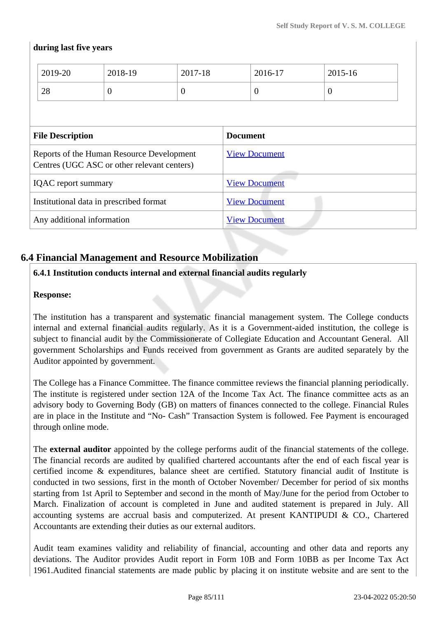### **during last five years**

|                                                                                          | 2019-20 | 2018-19          | 2017-18              |                      | 2016-17        | 2015-16        |  |
|------------------------------------------------------------------------------------------|---------|------------------|----------------------|----------------------|----------------|----------------|--|
|                                                                                          | 28      | $\boldsymbol{0}$ | $\theta$             |                      | $\overline{0}$ | $\overline{0}$ |  |
|                                                                                          |         |                  |                      |                      |                |                |  |
| <b>File Description</b>                                                                  |         |                  | <b>Document</b>      |                      |                |                |  |
| Reports of the Human Resource Development<br>Centres (UGC ASC or other relevant centers) |         |                  | <b>View Document</b> |                      |                |                |  |
| <b>IQAC</b> report summary                                                               |         |                  |                      | <b>View Document</b> |                |                |  |
| Institutional data in prescribed format                                                  |         |                  | <b>View Document</b> |                      |                |                |  |
| Any additional information                                                               |         |                  |                      | <b>View Document</b> |                |                |  |

## **6.4 Financial Management and Resource Mobilization**

## **6.4.1 Institution conducts internal and external financial audits regularly**

#### **Response:**

The institution has a transparent and systematic financial management system. The College conducts internal and external financial audits regularly. As it is a Government-aided institution, the college is subject to financial audit by the Commissionerate of Collegiate Education and Accountant General. All government Scholarships and Funds received from government as Grants are audited separately by the Auditor appointed by government.

The College has a Finance Committee. The finance committee reviews the financial planning periodically. The institute is registered under section 12A of the Income Tax Act. The finance committee acts as an advisory body to Governing Body (GB) on matters of finances connected to the college. Financial Rules are in place in the Institute and "No- Cash" Transaction System is followed. Fee Payment is encouraged through online mode.

The **external auditor** appointed by the college performs audit of the financial statements of the college. The financial records are audited by qualified chartered accountants after the end of each fiscal year is certified income & expenditures, balance sheet are certified. Statutory financial audit of Institute is conducted in two sessions, first in the month of October November/ December for period of six months starting from 1st April to September and second in the month of May/June for the period from October to March. Finalization of account is completed in June and audited statement is prepared in July. All accounting systems are accrual basis and computerized. At present KANTIPUDI & CO., Chartered Accountants are extending their duties as our external auditors.

Audit team examines validity and reliability of financial, accounting and other data and reports any deviations. The Auditor provides Audit report in Form 10B and Form 10BB as per Income Tax Act 1961.Audited financial statements are made public by placing it on institute website and are sent to the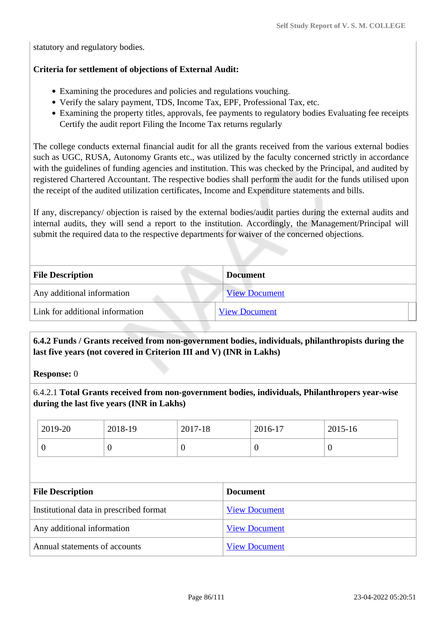statutory and regulatory bodies.

#### **Criteria for settlement of objections of External Audit:**

- Examining the procedures and policies and regulations vouching.
- Verify the salary payment, TDS, Income Tax, EPF, Professional Tax, etc.
- Examining the property titles, approvals, fee payments to regulatory bodies Evaluating fee receipts Certify the audit report Filing the Income Tax returns regularly

The college conducts external financial audit for all the grants received from the various external bodies such as UGC, RUSA, Autonomy Grants etc., was utilized by the faculty concerned strictly in accordance with the guidelines of funding agencies and institution. This was checked by the Principal, and audited by registered Chartered Accountant. The respective bodies shall perform the audit for the funds utilised upon the receipt of the audited utilization certificates, Income and Expenditure statements and bills.

If any, discrepancy/ objection is raised by the external bodies/audit parties during the external audits and internal audits, they will send a report to the institution. Accordingly, the Management/Principal will submit the required data to the respective departments for waiver of the concerned objections.

| <b>File Description</b>         | <b>Document</b>      |
|---------------------------------|----------------------|
| Any additional information      | <b>View Document</b> |
| Link for additional information | <b>View Document</b> |
|                                 |                      |

 **6.4.2 Funds / Grants received from non-government bodies, individuals, philanthropists during the last five years (not covered in Criterion III and V) (INR in Lakhs)**

**Response:** 0

6.4.2.1 **Total Grants received from non-government bodies, individuals, Philanthropers year-wise during the last five years (INR in Lakhs)**

| 2019-20 | 2018-19 | 2017-18 | 2016-17 | 2015-16 |
|---------|---------|---------|---------|---------|
|         | U       |         | C       |         |

| <b>File Description</b>                 | <b>Document</b>      |
|-----------------------------------------|----------------------|
| Institutional data in prescribed format | <b>View Document</b> |
| Any additional information              | <b>View Document</b> |
| Annual statements of accounts           | <b>View Document</b> |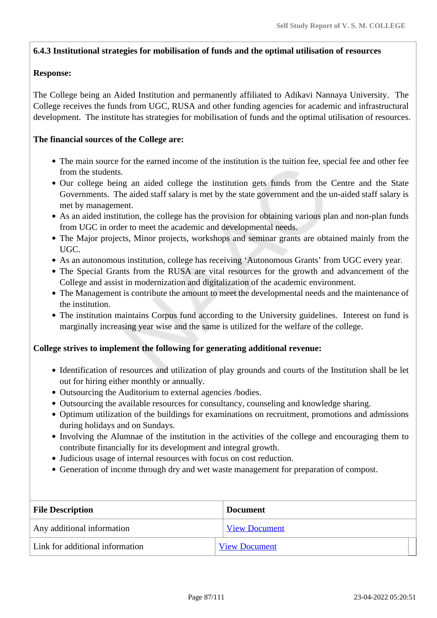#### **6.4.3 Institutional strategies for mobilisation of funds and the optimal utilisation of resources**

#### **Response:**

The College being an Aided Institution and permanently affiliated to Adikavi Nannaya University. The College receives the funds from UGC, RUSA and other funding agencies for academic and infrastructural development. The institute has strategies for mobilisation of funds and the optimal utilisation of resources.

#### **The financial sources of the College are:**

- The main source for the earned income of the institution is the tuition fee, special fee and other fee from the students.
- Our college being an aided college the institution gets funds from the Centre and the State Governments. The aided staff salary is met by the state government and the un-aided staff salary is met by management.
- As an aided institution, the college has the provision for obtaining various plan and non-plan funds from UGC in order to meet the academic and developmental needs.
- The Major projects, Minor projects, workshops and seminar grants are obtained mainly from the UGC.
- As an autonomous institution, college has receiving 'Autonomous Grants' from UGC every year.
- The Special Grants from the RUSA are vital resources for the growth and advancement of the College and assist in modernization and digitalization of the academic environment.
- The Management is contribute the amount to meet the developmental needs and the maintenance of the institution.
- The institution maintains Corpus fund according to the University guidelines. Interest on fund is marginally increasing year wise and the same is utilized for the welfare of the college.

#### **College strives to implement the following for generating additional revenue:**

- Identification of resources and utilization of play grounds and courts of the Institution shall be let out for hiring either monthly or annually.
- Outsourcing the Auditorium to external agencies /bodies.
- Outsourcing the available resources for consultancy, counseling and knowledge sharing.
- Optimum utilization of the buildings for examinations on recruitment, promotions and admissions during holidays and on Sundays.
- Involving the Alumnae of the institution in the activities of the college and encouraging them to contribute financially for its development and integral growth.
- Judicious usage of internal resources with focus on cost reduction.
- Generation of income through dry and wet waste management for preparation of compost.

| <b>File Description</b>         | <b>Document</b>      |  |
|---------------------------------|----------------------|--|
| Any additional information      | <b>View Document</b> |  |
| Link for additional information | <b>View Document</b> |  |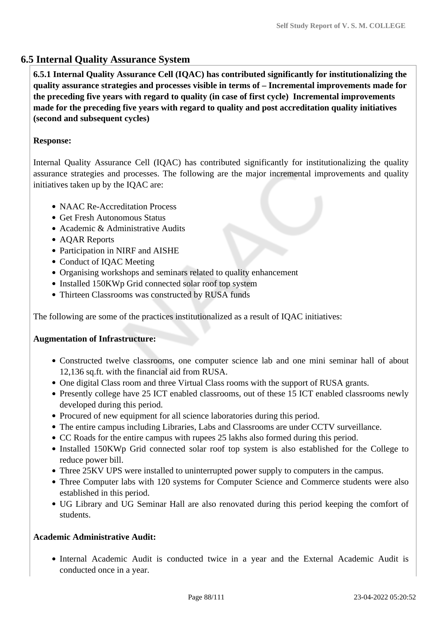## **6.5 Internal Quality Assurance System**

 **6.5.1 Internal Quality Assurance Cell (IQAC) has contributed significantly for institutionalizing the quality assurance strategies and processes visible in terms of – Incremental improvements made for the preceding five years with regard to quality (in case of first cycle) Incremental improvements made for the preceding five years with regard to quality and post accreditation quality initiatives (second and subsequent cycles)** 

## **Response:**

Internal Quality Assurance Cell (IQAC) has contributed significantly for institutionalizing the quality assurance strategies and processes. The following are the major incremental improvements and quality initiatives taken up by the IQAC are:

- NAAC Re-Accreditation Process
- Get Fresh Autonomous Status
- Academic & Administrative Audits
- AQAR Reports
- Participation in NIRF and AISHE
- Conduct of IOAC Meeting
- Organising workshops and seminars related to quality enhancement
- Installed 150KWp Grid connected solar roof top system
- Thirteen Classrooms was constructed by RUSA funds

The following are some of the practices institutionalized as a result of IQAC initiatives:

#### **Augmentation of Infrastructure:**

- Constructed twelve classrooms, one computer science lab and one mini seminar hall of about 12,136 sq.ft. with the financial aid from RUSA.
- One digital Class room and three Virtual Class rooms with the support of RUSA grants.
- Presently college have 25 ICT enabled classrooms, out of these 15 ICT enabled classrooms newly developed during this period.
- Procured of new equipment for all science laboratories during this period.
- The entire campus including Libraries, Labs and Classrooms are under CCTV surveillance.
- CC Roads for the entire campus with rupees 25 lakhs also formed during this period.
- Installed 150KWp Grid connected solar roof top system is also established for the College to reduce power bill.
- Three 25KV UPS were installed to uninterrupted power supply to computers in the campus.
- Three Computer labs with 120 systems for Computer Science and Commerce students were also established in this period.
- UG Library and UG Seminar Hall are also renovated during this period keeping the comfort of students.

## **Academic Administrative Audit:**

Internal Academic Audit is conducted twice in a year and the External Academic Audit is conducted once in a year.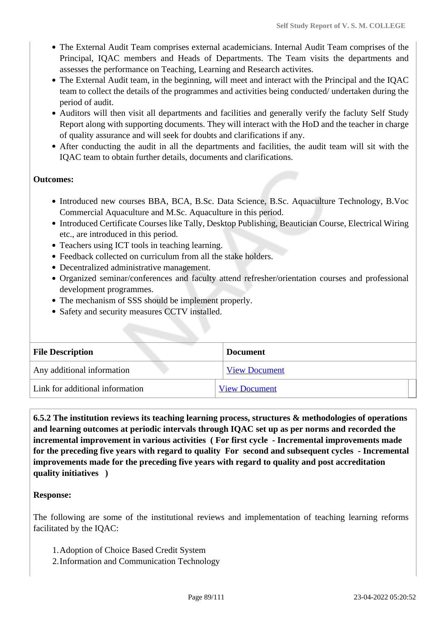- The External Audit Team comprises external academicians. Internal Audit Team comprises of the Principal, IQAC members and Heads of Departments. The Team visits the departments and assesses the performance on Teaching, Learning and Research activites.
- The External Audit team, in the beginning, will meet and interact with the Principal and the IQAC team to collect the details of the programmes and activities being conducted/ undertaken during the period of audit.
- Auditors will then visit all departments and facilities and generally verify the facluty Self Study Report along with supporting documents. They will interact with the HoD and the teacher in charge of quality assurance and will seek for doubts and clarifications if any.
- After conducting the audit in all the departments and facilities, the audit team will sit with the IQAC team to obtain further details, documents and clarifications.

#### **Outcomes:**

- Introduced new courses BBA, BCA, B.Sc. Data Science, B.Sc. Aquaculture Technology, B.Voc Commercial Aquaculture and M.Sc. Aquaculture in this period.
- Introduced Certificate Courses like Tally, Desktop Publishing, Beautician Course, Electrical Wiring etc., are introduced in this period.
- Teachers using ICT tools in teaching learning.
- Feedback collected on curriculum from all the stake holders.
- Decentralized administrative management.
- Organized seminar/conferences and faculty attend refresher/orientation courses and professional development programmes.
- The mechanism of SSS should be implement properly.
- Safety and security measures CCTV installed.

| <b>File Description</b>         | <b>Document</b>      |
|---------------------------------|----------------------|
| Any additional information      | <b>View Document</b> |
| Link for additional information | <b>View Document</b> |

 **6.5.2 The institution reviews its teaching learning process, structures & methodologies of operations and learning outcomes at periodic intervals through IQAC set up as per norms and recorded the incremental improvement in various activities ( For first cycle - Incremental improvements made for the preceding five years with regard to quality For second and subsequent cycles - Incremental improvements made for the preceding five years with regard to quality and post accreditation quality initiatives )** 

#### **Response:**

The following are some of the institutional reviews and implementation of teaching learning reforms facilitated by the IQAC:

- 1.Adoption of Choice Based Credit System
- 2.Information and Communication Technology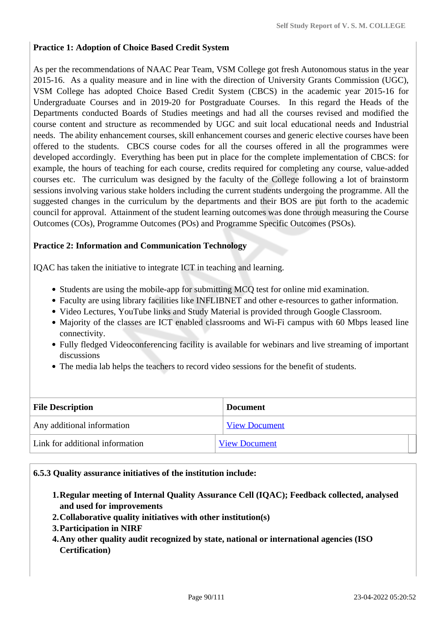#### **Practice 1: Adoption of Choice Based Credit System**

As per the recommendations of NAAC Pear Team, VSM College got fresh Autonomous status in the year 2015-16. As a quality measure and in line with the direction of University Grants Commission (UGC), VSM College has adopted Choice Based Credit System (CBCS) in the academic year 2015-16 for Undergraduate Courses and in 2019-20 for Postgraduate Courses. In this regard the Heads of the Departments conducted Boards of Studies meetings and had all the courses revised and modified the course content and structure as recommended by UGC and suit local educational needs and Industrial needs. The ability enhancement courses, skill enhancement courses and generic elective courses have been offered to the students. CBCS course codes for all the courses offered in all the programmes were developed accordingly. Everything has been put in place for the complete implementation of CBCS: for example, the hours of teaching for each course, credits required for completing any course, value-added courses etc. The curriculum was designed by the faculty of the College following a lot of brainstorm sessions involving various stake holders including the current students undergoing the programme. All the suggested changes in the curriculum by the departments and their BOS are put forth to the academic council for approval. Attainment of the student learning outcomes was done through measuring the Course Outcomes (COs), Programme Outcomes (POs) and Programme Specific Outcomes (PSOs).

#### **Practice 2: Information and Communication Technology**

IQAC has taken the initiative to integrate ICT in teaching and learning.

- Students are using the mobile-app for submitting MCQ test for online mid examination.
- Faculty are using library facilities like INFLIBNET and other e-resources to gather information.
- Video Lectures, YouTube links and Study Material is provided through Google Classroom.
- Majority of the classes are ICT enabled classrooms and Wi-Fi campus with 60 Mbps leased line connectivity.
- Fully fledged Videoconferencing facility is available for webinars and live streaming of important discussions
- The media lab helps the teachers to record video sessions for the benefit of students.

| <b>File Description</b>         | <b>Document</b>      |  |
|---------------------------------|----------------------|--|
| Any additional information      | <b>View Document</b> |  |
| Link for additional information | <b>View Document</b> |  |

#### **6.5.3 Quality assurance initiatives of the institution include:**

- **1.Regular meeting of Internal Quality Assurance Cell (IQAC); Feedback collected, analysed and used for improvements**
- **2.Collaborative quality initiatives with other institution(s)**
- **3.Participation in NIRF**
- **4.Any other quality audit recognized by state, national or international agencies (ISO Certification)**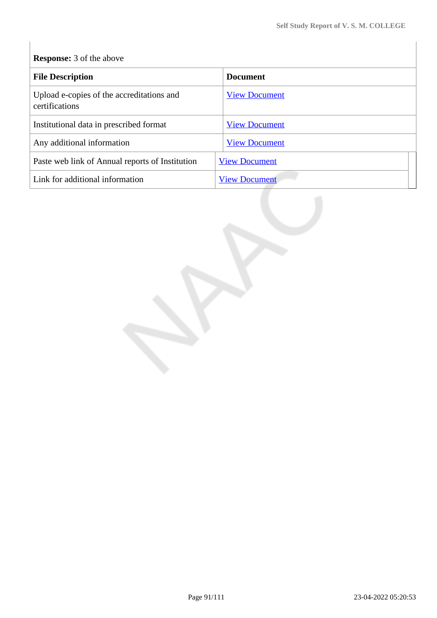## **Response:** 3 of the above

| <b>File Description</b>                                     | <b>Document</b>      |
|-------------------------------------------------------------|----------------------|
| Upload e-copies of the accreditations and<br>certifications | <b>View Document</b> |
| Institutional data in prescribed format                     | <b>View Document</b> |
| Any additional information                                  | <b>View Document</b> |
| Paste web link of Annual reports of Institution             | <b>View Document</b> |
| Link for additional information                             | <b>View Document</b> |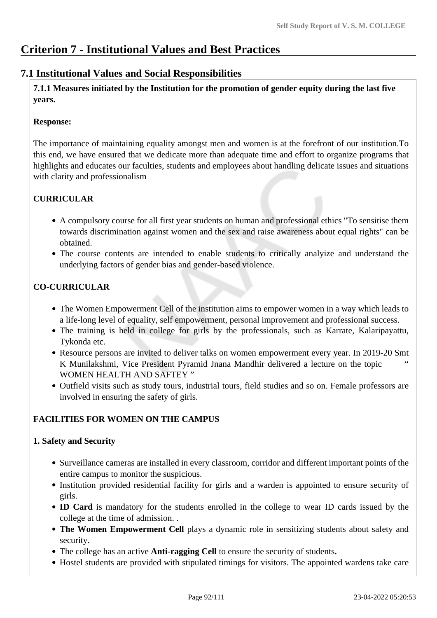## **Criterion 7 - Institutional Values and Best Practices**

## **7.1 Institutional Values and Social Responsibilities**

 **7.1.1 Measures initiated by the Institution for the promotion of gender equity during the last five years.**

#### **Response:**

The importance of maintaining equality amongst men and women is at the forefront of our institution.To this end, we have ensured that we dedicate more than adequate time and effort to organize programs that highlights and educates our faculties, students and employees about handling delicate issues and situations with clarity and professionalism

## **CURRICULAR**

- A compulsory course for all first year students on human and professional ethics "To sensitise them towards discrimination against women and the sex and raise awareness about equal rights" can be obtained.
- The course contents are intended to enable students to critically analyize and understand the underlying factors of gender bias and gender-based violence.

## **CO-CURRICULAR**

- The Women Empowerment Cell of the institution aims to empower women in a way which leads to a life-long level of equality, self empowerment, personal improvement and professional success.
- The training is held in college for girls by the professionals, such as Karrate, Kalaripayattu, Tykonda etc.
- Resource persons are invited to deliver talks on women empowerment every year. In 2019-20 Smt K Munilakshmi, Vice President Pyramid Jnana Mandhir delivered a lecture on the topic " WOMEN HEALTH AND SAFTEY "
- Outfield visits such as study tours, industrial tours, field studies and so on. Female professors are involved in ensuring the safety of girls.

## **FACILITIES FOR WOMEN ON THE CAMPUS**

## **1. Safety and Security**

- Surveillance cameras are installed in every classroom, corridor and different important points of the entire campus to monitor the suspicious.
- Institution provided residential facility for girls and a warden is appointed to ensure security of girls.
- **ID Card** is mandatory for the students enrolled in the college to wear ID cards issued by the college at the time of admission. .
- **The Women Empowerment Cell** plays a dynamic role in sensitizing students about safety and security.
- The college has an active **Anti-ragging Cell** to ensure the security of students**.**
- Hostel students are provided with stipulated timings for visitors. The appointed wardens take care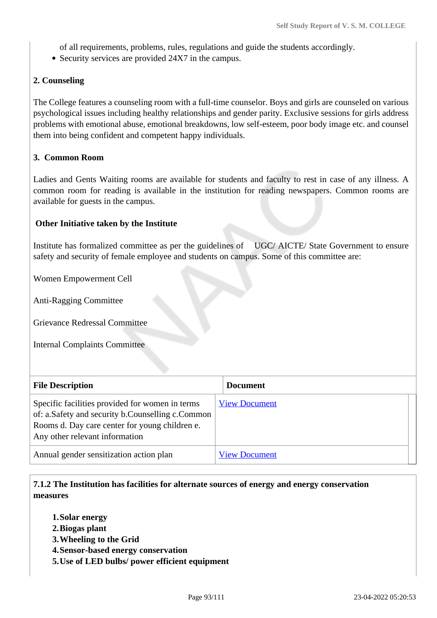of all requirements, problems, rules, regulations and guide the students accordingly.

• Security services are provided 24X7 in the campus.

#### **2. Counseling**

The College features a counseling room with a full-time counselor. Boys and girls are counseled on various psychological issues including healthy relationships and gender parity. Exclusive sessions for girls address problems with emotional abuse, emotional breakdowns, low self-esteem, poor body image etc. and counsel them into being confident and competent happy individuals.

#### **3. Common Room**

Ladies and Gents Waiting rooms are available for students and faculty to rest in case of any illness. A common room for reading is available in the institution for reading newspapers. Common rooms are available for guests in the campus.

#### **Other Initiative taken by the Institute**

Institute has formalized committee as per the guidelines of UGC/ AICTE/ State Government to ensure safety and security of female employee and students on campus. Some of this committee are:

Women Empowerment Cell

Anti-Ragging Committee

Grievance Redressal Committee

Internal Complaints Committee

| <b>File Description</b>                                                                                                                                                                 | <b>Document</b>      |
|-----------------------------------------------------------------------------------------------------------------------------------------------------------------------------------------|----------------------|
| Specific facilities provided for women in terms<br>of: a.Safety and security b.Counselling c.Common<br>Rooms d. Day care center for young children e.<br>Any other relevant information | <b>View Document</b> |
| Annual gender sensitization action plan                                                                                                                                                 | <b>View Document</b> |

 **7.1.2 The Institution has facilities for alternate sources of energy and energy conservation measures** 

- **1.Solar energy**
- **2.Biogas plant**
- **3.Wheeling to the Grid**
- **4.Sensor-based energy conservation**
- **5.Use of LED bulbs/ power efficient equipment**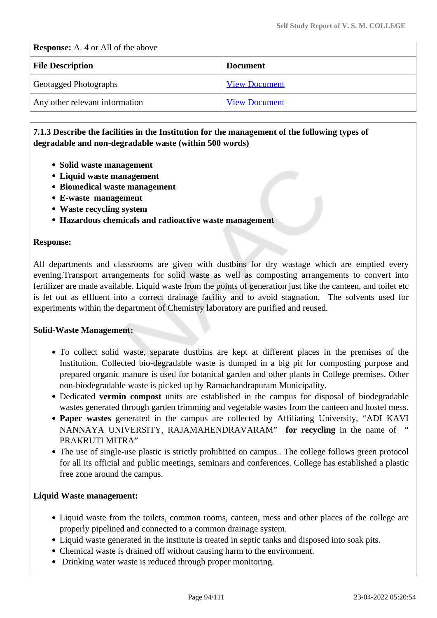**Response:** A. 4 or All of the above

| <b>File Description</b>        | <b>Document</b>      |
|--------------------------------|----------------------|
| <b>Geotagged Photographs</b>   | <b>View Document</b> |
| Any other relevant information | <b>View Document</b> |

#### **7.1.3 Describe the facilities in the Institution for the management of the following types of degradable and non-degradable waste (within 500 words)**

- **Solid waste management**
- **Liquid waste management**
- **Biomedical waste management**
- **E-waste management**
- **Waste recycling system**
- **Hazardous chemicals and radioactive waste management**

#### **Response:**

All departments and classrooms are given with dustbins for dry wastage which are emptied every evening.Transport arrangements for solid waste as well as composting arrangements to convert into fertilizer are made available. Liquid waste from the points of generation just like the canteen, and toilet etc is let out as effluent into a correct drainage facility and to avoid stagnation. The solvents used for experiments within the department of Chemistry laboratory are purified and reused.

#### **Solid-Waste Management:**

- To collect solid waste, separate dustbins are kept at different places in the premises of the Institution. Collected bio-degradable waste is dumped in a big pit for composting purpose and prepared organic manure is used for botanical garden and other plants in College premises. Other non-biodegradable waste is picked up by Ramachandrapuram Municipality.
- Dedicated **vermin compost** units are established in the campus for disposal of biodegradable wastes generated through garden trimming and vegetable wastes from the canteen and hostel mess.
- **Paper wastes** generated in the campus are collected by Affiliating University, "ADI KAVI NANNAYA UNIVERSITY, RAJAMAHENDRAVARAM" **for recycling** in the name of " PRAKRUTI MITRA"
- The use of single-use plastic is strictly prohibited on campus.. The college follows green protocol for all its official and public meetings, seminars and conferences. College has established a plastic free zone around the campus.

#### **Liquid Waste management:**

- Liquid waste from the toilets, common rooms, canteen, mess and other places of the college are properly pipelined and connected to a common drainage system.
- Liquid waste generated in the institute is treated in septic tanks and disposed into soak pits.
- Chemical waste is drained off without causing harm to the environment.
- Drinking water waste is reduced through proper monitoring.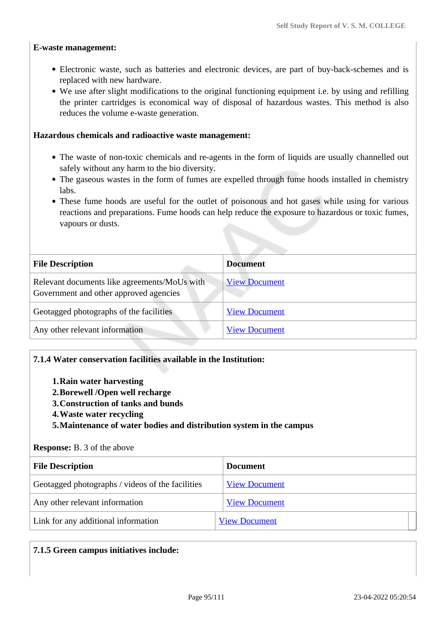#### **E-waste management:**

- Electronic waste, such as batteries and electronic devices, are part of buy-back-schemes and is replaced with new hardware.
- We use after slight modifications to the original functioning equipment i.e. by using and refilling the printer cartridges is economical way of disposal of hazardous wastes. This method is also reduces the volume e-waste generation.

#### **Hazardous chemicals and radioactive waste management:**

- The waste of non-toxic chemicals and re-agents in the form of liquids are usually channelled out safely without any harm to the bio diversity.
- The gaseous wastes in the form of fumes are expelled through fume hoods installed in chemistry labs.
- These fume hoods are useful for the outlet of poisonous and hot gases while using for various reactions and preparations. Fume hoods can help reduce the exposure to hazardous or toxic fumes, vapours or dusts.

| <b>File Description</b>                                                                | <b>Document</b>      |  |  |
|----------------------------------------------------------------------------------------|----------------------|--|--|
| Relevant documents like agreements/MoUs with<br>Government and other approved agencies | <b>View Document</b> |  |  |
| Geotagged photographs of the facilities                                                | <b>View Document</b> |  |  |
| Any other relevant information                                                         | <b>View Document</b> |  |  |

#### **7.1.4 Water conservation facilities available in the Institution:**

- **1.Rain water harvesting**
- **2.Borewell /Open well recharge**
- **3.Construction of tanks and bunds**
- **4.Waste water recycling**
- **5.Maintenance of water bodies and distribution system in the campus**

#### **Response:** B. 3 of the above

| <b>File Description</b>                          | <b>Document</b>      |  |  |
|--------------------------------------------------|----------------------|--|--|
| Geotagged photographs / videos of the facilities | <b>View Document</b> |  |  |
| Any other relevant information                   | <b>View Document</b> |  |  |
| Link for any additional information              | <b>View Document</b> |  |  |

#### **7.1.5 Green campus initiatives include:**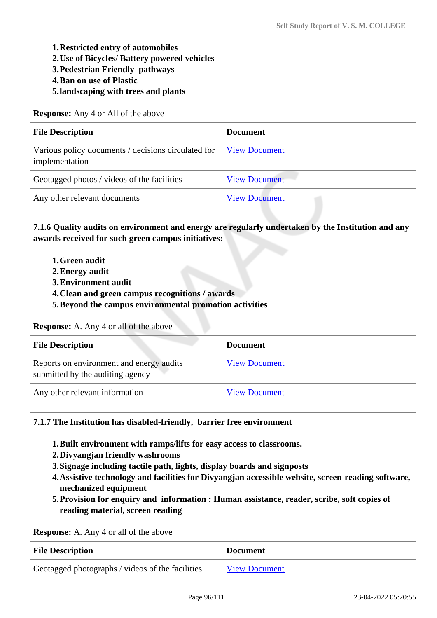**1.Restricted entry of automobiles** 

**2.Use of Bicycles/ Battery powered vehicles**

**3.Pedestrian Friendly pathways**

- **4.Ban on use of Plastic**
- **5.landscaping with trees and plants**

**Response:** Any 4 or All of the above

| <b>File Description</b>                                               | <b>Document</b>      |
|-----------------------------------------------------------------------|----------------------|
| Various policy documents / decisions circulated for<br>implementation | <b>View Document</b> |
| Geotagged photos / videos of the facilities                           | <b>View Document</b> |
| Any other relevant documents                                          | <b>View Document</b> |

 **7.1.6 Quality audits on environment and energy are regularly undertaken by the Institution and any awards received for such green campus initiatives:**

- **1.Green audit**
- **2.Energy audit**
- **3.Environment audit**
- **4.Clean and green campus recognitions / awards**
- **5.Beyond the campus environmental promotion activities**

**Response:** A. Any 4 or all of the above

| <b>File Description</b>                                                      | <b>Document</b>      |
|------------------------------------------------------------------------------|----------------------|
| Reports on environment and energy audits<br>submitted by the auditing agency | <b>View Document</b> |
| Any other relevant information                                               | <b>View Document</b> |

**7.1.7 The Institution has disabled-friendly, barrier free environment** 

- **1.Built environment with ramps/lifts for easy access to classrooms.**
- **2.Divyangjan friendly washrooms**
- **3.Signage including tactile path, lights, display boards and signposts**
- **4.Assistive technology and facilities for Divyangjan accessible website, screen-reading software, mechanized equipment**
- **5.Provision for enquiry and information : Human assistance, reader, scribe, soft copies of reading material, screen reading**

**Response:** A. Any 4 or all of the above

| <b>File Description</b>                          | <b>Document</b>      |  |  |
|--------------------------------------------------|----------------------|--|--|
| Geotagged photographs / videos of the facilities | <b>View Document</b> |  |  |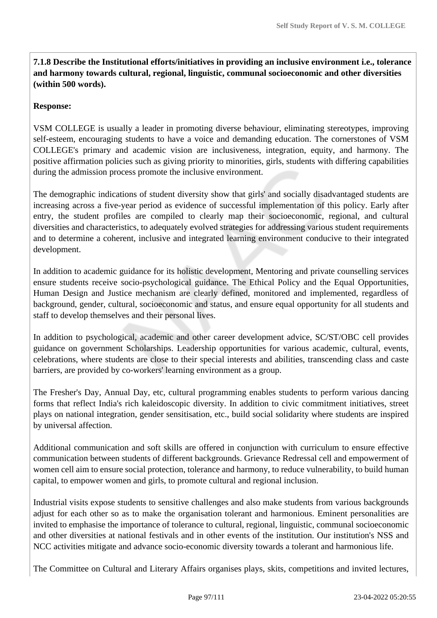**7.1.8 Describe the Institutional efforts/initiatives in providing an inclusive environment i.e., tolerance and harmony towards cultural, regional, linguistic, communal socioeconomic and other diversities (within 500 words).**

#### **Response:**

VSM COLLEGE is usually a leader in promoting diverse behaviour, eliminating stereotypes, improving self-esteem, encouraging students to have a voice and demanding education. The cornerstones of VSM COLLEGE's primary and academic vision are inclusiveness, integration, equity, and harmony. The positive affirmation policies such as giving priority to minorities, girls, students with differing capabilities during the admission process promote the inclusive environment.

The demographic indications of student diversity show that girls' and socially disadvantaged students are increasing across a five-year period as evidence of successful implementation of this policy. Early after entry, the student profiles are compiled to clearly map their socioeconomic, regional, and cultural diversities and characteristics, to adequately evolved strategies for addressing various student requirements and to determine a coherent, inclusive and integrated learning environment conducive to their integrated development.

In addition to academic guidance for its holistic development, Mentoring and private counselling services ensure students receive socio-psychological guidance. The Ethical Policy and the Equal Opportunities, Human Design and Justice mechanism are clearly defined, monitored and implemented, regardless of background, gender, cultural, socioeconomic and status, and ensure equal opportunity for all students and staff to develop themselves and their personal lives.

In addition to psychological, academic and other career development advice, SC/ST/OBC cell provides guidance on government Scholarships. Leadership opportunities for various academic, cultural, events, celebrations, where students are close to their special interests and abilities, transcending class and caste barriers, are provided by co-workers' learning environment as a group.

The Fresher's Day, Annual Day, etc, cultural programming enables students to perform various dancing forms that reflect India's rich kaleidoscopic diversity. In addition to civic commitment initiatives, street plays on national integration, gender sensitisation, etc., build social solidarity where students are inspired by universal affection.

Additional communication and soft skills are offered in conjunction with curriculum to ensure effective communication between students of different backgrounds. Grievance Redressal cell and empowerment of women cell aim to ensure social protection, tolerance and harmony, to reduce vulnerability, to build human capital, to empower women and girls, to promote cultural and regional inclusion.

Industrial visits expose students to sensitive challenges and also make students from various backgrounds adjust for each other so as to make the organisation tolerant and harmonious. Eminent personalities are invited to emphasise the importance of tolerance to cultural, regional, linguistic, communal socioeconomic and other diversities at national festivals and in other events of the institution. Our institution's NSS and NCC activities mitigate and advance socio-economic diversity towards a tolerant and harmonious life.

The Committee on Cultural and Literary Affairs organises plays, skits, competitions and invited lectures,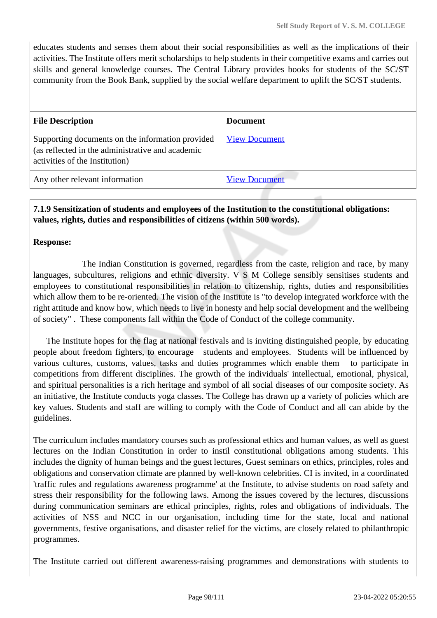educates students and senses them about their social responsibilities as well as the implications of their activities. The Institute offers merit scholarships to help students in their competitive exams and carries out skills and general knowledge courses. The Central Library provides books for students of the SC/ST community from the Book Bank, supplied by the social welfare department to uplift the SC/ST students.

| <b>File Description</b>                                                                                                                | <b>Document</b>      |
|----------------------------------------------------------------------------------------------------------------------------------------|----------------------|
| Supporting documents on the information provided<br>(as reflected in the administrative and academic<br>activities of the Institution) | <b>View Document</b> |
| Any other relevant information                                                                                                         | <b>View Document</b> |

#### **7.1.9 Sensitization of students and employees of the Institution to the constitutional obligations: values, rights, duties and responsibilities of citizens (within 500 words).**

#### **Response:**

 The Indian Constitution is governed, regardless from the caste, religion and race, by many languages, subcultures, religions and ethnic diversity. V S M College sensibly sensitises students and employees to constitutional responsibilities in relation to citizenship, rights, duties and responsibilities which allow them to be re-oriented. The vision of the Institute is "to develop integrated workforce with the right attitude and know how, which needs to live in honesty and help social development and the wellbeing of society" . These components fall within the Code of Conduct of the college community.

 The Institute hopes for the flag at national festivals and is inviting distinguished people, by educating people about freedom fighters, to encourage students and employees. Students will be influenced by various cultures, customs, values, tasks and duties programmes which enable them to participate in competitions from different disciplines. The growth of the individuals' intellectual, emotional, physical, and spiritual personalities is a rich heritage and symbol of all social diseases of our composite society. As an initiative, the Institute conducts yoga classes. The College has drawn up a variety of policies which are key values. Students and staff are willing to comply with the Code of Conduct and all can abide by the guidelines.

The curriculum includes mandatory courses such as professional ethics and human values, as well as guest lectures on the Indian Constitution in order to instil constitutional obligations among students. This includes the dignity of human beings and the guest lectures, Guest seminars on ethics, principles, roles and obligations and conservation climate are planned by well-known celebrities. CI is invited, in a coordinated 'traffic rules and regulations awareness programme' at the Institute, to advise students on road safety and stress their responsibility for the following laws. Among the issues covered by the lectures, discussions during communication seminars are ethical principles, rights, roles and obligations of individuals. The activities of NSS and NCC in our organisation, including time for the state, local and national governments, festive organisations, and disaster relief for the victims, are closely related to philanthropic programmes.

The Institute carried out different awareness-raising programmes and demonstrations with students to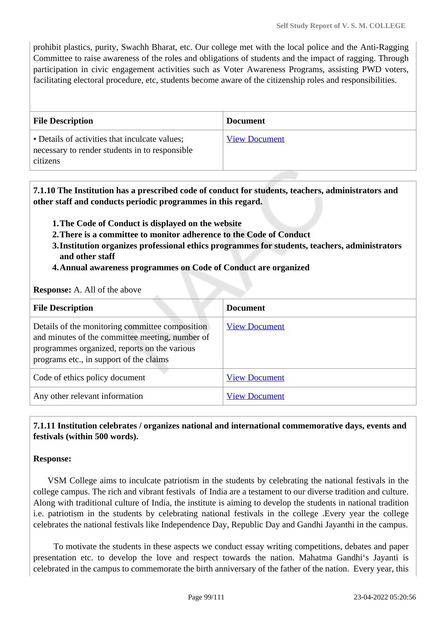prohibit plastics, purity, Swachh Bharat, etc. Our college met with the local police and the Anti-Ragging Committee to raise awareness of the roles and obligations of students and the impact of ragging. Through participation in civic engagement activities such as Voter Awareness Programs, assisting PWD voters, facilitating electoral procedure, etc, students become aware of the citizenship roles and responsibilities.

| <b>File Description</b>                                                                                      | <b>Document</b>      |
|--------------------------------------------------------------------------------------------------------------|----------------------|
| • Details of activities that inculcate values;<br>necessary to render students in to responsible<br>citizens | <b>View Document</b> |

 **7.1.10 The Institution has a prescribed code of conduct for students, teachers, administrators and other staff and conducts periodic programmes in this regard.** 

- **1.The Code of Conduct is displayed on the website**
- **2.There is a committee to monitor adherence to the Code of Conduct**
- **3.Institution organizes professional ethics programmes for students, teachers, administrators and other staff**
- **4.Annual awareness programmes on Code of Conduct are organized**

#### **Response:** A. All of the above

| <b>File Description</b>                                                                                                                                                                       | <b>Document</b>      |
|-----------------------------------------------------------------------------------------------------------------------------------------------------------------------------------------------|----------------------|
| Details of the monitoring committee composition<br>and minutes of the committee meeting, number of<br>programmes organized, reports on the various<br>programs etc., in support of the claims | <b>View Document</b> |
| Code of ethics policy document                                                                                                                                                                | <b>View Document</b> |
| Any other relevant information                                                                                                                                                                | <b>View Document</b> |

## **7.1.11 Institution celebrates / organizes national and international commemorative days, events and festivals (within 500 words).**

#### **Response:**

 VSM College aims to inculcate patriotism in the students by celebrating the national festivals in the college campus. The rich and vibrant festivals of India are a testament to our diverse tradition and culture. Along with traditional culture of India, the institute is aiming to develop the students in national tradition i.e. patriotism in the students by celebrating national festivals in the college .Every year the college celebrates the national festivals like Independence Day, Republic Day and Gandhi Jayanthi in the campus.

 To motivate the students in these aspects we conduct essay writing competitions, debates and paper presentation etc. to develop the love and respect towards the nation. Mahatma Gandhi's Jayanti is celebrated in the campus to commemorate the birth anniversary of the father of the nation. Every year, this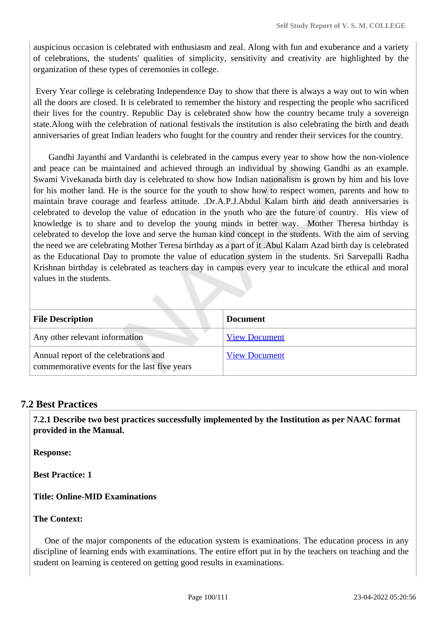auspicious occasion is celebrated with enthusiasm and zeal. Along with fun and exuberance and a variety of celebrations, the students' qualities of simplicity, sensitivity and creativity are highlighted by the organization of these types of ceremonies in college.

 Every Year college is celebrating Independence Day to show that there is always a way out to win when all the doors are closed. It is celebrated to remember the history and respecting the people who sacrificed their lives for the country. Republic Day is celebrated show how the country became truly a sovereign state.Along with the celebration of national festivals the institution is also celebrating the birth and death anniversaries of great Indian leaders who fought for the country and render their services for the country.

 Gandhi Jayanthi and Vardanthi is celebrated in the campus every year to show how the non-violence and peace can be maintained and achieved through an individual by showing Gandhi as an example. Swami Vivekanada birth day is celebrated to show how Indian nationalism is grown by him and his love for his mother land. He is the source for the youth to show how to respect women, parents and how to maintain brave courage and fearless attitude. .Dr.A.P.J.Abdul Kalam birth and death anniversaries is celebrated to develop the value of education in the youth who are the future of country. His view of knowledge is to share and to develop the young minds in better way. Mother Theresa birthday is celebrated to develop the love and serve the human kind concept in the students. With the aim of serving the need we are celebrating Mother Teresa birthday as a part of it .Abul Kalam Azad birth day is celebrated as the Educational Day to promote the value of education system in the students. Sri Sarvepalli Radha Krishnan birthday is celebrated as teachers day in campus every year to inculcate the ethical and moral values in the students.

| <b>File Description</b>                                                               | <b>Document</b>      |  |  |
|---------------------------------------------------------------------------------------|----------------------|--|--|
| Any other relevant information                                                        | <b>View Document</b> |  |  |
| Annual report of the celebrations and<br>commemorative events for the last five years | <b>View Document</b> |  |  |

## **7.2 Best Practices**

 **7.2.1 Describe two best practices successfully implemented by the Institution as per NAAC format provided in the Manual.**

**Response:** 

**Best Practice: 1** 

**Title: Online-MID Examinations** 

#### **The Context:**

 One of the major components of the education system is examinations. The education process in any discipline of learning ends with examinations. The entire effort put in by the teachers on teaching and the student on learning is centered on getting good results in examinations.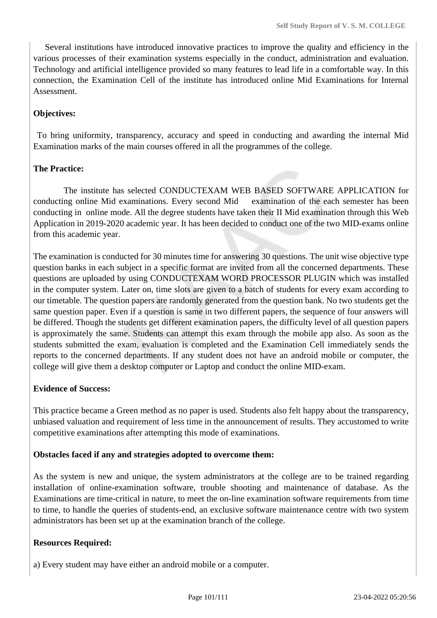Several institutions have introduced innovative practices to improve the quality and efficiency in the various processes of their examination systems especially in the conduct, administration and evaluation. Technology and artificial intelligence provided so many features to lead life in a comfortable way. In this connection, the Examination Cell of the institute has introduced online Mid Examinations for Internal Assessment.

### **Objectives:**

 To bring uniformity, transparency, accuracy and speed in conducting and awarding the internal Mid Examination marks of the main courses offered in all the programmes of the college.

#### **The Practice:**

 The institute has selected CONDUCTEXAM WEB BASED SOFTWARE APPLICATION for conducting online Mid examinations. Every second Mid examination of the each semester has been conducting in online mode. All the degree students have taken their II Mid examination through this Web Application in 2019-2020 academic year. It has been decided to conduct one of the two MID-exams online from this academic year.

The examination is conducted for 30 minutes time for answering 30 questions. The unit wise objective type question banks in each subject in a specific format are invited from all the concerned departments. These questions are uploaded by using CONDUCTEXAM WORD PROCESSOR PLUGIN which was installed in the computer system. Later on, time slots are given to a batch of students for every exam according to our timetable. The question papers are randomly generated from the question bank. No two students get the same question paper. Even if a question is same in two different papers, the sequence of four answers will be differed. Though the students get different examination papers, the difficulty level of all question papers is approximately the same. Students can attempt this exam through the mobile app also. As soon as the students submitted the exam, evaluation is completed and the Examination Cell immediately sends the reports to the concerned departments. If any student does not have an android mobile or computer, the college will give them a desktop computer or Laptop and conduct the online MID-exam.

#### **Evidence of Success:**

This practice became a Green method as no paper is used. Students also felt happy about the transparency, unbiased valuation and requirement of less time in the announcement of results. They accustomed to write competitive examinations after attempting this mode of examinations.

#### **Obstacles faced if any and strategies adopted to overcome them:**

As the system is new and unique, the system administrators at the college are to be trained regarding installation of online-examination software, trouble shooting and maintenance of database. As the Examinations are time-critical in nature, to meet the on-line examination software requirements from time to time, to handle the queries of students-end, an exclusive software maintenance centre with two system administrators has been set up at the examination branch of the college.

#### **Resources Required:**

a) Every student may have either an android mobile or a computer.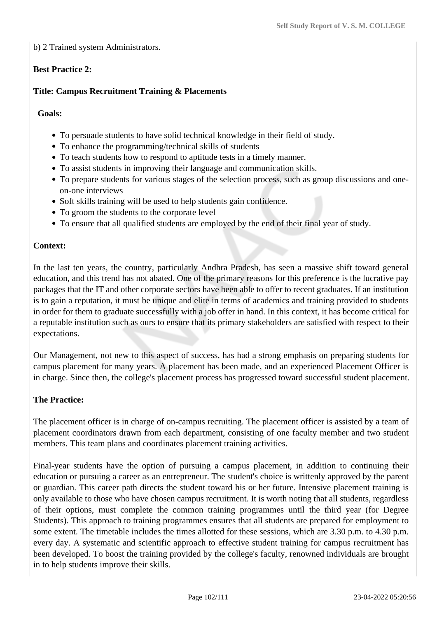b) 2 Trained system Administrators.

## **Best Practice 2:**

### **Title: Campus Recruitment Training & Placements**

#### **Goals:**

- To persuade students to have solid technical knowledge in their field of study.
- To enhance the programming/technical skills of students
- To teach students how to respond to aptitude tests in a timely manner.
- To assist students in improving their language and communication skills.
- To prepare students for various stages of the selection process, such as group discussions and oneon-one interviews
- Soft skills training will be used to help students gain confidence.
- To groom the students to the corporate level
- To ensure that all qualified students are employed by the end of their final year of study.

#### **Context:**

In the last ten years, the country, particularly Andhra Pradesh, has seen a massive shift toward general education, and this trend has not abated. One of the primary reasons for this preference is the lucrative pay packages that the IT and other corporate sectors have been able to offer to recent graduates. If an institution is to gain a reputation, it must be unique and elite in terms of academics and training provided to students in order for them to graduate successfully with a job offer in hand. In this context, it has become critical for a reputable institution such as ours to ensure that its primary stakeholders are satisfied with respect to their expectations.

Our Management, not new to this aspect of success, has had a strong emphasis on preparing students for campus placement for many years. A placement has been made, and an experienced Placement Officer is in charge. Since then, the college's placement process has progressed toward successful student placement.

#### **The Practice:**

The placement officer is in charge of on-campus recruiting. The placement officer is assisted by a team of placement coordinators drawn from each department, consisting of one faculty member and two student members. This team plans and coordinates placement training activities.

Final-year students have the option of pursuing a campus placement, in addition to continuing their education or pursuing a career as an entrepreneur. The student's choice is writtenly approved by the parent or guardian. This career path directs the student toward his or her future. Intensive placement training is only available to those who have chosen campus recruitment. It is worth noting that all students, regardless of their options, must complete the common training programmes until the third year (for Degree Students). This approach to training programmes ensures that all students are prepared for employment to some extent. The timetable includes the times allotted for these sessions, which are 3.30 p.m. to 4.30 p.m. every day. A systematic and scientific approach to effective student training for campus recruitment has been developed. To boost the training provided by the college's faculty, renowned individuals are brought in to help students improve their skills.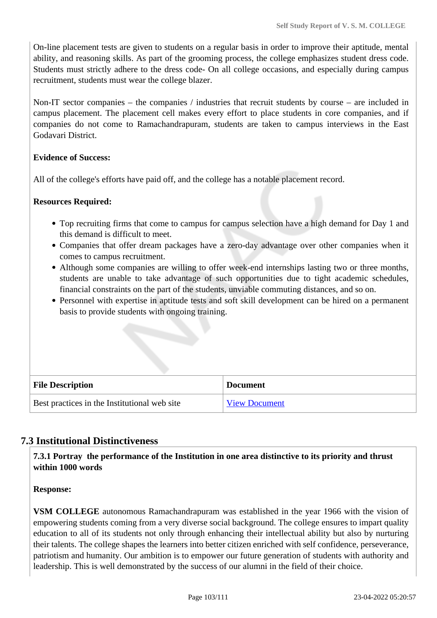On-line placement tests are given to students on a regular basis in order to improve their aptitude, mental ability, and reasoning skills. As part of the grooming process, the college emphasizes student dress code. Students must strictly adhere to the dress code- On all college occasions, and especially during campus recruitment, students must wear the college blazer.

Non-IT sector companies – the companies / industries that recruit students by course – are included in campus placement. The placement cell makes every effort to place students in core companies, and if companies do not come to Ramachandrapuram, students are taken to campus interviews in the East Godavari District.

#### **Evidence of Success:**

All of the college's efforts have paid off, and the college has a notable placement record.

#### **Resources Required:**

- Top recruiting firms that come to campus for campus selection have a high demand for Day 1 and this demand is difficult to meet.
- Companies that offer dream packages have a zero-day advantage over other companies when it comes to campus recruitment.
- Although some companies are willing to offer week-end internships lasting two or three months, students are unable to take advantage of such opportunities due to tight academic schedules, financial constraints on the part of the students, unviable commuting distances, and so on.
- Personnel with expertise in aptitude tests and soft skill development can be hired on a permanent basis to provide students with ongoing training.

| <b>File Description</b>                      | <b>Document</b>      |
|----------------------------------------------|----------------------|
| Best practices in the Institutional web site | <b>View Document</b> |

## **7.3 Institutional Distinctiveness**

 **7.3.1 Portray the performance of the Institution in one area distinctive to its priority and thrust within 1000 words**

**Response:** 

**VSM COLLEGE** autonomous Ramachandrapuram was established in the year 1966 with the vision of empowering students coming from a very diverse social background. The college ensures to impart quality education to all of its students not only through enhancing their intellectual ability but also by nurturing their talents. The college shapes the learners into better citizen enriched with self confidence, perseverance, patriotism and humanity. Our ambition is to empower our future generation of students with authority and leadership. This is well demonstrated by the success of our alumni in the field of their choice.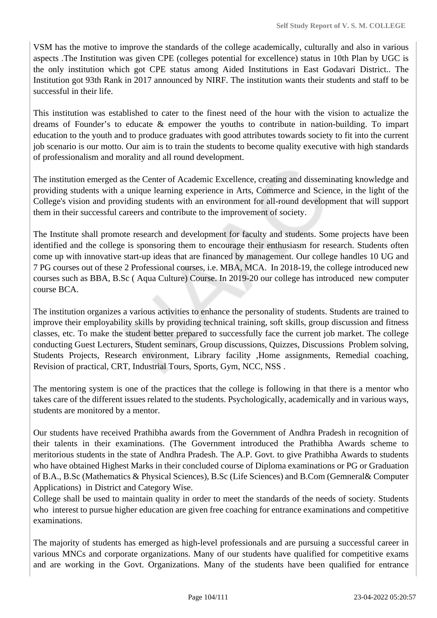VSM has the motive to improve the standards of the college academically, culturally and also in various aspects .The Institution was given CPE (colleges potential for excellence) status in 10th Plan by UGC is the only institution which got CPE status among Aided Institutions in East Godavari District.. The Institution got 93th Rank in 2017 announced by NIRF. The institution wants their students and staff to be successful in their life.

This institution was established to cater to the finest need of the hour with the vision to actualize the dreams of Founder's to educate & empower the youths to contribute in nation-building. To impart education to the youth and to produce graduates with good attributes towards society to fit into the current job scenario is our motto. Our aim is to train the students to become quality executive with high standards of professionalism and morality and all round development.

The institution emerged as the Center of Academic Excellence, creating and disseminating knowledge and providing students with a unique learning experience in Arts, Commerce and Science, in the light of the College's vision and providing students with an environment for all-round development that will support them in their successful careers and contribute to the improvement of society.

The Institute shall promote research and development for faculty and students. Some projects have been identified and the college is sponsoring them to encourage their enthusiasm for research. Students often come up with innovative start-up ideas that are financed by management. Our college handles 10 UG and 7 PG courses out of these 2 Professional courses, i.e. MBA, MCA. In 2018-19, the college introduced new courses such as BBA, B.Sc ( Aqua Culture) Course. In 2019-20 our college has introduced new computer course BCA.

The institution organizes a various activities to enhance the personality of students. Students are trained to improve their employability skills by providing technical training, soft skills, group discussion and fitness classes, etc. To make the student better prepared to successfully face the current job market. The college conducting Guest Lecturers, Student seminars, Group discussions, Quizzes, Discussions Problem solving, Students Projects, Research environment, Library facility ,Home assignments, Remedial coaching, Revision of practical, CRT, Industrial Tours, Sports, Gym, NCC, NSS .

The mentoring system is one of the practices that the college is following in that there is a mentor who takes care of the different issues related to the students. Psychologically, academically and in various ways, students are monitored by a mentor.

Our students have received Prathibha awards from the Government of Andhra Pradesh in recognition of their talents in their examinations. (The Government introduced the Prathibha Awards scheme to meritorious students in the state of Andhra Pradesh. The A.P. Govt. to give Prathibha Awards to students who have obtained Highest Marks in their concluded course of Diploma examinations or PG or Graduation of B.A., B.Sc (Mathematics & Physical Sciences), B.Sc (Life Sciences) and B.Com (Gemneral& Computer Applications) in District and Category Wise.

College shall be used to maintain quality in order to meet the standards of the needs of society. Students who interest to pursue higher education are given free coaching for entrance examinations and competitive examinations.

The majority of students has emerged as high-level professionals and are pursuing a successful career in various MNCs and corporate organizations. Many of our students have qualified for competitive exams and are working in the Govt. Organizations. Many of the students have been qualified for entrance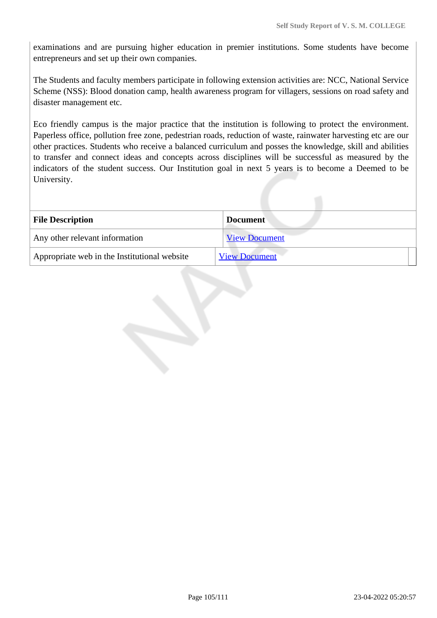examinations and are pursuing higher education in premier institutions. Some students have become entrepreneurs and set up their own companies.

The Students and faculty members participate in following extension activities are: NCC, National Service Scheme (NSS): Blood donation camp, health awareness program for villagers, sessions on road safety and disaster management etc.

Eco friendly campus is the major practice that the institution is following to protect the environment. Paperless office, pollution free zone, pedestrian roads, reduction of waste, rainwater harvesting etc are our other practices. Students who receive a balanced curriculum and posses the knowledge, skill and abilities to transfer and connect ideas and concepts across disciplines will be successful as measured by the indicators of the student success. Our Institution goal in next 5 years is to become a Deemed to be University.

| <b>File Description</b>                      | <b>Document</b>      |  |  |
|----------------------------------------------|----------------------|--|--|
| Any other relevant information               | <b>View Document</b> |  |  |
| Appropriate web in the Institutional website | <b>View Document</b> |  |  |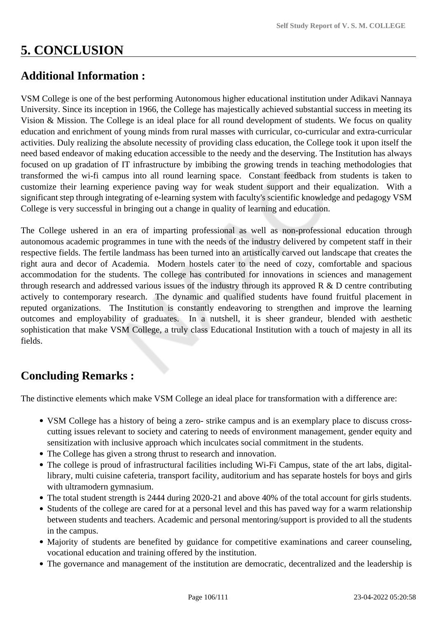# **5. CONCLUSION**

## **Additional Information :**

VSM College is one of the best performing Autonomous higher educational institution under Adikavi Nannaya University. Since its inception in 1966, the College has majestically achieved substantial success in meeting its Vision & Mission. The College is an ideal place for all round development of students. We focus on quality education and enrichment of young minds from rural masses with curricular, co-curricular and extra-curricular activities. Duly realizing the absolute necessity of providing class education, the College took it upon itself the need based endeavor of making education accessible to the needy and the deserving. The Institution has always focused on up gradation of IT infrastructure by imbibing the growing trends in teaching methodologies that transformed the wi-fi campus into all round learning space. Constant feedback from students is taken to customize their learning experience paving way for weak student support and their equalization. With a significant step through integrating of e-learning system with faculty's scientific knowledge and pedagogy VSM College is very successful in bringing out a change in quality of learning and education.

The College ushered in an era of imparting professional as well as non-professional education through autonomous academic programmes in tune with the needs of the industry delivered by competent staff in their respective fields. The fertile landmass has been turned into an artistically carved out landscape that creates the right aura and decor of Academia. Modern hostels cater to the need of cozy, comfortable and spacious accommodation for the students. The college has contributed for innovations in sciences and management through research and addressed various issues of the industry through its approved  $R \& D$  centre contributing actively to contemporary research. The dynamic and qualified students have found fruitful placement in reputed organizations. The Institution is constantly endeavoring to strengthen and improve the learning outcomes and employability of graduates. In a nutshell, it is sheer grandeur, blended with aesthetic sophistication that make VSM College, a truly class Educational Institution with a touch of majesty in all its fields.

## **Concluding Remarks :**

The distinctive elements which make VSM College an ideal place for transformation with a difference are:

- VSM College has a history of being a zero- strike campus and is an exemplary place to discuss crosscutting issues relevant to society and catering to needs of environment management, gender equity and sensitization with inclusive approach which inculcates social commitment in the students.
- The College has given a strong thrust to research and innovation.
- The college is proud of infrastructural facilities including Wi-Fi Campus, state of the art labs, digitallibrary, multi cuisine cafeteria, transport facility, auditorium and has separate hostels for boys and girls with ultramodern gymnasium.
- The total student strength is 2444 during 2020-21 and above 40% of the total account for girls students.
- Students of the college are cared for at a personal level and this has paved way for a warm relationship between students and teachers. Academic and personal mentoring/support is provided to all the students in the campus.
- Majority of students are benefited by guidance for competitive examinations and career counseling, vocational education and training offered by the institution.
- The governance and management of the institution are democratic, decentralized and the leadership is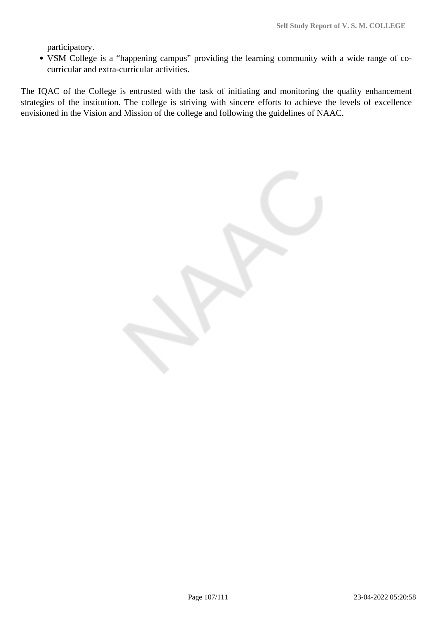participatory.

VSM College is a "happening campus" providing the learning community with a wide range of cocurricular and extra-curricular activities.

The IQAC of the College is entrusted with the task of initiating and monitoring the quality enhancement strategies of the institution. The college is striving with sincere efforts to achieve the levels of excellence envisioned in the Vision and Mission of the college and following the guidelines of NAAC.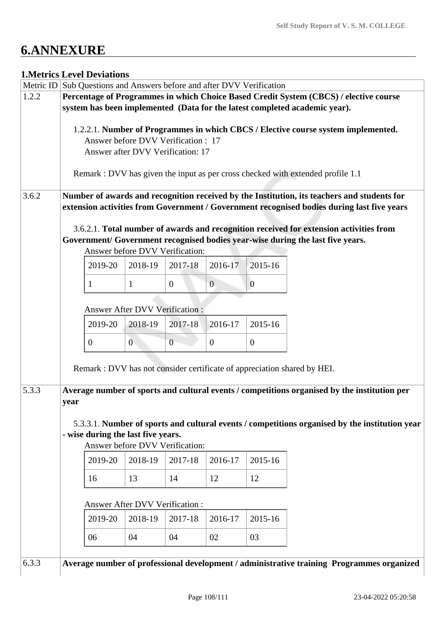# **6.ANNEXURE**

## **1.Metrics Level Deviations**

|       |                                                                                           | Metric ID Sub Questions and Answers before and after DVV Verification             |                |                                       |                |                |                                                                                                |
|-------|-------------------------------------------------------------------------------------------|-----------------------------------------------------------------------------------|----------------|---------------------------------------|----------------|----------------|------------------------------------------------------------------------------------------------|
| 1.2.2 | Percentage of Programmes in which Choice Based Credit System (CBCS) / elective course     |                                                                                   |                |                                       |                |                |                                                                                                |
|       | system has been implemented (Data for the latest completed academic year).                |                                                                                   |                |                                       |                |                |                                                                                                |
|       |                                                                                           |                                                                                   |                |                                       |                |                |                                                                                                |
|       |                                                                                           | 1.2.2.1. Number of Programmes in which CBCS / Elective course system implemented. |                |                                       |                |                |                                                                                                |
|       |                                                                                           |                                                                                   |                | Answer before DVV Verification: 17    |                |                |                                                                                                |
|       |                                                                                           |                                                                                   |                | Answer after DVV Verification: 17     |                |                |                                                                                                |
|       |                                                                                           |                                                                                   |                |                                       |                |                | Remark : DVV has given the input as per cross checked with extended profile 1.1                |
|       |                                                                                           |                                                                                   |                |                                       |                |                |                                                                                                |
| 3.6.2 |                                                                                           |                                                                                   |                |                                       |                |                | Number of awards and recognition received by the Institution, its teachers and students for    |
|       |                                                                                           |                                                                                   |                |                                       |                |                | extension activities from Government / Government recognised bodies during last five years     |
|       |                                                                                           |                                                                                   |                |                                       |                |                |                                                                                                |
|       |                                                                                           |                                                                                   |                |                                       |                |                | 3.6.2.1. Total number of awards and recognition received for extension activities from         |
|       |                                                                                           |                                                                                   |                |                                       |                |                | Government/ Government recognised bodies year-wise during the last five years.                 |
|       |                                                                                           |                                                                                   |                | Answer before DVV Verification:       |                |                |                                                                                                |
|       |                                                                                           | 2019-20                                                                           | 2018-19        | 2017-18                               | 2016-17        | 2015-16        |                                                                                                |
|       |                                                                                           | 1                                                                                 | $\mathbf{1}$   | $\overline{0}$                        | $\overline{0}$ | $\mathbf{0}$   |                                                                                                |
|       |                                                                                           |                                                                                   |                |                                       |                |                |                                                                                                |
|       |                                                                                           |                                                                                   |                | <b>Answer After DVV Verification:</b> |                |                |                                                                                                |
|       |                                                                                           | 2019-20                                                                           | 2018-19        | 2017-18                               | 2016-17        | 2015-16        |                                                                                                |
|       |                                                                                           | $\overline{0}$                                                                    | $\overline{0}$ | $\overline{0}$                        | $\overline{0}$ | $\overline{0}$ |                                                                                                |
|       |                                                                                           |                                                                                   |                |                                       |                |                |                                                                                                |
|       |                                                                                           |                                                                                   |                |                                       |                |                | Remark : DVV has not consider certificate of appreciation shared by HEI.                       |
|       |                                                                                           |                                                                                   |                |                                       |                |                |                                                                                                |
| 5.3.3 |                                                                                           |                                                                                   |                |                                       |                |                | Average number of sports and cultural events / competitions organised by the institution per   |
|       | year                                                                                      |                                                                                   |                |                                       |                |                |                                                                                                |
|       |                                                                                           |                                                                                   |                |                                       |                |                |                                                                                                |
|       |                                                                                           |                                                                                   |                |                                       |                |                | 5.3.3.1. Number of sports and cultural events / competitions organised by the institution year |
|       | - wise during the last five years.                                                        |                                                                                   |                |                                       |                |                |                                                                                                |
|       | Answer before DVV Verification:                                                           |                                                                                   |                |                                       |                |                |                                                                                                |
|       |                                                                                           | 2019-20                                                                           | 2018-19        | 2017-18                               | 2016-17        | 2015-16        |                                                                                                |
|       |                                                                                           | 16                                                                                | 13             | 14                                    | 12             | 12             |                                                                                                |
|       |                                                                                           |                                                                                   |                |                                       |                |                |                                                                                                |
|       |                                                                                           |                                                                                   |                | <b>Answer After DVV Verification:</b> |                |                |                                                                                                |
|       |                                                                                           | 2019-20                                                                           | 2018-19        | 2017-18                               | 2016-17        | 2015-16        |                                                                                                |
|       |                                                                                           | 06                                                                                | 04             | 04                                    | 02             | 03             |                                                                                                |
|       |                                                                                           |                                                                                   |                |                                       |                |                |                                                                                                |
| 6.3.3 | Average number of professional development / administrative training Programmes organized |                                                                                   |                |                                       |                |                |                                                                                                |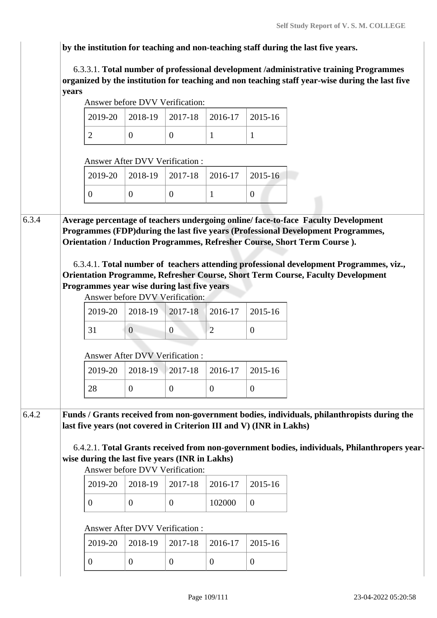**by the institution for teaching and non-teaching staff during the last five years.**

 6.3.3.1. **Total number of professional development /administrative training Programmes organized by the institution for teaching and non teaching staff year-wise during the last five years**

|       |                                                                        |                                                | Answer before DVV Verification:            |                |                |                                                                                                                                                                                                                                                                                                                                                                                                                                  |  |  |
|-------|------------------------------------------------------------------------|------------------------------------------------|--------------------------------------------|----------------|----------------|----------------------------------------------------------------------------------------------------------------------------------------------------------------------------------------------------------------------------------------------------------------------------------------------------------------------------------------------------------------------------------------------------------------------------------|--|--|
|       |                                                                        | 2019-20                                        | 2018-19                                    | 2017-18        | 2016-17        | 2015-16                                                                                                                                                                                                                                                                                                                                                                                                                          |  |  |
|       |                                                                        | $\overline{2}$                                 | $\overline{0}$                             | $\overline{0}$ | $\mathbf{1}$   | $\mathbf{1}$                                                                                                                                                                                                                                                                                                                                                                                                                     |  |  |
|       |                                                                        |                                                | <b>Answer After DVV Verification:</b>      |                |                |                                                                                                                                                                                                                                                                                                                                                                                                                                  |  |  |
|       |                                                                        | 2019-20                                        | 2018-19                                    | 2017-18        | 2016-17        | 2015-16                                                                                                                                                                                                                                                                                                                                                                                                                          |  |  |
|       |                                                                        | $\overline{0}$                                 | $\mathbf{0}$                               | $\overline{0}$ | 1              | $\mathbf{0}$                                                                                                                                                                                                                                                                                                                                                                                                                     |  |  |
| 6.3.4 |                                                                        | Programmes year wise during last five years    |                                            |                |                | Average percentage of teachers undergoing online/face-to-face Faculty Development<br>Programmes (FDP) during the last five years (Professional Development Programmes,<br>Orientation / Induction Programmes, Refresher Course, Short Term Course).<br>6.3.4.1. Total number of teachers attending professional development Programmes, viz.,<br>Orientation Programme, Refresher Course, Short Term Course, Faculty Development |  |  |
|       |                                                                        |                                                | Answer before DVV Verification:            |                |                |                                                                                                                                                                                                                                                                                                                                                                                                                                  |  |  |
|       |                                                                        | 2019-20                                        | 2018-19                                    | 2017-18        | 2016-17        | 2015-16                                                                                                                                                                                                                                                                                                                                                                                                                          |  |  |
|       | 31<br>$\overline{2}$<br>$\overline{0}$<br>$\boldsymbol{0}$<br>$\theta$ |                                                |                                            |                |                |                                                                                                                                                                                                                                                                                                                                                                                                                                  |  |  |
|       |                                                                        |                                                | <b>Answer After DVV Verification:</b>      |                |                |                                                                                                                                                                                                                                                                                                                                                                                                                                  |  |  |
|       |                                                                        |                                                |                                            | 2017-18        | 2016-17        | 2015-16                                                                                                                                                                                                                                                                                                                                                                                                                          |  |  |
|       |                                                                        | 2019-20                                        | 2018-19                                    |                |                |                                                                                                                                                                                                                                                                                                                                                                                                                                  |  |  |
|       |                                                                        | 28                                             | $\theta$                                   | $\overline{0}$ | $\overline{0}$ | $\mathbf{0}$                                                                                                                                                                                                                                                                                                                                                                                                                     |  |  |
| 6.4.2 |                                                                        | wise during the last five years (INR in Lakhs) |                                            |                |                | Funds / Grants received from non-government bodies, individuals, philanthropists during the<br>last five years (not covered in Criterion III and V) (INR in Lakhs)<br>6.4.2.1. Total Grants received from non-government bodies, individuals, Philanthropers year-                                                                                                                                                               |  |  |
|       |                                                                        | 2019-20                                        | Answer before DVV Verification:<br>2018-19 | 2017-18        | 2016-17        | 2015-16                                                                                                                                                                                                                                                                                                                                                                                                                          |  |  |
|       |                                                                        | $\overline{0}$                                 | $\overline{0}$                             | $\overline{0}$ | 102000         | $\mathbf{0}$                                                                                                                                                                                                                                                                                                                                                                                                                     |  |  |
|       |                                                                        |                                                | <b>Answer After DVV Verification:</b>      |                |                |                                                                                                                                                                                                                                                                                                                                                                                                                                  |  |  |
|       |                                                                        | 2019-20                                        | 2018-19                                    | 2017-18        | 2016-17        | 2015-16                                                                                                                                                                                                                                                                                                                                                                                                                          |  |  |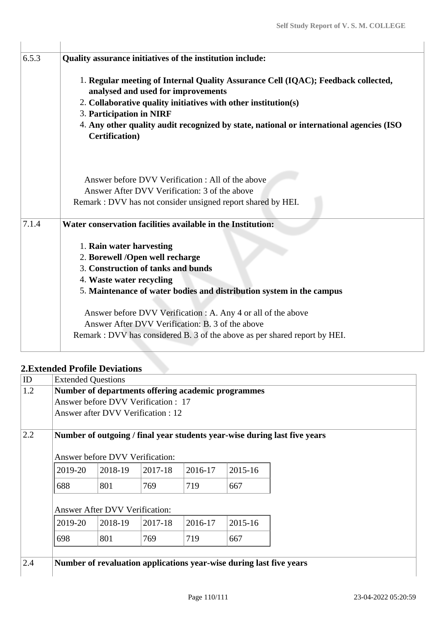| 6.5.3 | Quality assurance initiatives of the institution include:                                                         |
|-------|-------------------------------------------------------------------------------------------------------------------|
|       | 1. Regular meeting of Internal Quality Assurance Cell (IQAC); Feedback collected,                                 |
|       | analysed and used for improvements                                                                                |
|       | 2. Collaborative quality initiatives with other institution(s)                                                    |
|       | 3. Participation in NIRF                                                                                          |
|       | 4. Any other quality audit recognized by state, national or international agencies (ISO<br><b>Certification</b> ) |
|       | Answer before DVV Verification : All of the above                                                                 |
|       | Answer After DVV Verification: 3 of the above                                                                     |
|       | Remark : DVV has not consider unsigned report shared by HEI.                                                      |
| 7.1.4 | Water conservation facilities available in the Institution:                                                       |
|       | 1. Rain water harvesting                                                                                          |
|       | 2. Borewell /Open well recharge                                                                                   |
|       | 3. Construction of tanks and bunds                                                                                |
|       | 4. Waste water recycling                                                                                          |
|       | 5. Maintenance of water bodies and distribution system in the campus                                              |
|       | Answer before DVV Verification : A. Any 4 or all of the above                                                     |
|       | Answer After DVV Verification: B. 3 of the above                                                                  |
|       | Remark : DVV has considered B. 3 of the above as per shared report by HEI.                                        |
|       |                                                                                                                   |

## **2.Extended Profile Deviations**

| Number of departments offering academic programmes                        |         |         |                                        |         |                                                                     |  |  |  |
|---------------------------------------------------------------------------|---------|---------|----------------------------------------|---------|---------------------------------------------------------------------|--|--|--|
| Answer before DVV Verification : 17                                       |         |         |                                        |         |                                                                     |  |  |  |
| Answer after DVV Verification: 12                                         |         |         |                                        |         |                                                                     |  |  |  |
| Number of outgoing / final year students year-wise during last five years |         |         |                                        |         |                                                                     |  |  |  |
|                                                                           |         |         |                                        |         |                                                                     |  |  |  |
| 2019-20                                                                   | 2018-19 | 2017-18 | 2016-17                                | 2015-16 |                                                                     |  |  |  |
| 688                                                                       | 801     | 769     | 719                                    | 667     |                                                                     |  |  |  |
| <b>Answer After DVV Verification:</b>                                     |         |         |                                        |         |                                                                     |  |  |  |
| 2019-20                                                                   | 2018-19 | 2017-18 | 2016-17                                | 2015-16 |                                                                     |  |  |  |
| 698                                                                       | 801     | 769     | 719                                    | 667     |                                                                     |  |  |  |
|                                                                           |         |         |                                        |         |                                                                     |  |  |  |
|                                                                           |         |         |                                        |         |                                                                     |  |  |  |
|                                                                           |         |         | <b>Answer before DVV Verification:</b> |         | Number of revaluation applications year-wise during last five years |  |  |  |